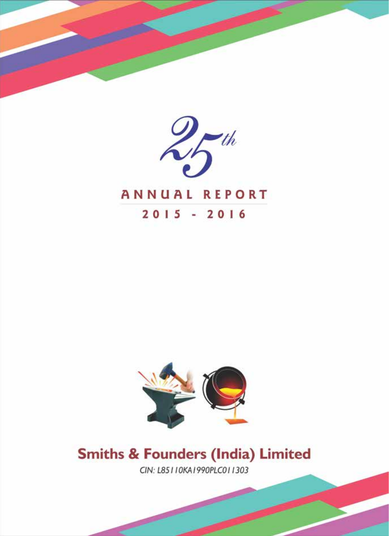



# ANNUAL REPORT

## $2015 - 2016$



# **Smiths & Founders (India) Limited**

CIN: L85110KA1990PLC011303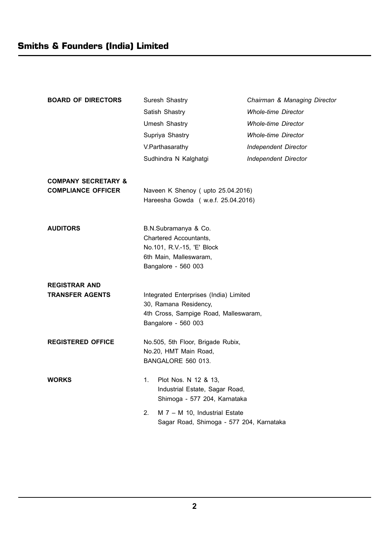| <b>BOARD OF DIRECTORS</b>      | Suresh Shastry                           | Chairman & Managing Director |
|--------------------------------|------------------------------------------|------------------------------|
|                                | Satish Shastry                           | <b>Whole-time Director</b>   |
|                                | Umesh Shastry                            | <b>Whole-time Director</b>   |
|                                | Supriya Shastry                          | <b>Whole-time Director</b>   |
|                                | V.Parthasarathy                          | <b>Independent Director</b>  |
|                                | Sudhindra N Kalghatgi                    | <b>Independent Director</b>  |
| <b>COMPANY SECRETARY &amp;</b> |                                          |                              |
| <b>COMPLIANCE OFFICER</b>      | Naveen K Shenoy (upto 25.04.2016)        |                              |
|                                | Hareesha Gowda ( w.e.f. 25.04.2016)      |                              |
|                                |                                          |                              |
| <b>AUDITORS</b>                | B.N.Subramanya & Co.                     |                              |
|                                | Chartered Accountants,                   |                              |
|                                | No.101, R.V.-15, 'E' Block               |                              |
|                                | 6th Main, Malleswaram,                   |                              |
|                                | Bangalore - 560 003                      |                              |
| <b>REGISTRAR AND</b>           |                                          |                              |
| <b>TRANSFER AGENTS</b>         | Integrated Enterprises (India) Limited   |                              |
|                                | 30, Ramana Residency,                    |                              |
|                                | 4th Cross, Sampige Road, Malleswaram,    |                              |
|                                | Bangalore - 560 003                      |                              |
| <b>REGISTERED OFFICE</b>       | No.505, 5th Floor, Brigade Rubix,        |                              |
|                                | No.20, HMT Main Road,                    |                              |
|                                | BANGALORE 560 013.                       |                              |
| <b>WORKS</b>                   | $1_{-}$<br>Plot Nos. N 12 & 13.          |                              |
|                                | Industrial Estate, Sagar Road,           |                              |
|                                | Shimoga - 577 204, Karnataka             |                              |
|                                | M 7 - M 10, Industrial Estate<br>2.      |                              |
|                                | Sagar Road, Shimoga - 577 204, Karnataka |                              |
|                                |                                          |                              |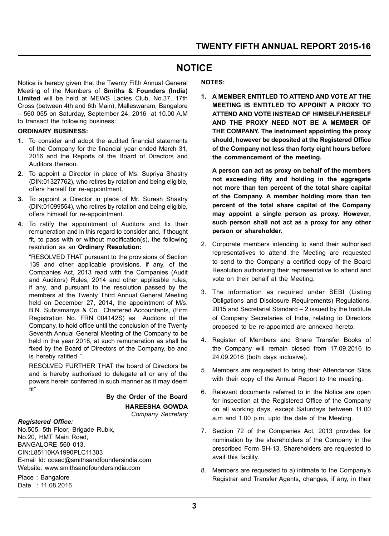### **NOTICE**

Notice is hereby given that the Twenty Fifth Annual General Meeting of the Members of **Smiths & Founders (India) Limited** will be held at MEWS Ladies Club, No.37, 17th Cross (between 4th and 6th Main), Malleswaram, Bangalore – 560 055 on Saturday, September 24, 2016 at 10.00 A.M to transact the following business:

#### **ORDINARY BUSINESS:**

- **1.** To consider and adopt the audited financial statements of the Company for the financial year ended March 31, 2016 and the Reports of the Board of Directors and Auditors thereon.
- **2.** To appoint a Director in place of Ms. Supriya Shastry (DIN:01327762), who retires by rotation and being eligible, offers herself for re-appointment.
- **3.** To appoint a Director in place of Mr. Suresh Shastry (DIN:01099554), who retires by rotation and being eligible, offers himself for re-appointment.
- **4.** To ratify the appointment of Auditors and fix their remuneration and in this regard to consider and, if thought fit, to pass with or without modification(s), the following resolution as an **Ordinary Resolution:**

"RESOLVED THAT pursuant to the provisions of Section 139 and other applicable provisions, if any, of the Companies Act, 2013 read with the Companies (Audit and Auditors) Rules, 2014 and other applicable rules, if any, and pursuant to the resolution passed by the members at the Twenty Third Annual General Meeting held on December 27, 2014, the appointment of M/s. B.N. Subramanya & Co., Chartered Accountants, (Firm Registration No. FRN 004142S) as Auditors of the Company, to hold office until the conclusion of the Twenty Seventh Annual General Meeting of the Company to be held in the year 2018, at such remuneration as shall be fixed by the Board of Directors of the Company, be and is hereby ratified ".

RESOLVED FURTHER THAT the board of Directors be and is hereby authorised to delegate all or any of the powers herein conferred in such manner as it may deem fit".

> **By the Order of the Board HAREESHA GOWDA** *Company Secretary*

#### *Registered Office:*

No.505, 5th Floor, Brigade Rubix, No.20, HMT Main Road, BANGALORE 560 013. CIN:L85110KA1990PLC11303 E-mail Id: cosec@smithsandfoundersindia.com Website: www.smithsandfoundersindia.com

Place : Bangalore Date : 11.08.2016

#### **NOTES:**

**1. A MEMBER ENTITLED TO ATTEND AND VOTE AT THE MEETING IS ENTITLED TO APPOINT A PROXY TO ATTEND AND VOTE INSTEAD OF HIMSELF/HERSELF AND THE PROXY NEED NOT BE A MEMBER OF THE COMPANY. The instrument appointing the proxy should, however be deposited at the Registered Office of the Company not less than forty eight hours before the commencement of the meeting.**

**A person can act as proxy on behalf of the members not exceeding fifty and holding in the aggregate not more than ten percent of the total share capital of the Company. A member holding more than ten percent of the total share capital of the Company may appoint a single person as proxy. However, such person shall not act as a proxy for any other person or shareholder.**

- 2. Corporate members intending to send their authorised representatives to attend the Meeting are requested to send to the Company a certified copy of the Board Resolution authorising their representative to attend and vote on their behalf at the Meeting.
- 3. The information as required under SEBI (Listing Obligations and Disclosure Requirements) Regulations, 2015 and Secretarial Standard – 2 issued by the Institute of Company Secretaries of India, relating to Directors proposed to be re-appointed are annexed hereto.
- 4. Register of Members and Share Transfer Books of the Company will remain closed from 17.09.2016 to 24.09.2016 (both days inclusive).
- 5. Members are requested to bring their Attendance Slips with their copy of the Annual Report to the meeting.
- 6. Relevant documents referred to in the Notice are open for inspection at the Registered Office of the Company on all working days, except Saturdays between 11.00 a.m and 1.00 p.m. upto the date of the Meeting.
- 7. Section 72 of the Companies Act, 2013 provides for nomination by the shareholders of the Company in the prescribed Form SH-13. Shareholders are requested to avail this facility.
- 8. Members are requested to a) intimate to the Company's Registrar and Transfer Agents, changes, if any, in their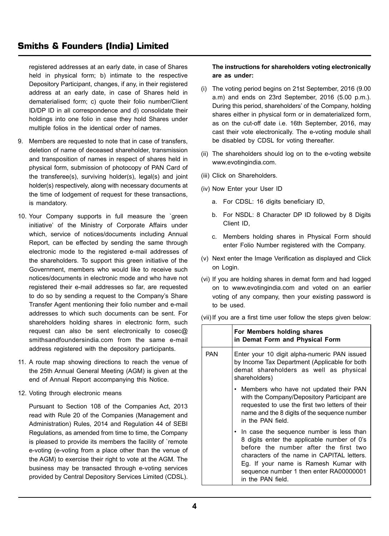registered addresses at an early date, in case of Shares held in physical form; b) intimate to the respective Depository Participant, changes, if any, in their registered address at an early date, in case of Shares held in dematerialised form; c) quote their folio number/Client ID/DP ID in all correspondence and d) consolidate their holdings into one folio in case they hold Shares under multiple folios in the identical order of names.

- 9. Members are requested to note that in case of transfers, deletion of name of deceased shareholder, transmission and transposition of names in respect of shares held in physical form, submission of photocopy of PAN Card of the transferee(s), surviving holder(s), legal(s) and joint holder(s) respectively, along with necessary documents at the time of lodgement of request for these transactions, is mandatory.
- 10. Your Company supports in full measure the 'green' initiative' of the Ministry of Corporate Affairs under which, service of notices/documents including Annual Report, can be effected by sending the same through electronic mode to the registered e-mail addresses of the shareholders. To support this green initiative of the Government, members who would like to receive such notices/documents in electronic mode and who have not registered their e-mail addresses so far, are requested to do so by sending a request to the Company's Share Transfer Agent mentioning their folio number and e-mail addresses to which such documents can be sent. For shareholders holding shares in electronic form, such request can also be sent electronically to cosec@ smithsandfoundersindia.com from the same e-mail address registered with the depository participants.
- 11. A route map showing directions to reach the venue of the 25th Annual General Meeting (AGM) is given at the end of Annual Report accompanying this Notice.
- 12. Voting through electronic means

Pursuant to Section 108 of the Companies Act, 2013 read with Rule 20 of the Companies (Management and Administration) Rules, 2014 and Regulation 44 of SEBI Regulations, as amended from time to time, the Company is pleased to provide its members the facility of `remote e-voting (e-voting from a place other than the venue of the AGM) to exercise their right to vote at the AGM. The business may be transacted through e-voting services provided by Central Depository Services Limited (CDSL).

#### **The instructions for shareholders voting electronically are as under:**

- (i) The voting period begins on 21st September, 2016 (9.00 a.m) and ends on 23rd September, 2016 (5.00 p.m.). During this period, shareholders' of the Company, holding shares either in physical form or in dematerialized form, as on the cut-off date i.e. 16th September, 2016, may cast their vote electronically. The e-voting module shall be disabled by CDSL for voting thereafter.
- (ii) The shareholders should log on to the e-voting website www.evotingindia.com.
- (iii) Click on Shareholders.
- (iv) Now Enter your User ID
	- a. For CDSL: 16 digits beneficiary ID,
	- b. For NSDL: 8 Character DP ID followed by 8 Digits Client ID,
	- c. Members holding shares in Physical Form should enter Folio Number registered with the Company.
- (v) Next enter the Image Verification as displayed and Click on Login.
- (vi) If you are holding shares in demat form and had logged on to www.evotingindia.com and voted on an earlier voting of any company, then your existing password is to be used.

| (vii) If you are a first time user follow the steps given below: |  |   |  |  |  |  |
|------------------------------------------------------------------|--|---|--|--|--|--|
|                                                                  |  | . |  |  |  |  |

|            | For Members holding shares<br>in Demat Form and Physical Form                                                                                                                                                                                                                           |
|------------|-----------------------------------------------------------------------------------------------------------------------------------------------------------------------------------------------------------------------------------------------------------------------------------------|
| <b>PAN</b> | Enter your 10 digit alpha-numeric PAN issued<br>by Income Tax Department (Applicable for both<br>demat shareholders as well as physical<br>shareholders)                                                                                                                                |
|            | Members who have not updated their PAN<br>with the Company/Depository Participant are<br>requested to use the first two letters of their<br>name and the 8 digits of the sequence number<br>in the PAN field.                                                                           |
|            | In case the sequence number is less than<br>8 digits enter the applicable number of 0's<br>before the number after the first two<br>characters of the name in CAPITAL letters.<br>Eq. If your name is Ramesh Kumar with<br>sequence number 1 then enter RA00000001<br>in the PAN field. |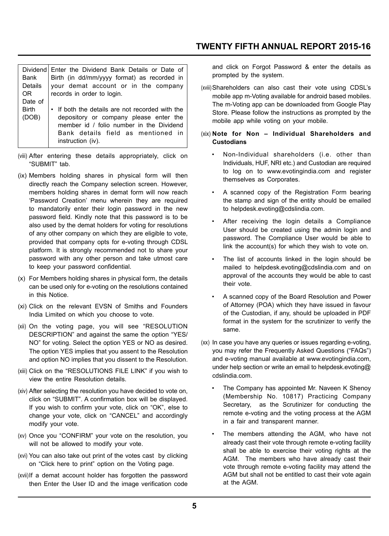| Bank                  | Dividend Enter the Dividend Bank Details or Date of                                                                                                                                              |
|-----------------------|--------------------------------------------------------------------------------------------------------------------------------------------------------------------------------------------------|
| Details               | Birth (in dd/mm/yyyy format) as recorded in                                                                                                                                                      |
| OR.                   | your demat account or in the company                                                                                                                                                             |
| Date of               | records in order to login.                                                                                                                                                                       |
| <b>Birth</b><br>(DOB) | • If both the details are not recorded with the<br>depository or company please enter the<br>member id / folio number in the Dividend<br>Bank details field as mentioned in<br>instruction (iv). |

- (viii) After entering these details appropriately, click on "SUBMIT" tab.
- (ix) Members holding shares in physical form will then directly reach the Company selection screen. However, members holding shares in demat form will now reach 'Password Creation' menu wherein they are required to mandatorily enter their login password in the new password field. Kindly note that this password is to be also used by the demat holders for voting for resolutions of any other company on which they are eligible to vote, provided that company opts for e-voting through CDSL platform. It is strongly recommended not to share your password with any other person and take utmost care to keep your password confidential.
- (x) For Members holding shares in physical form, the details can be used only for e-voting on the resolutions contained in this Notice.
- (xi) Click on the relevant EVSN of Smiths and Founders India Limited on which you choose to vote.
- (xii) On the voting page, you will see "RESOLUTION DESCRIPTION" and against the same the option "YES/ NO" for voting. Select the option YES or NO as desired. The option YES implies that you assent to the Resolution and option NO implies that you dissent to the Resolution.
- (xiii) Click on the "RESOLUTIONS FILE LINK" if you wish to view the entire Resolution details.
- (xiv) After selecting the resolution you have decided to vote on, click on "SUBMIT". A confirmation box will be displayed. If you wish to confirm your vote, click on "OK", else to change your vote, click on "CANCEL" and accordingly modify your vote.
- (xv) Once you "CONFIRM" your vote on the resolution, you will not be allowed to modify your vote.
- (xvi) You can also take out print of the votes cast by clicking on "Click here to print" option on the Voting page.
- (xvii)If a demat account holder has forgotten the password then Enter the User ID and the image verification code

and click on Forgot Password & enter the details as prompted by the system.

(xviii)Shareholders can also cast their vote using CDSL's mobile app m-Voting available for android based mobiles. The m-Voting app can be downloaded from Google Play Store. Please follow the instructions as prompted by the mobile app while voting on your mobile.

#### (xix) **Note for Non – Individual Shareholders and Custodians**

- Non-Individual shareholders (i.e. other than Individuals, HUF, NRI etc.) and Custodian are required to log on to www.evotingindia.com and register themselves as Corporates.
- A scanned copy of the Registration Form bearing the stamp and sign of the entity should be emailed to helpdesk.evoting@cdslindia.com.
- After receiving the login details a Compliance User should be created using the admin login and password. The Compliance User would be able to link the account(s) for which they wish to vote on.
- The list of accounts linked in the login should be mailed to helpdesk.evoting@cdslindia.com and on approval of the accounts they would be able to cast their vote.
- A scanned copy of the Board Resolution and Power of Attorney (POA) which they have issued in favour of the Custodian, if any, should be uploaded in PDF format in the system for the scrutinizer to verify the same.
- (xx) In case you have any queries or issues regarding e-voting, you may refer the Frequently Asked Questions ("FAQs") and e-voting manual available at www.evotingindia.com, under help section or write an email to helpdesk.evoting@ cdslindia.com.
	- The Company has appointed Mr. Naveen K Shenoy (Membership No. 10817) Practicing Company Secretary, as the Scrutinizer for conducting the remote e-voting and the voting process at the AGM in a fair and transparent manner.
	- The members attending the AGM, who have not already cast their vote through remote e-voting facility shall be able to exercise their voting rights at the AGM. The members who have already cast their vote through remote e-voting facility may attend the AGM but shall not be entitled to cast their vote again at the AGM.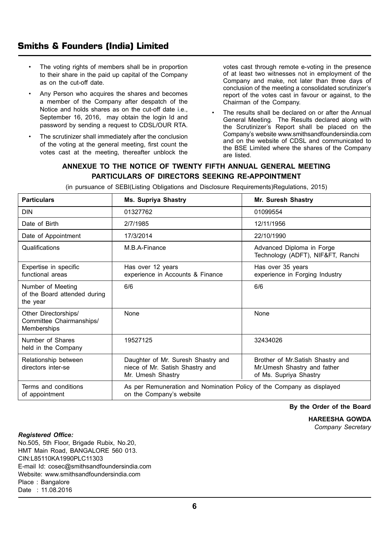- The voting rights of members shall be in proportion to their share in the paid up capital of the Company as on the cut-off date.
- Any Person who acquires the shares and becomes a member of the Company after despatch of the Notice and holds shares as on the cut-off date i.e., September 16, 2016, may obtain the login Id and password by sending a request to CDSL/OUR RTA.
- The scrutinizer shall immediately after the conclusion of the voting at the general meeting, first count the votes cast at the meeting, thereafter unblock the

votes cast through remote e-voting in the presence of at least two witnesses not in employment of the Company and make, not later than three days of conclusion of the meeting a consolidated scrutinizer's report of the votes cast in favour or against, to the Chairman of the Company.

The results shall be declared on or after the Annual General Meeting. The Results declared along with the Scrutinizer's Report shall be placed on the Company's website www.smithsandfoundersindia.com and on the website of CDSL and communicated to the BSE Limited where the shares of the Company are listed.

#### **ANNEXUE TO THE NOTICE OF TWENTY FIFTH ANNUAL GENERAL MEETING PARTICULARS OF DIRECTORS SEEKING RE-APPOINTMENT**

(in pursuance of SEBI(Listing Obligations and Disclosure Requirements)Regulations, 2015)

| <b>Particulars</b>                                              | Ms. Supriya Shastry                                                                               | Mr. Suresh Shastry                                                                          |  |  |
|-----------------------------------------------------------------|---------------------------------------------------------------------------------------------------|---------------------------------------------------------------------------------------------|--|--|
| <b>DIN</b>                                                      | 01327762                                                                                          | 01099554                                                                                    |  |  |
| Date of Birth                                                   | 2/7/1985                                                                                          | 12/11/1956                                                                                  |  |  |
| Date of Appointment                                             | 17/3/2014                                                                                         | 22/10/1990                                                                                  |  |  |
| Qualifications                                                  | M.B.A-Finance                                                                                     | Advanced Diploma in Forge<br>Technology (ADFT), NIF&FT, Ranchi                              |  |  |
| Expertise in specific<br>functional areas                       | Has over 12 years<br>experience in Accounts & Finance                                             | Has over 35 years<br>experience in Forging Industry                                         |  |  |
| Number of Meeting<br>of the Board attended during<br>the year   | 6/6                                                                                               | 6/6                                                                                         |  |  |
| Other Directorships/<br>Committee Chairmanships/<br>Memberships | None                                                                                              | None                                                                                        |  |  |
| Number of Shares<br>held in the Company                         | 19527125                                                                                          | 32434026                                                                                    |  |  |
| Relationship between<br>directors inter-se                      | Daughter of Mr. Suresh Shastry and<br>niece of Mr. Satish Shastry and<br>Mr. Umesh Shastry        | Brother of Mr. Satish Shastry and<br>Mr. Umesh Shastry and father<br>of Ms. Supriya Shastry |  |  |
| Terms and conditions<br>of appointment                          | As per Remuneration and Nomination Policy of the Company as displayed<br>on the Company's website |                                                                                             |  |  |

**By the Order of the Board**

**HAREESHA GOWDA** *Company Secretary*

#### *Registered Office:*

No.505, 5th Floor, Brigade Rubix, No.20, HMT Main Road, BANGALORE 560 013. CIN:L85110KA1990PLC11303 E-mail Id: cosec@smithsandfoundersindia.com Website: www.smithsandfoundersindia.com Place : Bangalore Date : 11.08.2016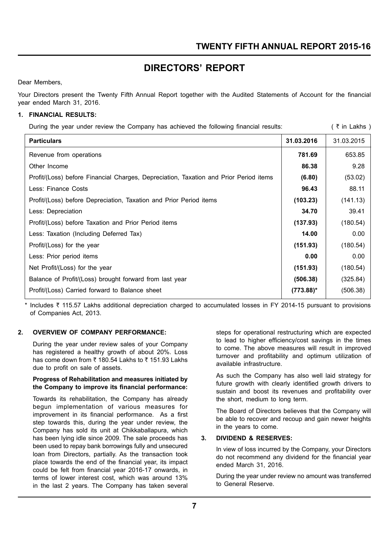### **DIRECTORS' REPORT**

Dear Members,

Your Directors present the Twenty Fifth Annual Report together with the Audited Statements of Account for the financial year ended March 31, 2016.

#### **1. FINANCIAL RESULTS:**

| <b>FINANCIAL RESULTS:</b>                                                              |              |            |  |  |  |  |  |
|----------------------------------------------------------------------------------------|--------------|------------|--|--|--|--|--|
| During the year under review the Company has achieved the following financial results: |              |            |  |  |  |  |  |
| <b>Particulars</b>                                                                     | 31.03.2016   | 31.03.2015 |  |  |  |  |  |
| Revenue from operations                                                                | 781.69       | 653.85     |  |  |  |  |  |
| Other Income                                                                           | 86.38        | 9.28       |  |  |  |  |  |
| Profit/(Loss) before Financial Charges, Depreciation, Taxation and Prior Period items  | (6.80)       | (53.02)    |  |  |  |  |  |
| Less: Finance Costs                                                                    | 96.43        | 88.11      |  |  |  |  |  |
| Profit/(Loss) before Depreciation, Taxation and Prior Period items                     | (103.23)     | (141.13)   |  |  |  |  |  |
| Less: Depreciation                                                                     | 34.70        | 39.41      |  |  |  |  |  |
| Profit/(Loss) before Taxation and Prior Period items                                   | (137.93)     | (180.54)   |  |  |  |  |  |
| Less: Taxation (Including Deferred Tax)                                                | 14.00        | 0.00       |  |  |  |  |  |
| Profit/(Loss) for the year                                                             | (151.93)     | (180.54)   |  |  |  |  |  |
| Less: Prior period items                                                               | 0.00         | 0.00       |  |  |  |  |  |
| Net Profit/(Loss) for the year                                                         | (151.93)     | (180.54)   |  |  |  |  |  |
| Balance of Profit/(Loss) brought forward from last year                                | (506.38)     | (325.84)   |  |  |  |  |  |
| Profit/(Loss) Carried forward to Balance sheet                                         | $(773.88)^*$ | (506.38)   |  |  |  |  |  |

Includes ₹ 115.57 Lakhs additional depreciation charged to accumulated losses in FY 2014-15 pursuant to provisions of Companies Act, 2013.

#### **2. OVERVIEW OF COMPANY PERFORMANCE:**

During the year under review sales of your Company has registered a healthy growth of about 20%. Loss has come down from  $\bar{x}$  180.54 Lakhs to  $\bar{x}$  151.93 Lakhs due to profit on sale of assets.

#### **Progress of Rehabilitation and measures initiated by the Company to improve its financial performance:**

Towards its rehabilitation, the Company has already begun implementation of various measures for improvement in its financial performance. As a first step towards this, during the year under review, the Company has sold its unit at Chikkaballapura, which has been lying idle since 2009. The sale proceeds has been used to repay bank borrowings fully and unsecured loan from Directors, partially. As the transaction took place towards the end of the financial year, its impact could be felt from financial year 2016-17 onwards, in terms of lower interest cost, which was around 13% in the last 2 years. The Company has taken several

steps for operational restructuring which are expected to lead to higher efficiency/cost savings in the times to come. The above measures will result in improved turnover and profitability and optimum utilization of available infrastructure.

As such the Company has also well laid strategy for future growth with clearly identified growth drivers to sustain and boost its revenues and profitability over the short, medium to long term.

The Board of Directors believes that the Company will be able to recover and recoup and gain newer heights in the years to come.

#### **3. DIVIDEND & RESERVES:**

In view of loss incurred by the Company, your Directors do not recommend any dividend for the financial year ended March 31, 2016.

During the year under review no amount was transferred to General Reserve.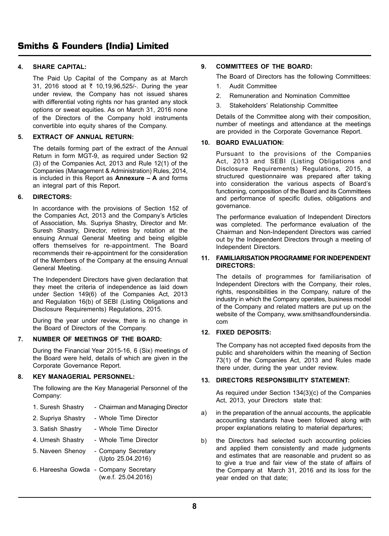#### **4. SHARE CAPITAL:**

The Paid Up Capital of the Company as at March 31, 2016 stood at ₹ 10,19,96,525/-. During the year under review, the Company has not issued shares with differential voting rights nor has granted any stock options or sweat equities. As on March 31, 2016 none of the Directors of the Company hold instruments convertible into equity shares of the Company.

#### **5. EXTRACT OF ANNUAL RETURN:**

The details forming part of the extract of the Annual Return in form MGT-9, as required under Section 92 (3) of the Companies Act, 2013 and Rule 12(1) of the Companies (Management & Administration) Rules, 2014, is included in this Report as **Annexure – A** and forms an integral part of this Report.

#### **6. DIRECTORS:**

In accordance with the provisions of Section 152 of the Companies Act, 2013 and the Company's Articles of Association, Ms. Supriya Shastry, Director and Mr. Suresh Shastry, Director, retires by rotation at the ensuing Annual General Meeting and being eligible offers themselves for re-appointment. The Board recommends their re-appointment for the consideration of the Members of the Company at the ensuing Annual General Meeting.

The Independent Directors have given declaration that they meet the criteria of independence as laid down under Section 149(6) of the Companies Act, 2013 and Regulation 16(b) of SEBI (Listing Obligations and Disclosure Requirements) Regulations, 2015.

During the year under review, there is no change in the Board of Directors of the Company.

#### **7. NUMBER OF MEETINGS OF THE BOARD:**

During the Financial Year 2015-16, 6 (Six) meetings of the Board were held, details of which are given in the Corporate Governance Report.

#### **8. KEY MANAGERIAL PERSONNEL:**

The following are the Key Managerial Personnel of the Company:

- 1. Suresh Shastry Chairman and Managing Director
- 2. Supriya Shastry Whole Time Director
- 3. Satish Shastry Whole Time Director
- 4. Umesh Shastry Whole Time Director
- 5. Naveen Shenoy Company Secretary (Upto 25.04.2016)
- 6. Hareesha Gowda Company Secretary (w.e.f. 25.04.2016)

#### **9. COMMITTEES OF THE BOARD:**

The Board of Directors has the following Committees:

- 1. Audit Committee
- 2. Remuneration and Nomination Committee
- 3. Stakeholders' Relationship Committee

Details of the Committee along with their composition, number of meetings and attendance at the meetings are provided in the Corporate Governance Report.

#### **10. BOARD EVALUATION:**

Pursuant to the provisions of the Companies Act, 2013 and SEBI (Listing Obligations and Disclosure Requirements) Regulations, 2015, a structured questionnaire was prepared after taking into consideration the various aspects of Board's functioning, composition of the Board and its Committees and performance of specific duties, obligations and governance.

The performance evaluation of Independent Directors was completed. The performance evaluation of the Chairman and Non-Independent Directors was carried out by the Independent Directors through a meeting of Independent Directors.

#### **11. FAMILIARISATION PROGRAMME FOR INDEPENDENT DIRECTORS:**

The details of programmes for familiarisation of Independent Directors with the Company, their roles, rights, responsibilities in the Company, nature of the industry in which the Company operates, business model of the Company and related matters are put up on the website of the Company, www.smithsandfoundersindia. com

#### **12. FIXED DEPOSITS:**

The Company has not accepted fixed deposits from the public and shareholders within the meaning of Section 73(1) of the Companies Act, 2013 and Rules made there under, during the year under review.

#### **13. DIRECTORS RESPONSIBILITY STATEMENT:**

As required under Section 134(3)(c) of the Companies Act, 2013, your Directors state that:

- a) in the preparation of the annual accounts, the applicable accounting standards have been followed along with proper explanations relating to material departures;
- b) the Directors had selected such accounting policies and applied them consistently and made judgments and estimates that are reasonable and prudent so as to give a true and fair view of the state of affairs of the Company at March 31, 2016 and its loss for the year ended on that date;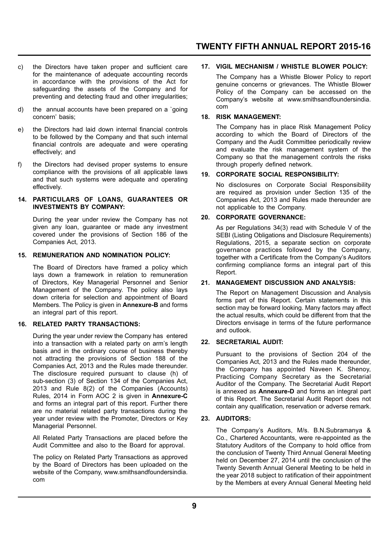- c) the Directors have taken proper and sufficient care for the maintenance of adequate accounting records in accordance with the provisions of the Act for safeguarding the assets of the Company and for preventing and detecting fraud and other irregularities;
- d) the annual accounts have been prepared on a `going concern' basis;
- e) the Directors had laid down internal financial controls to be followed by the Company and that such internal financial controls are adequate and were operating effectively; and
- f) the Directors had devised proper systems to ensure compliance with the provisions of all applicable laws and that such systems were adequate and operating effectively.

#### **14. PARTICULARS OF LOANS, GUARANTEES OR INVESTMENTS BY COMPANY:**

During the year under review the Company has not given any loan, guarantee or made any investment covered under the provisions of Section 186 of the Companies Act, 2013.

#### **15. REMUNERATION AND NOMINATION POLICY:**

The Board of Directors have framed a policy which lays down a framework in relation to remuneration of Directors, Key Managerial Personnel and Senior Management of the Company. The policy also lays down criteria for selection and appointment of Board Members. The Policy is given in **Annexure-B** and forms an integral part of this report.

#### **16. RELATED PARTY TRANSACTIONS:**

During the year under review the Company has entered into a transaction with a related party on arm's length basis and in the ordinary course of business thereby not attracting the provisions of Section 188 of the Companies Act, 2013 and the Rules made thereunder. The disclosure required pursuant to clause (h) of sub-section (3) of Section 134 of the Companies Act, 2013 and Rule 8(2) of the Companies (Accounts) Rules, 2014 in Form AOC 2 is given in **Annexure-C**  and forms an integral part of this report. Further there are no material related party transactions during the year under review with the Promoter, Directors or Key Managerial Personnel.

All Related Party Transactions are placed before the Audit Committee and also to the Board for approval.

The policy on Related Party Transactions as approved by the Board of Directors has been uploaded on the website of the Company, www.smithsandfoundersindia. com

#### **17. VIGIL MECHANISM / WHISTLE BLOWER POLICY:**

The Company has a Whistle Blower Policy to report genuine concerns or grievances. The Whistle Blower Policy of the Company can be accessed on the Company's website at www.smithsandfoundersindia. com

#### **18. RISK MANAGEMENT:**

The Company has in place Risk Management Policy according to which the Board of Directors of the Company and the Audit Committee periodically review and evaluate the risk management system of the Company so that the management controls the risks through properly defined network.

#### **19. CORPORATE SOCIAL RESPONSIBILITY:**

No disclosures on Corporate Social Responsibility are required as provision under Section 135 of the Companies Act, 2013 and Rules made thereunder are not applicable to the Company.

#### **20. CORPORATE GOVERNANCE:**

As per Regulations 34(3) read with Schedule V of the SEBI (Listing Obligations and Disclosure Requirements) Regulations, 2015, a separate section on corporate governance practices followed by the Company, together with a Certificate from the Company's Auditors confirming compliance forms an integral part of this Report.

#### **21. MANAGEMENT DISCUSSION AND ANALYSIS:**

The Report on Management Discussion and Analysis forms part of this Report. Certain statements in this section may be forward looking. Many factors may affect the actual results, which could be different from that the Directors envisage in terms of the future performance and outlook.

#### **22. SECRETARIAL AUDIT:**

Pursuant to the provisions of Section 204 of the Companies Act, 2013 and the Rules made thereunder, the Company has appointed Naveen K. Shenoy, Practicing Company Secretary as the Secretarial Auditor of the Company. The Secretarial Audit Report is annexed as **Annexure-D** and forms an integral part of this Report. The Secretarial Audit Report does not contain any qualification, reservation or adverse remark.

#### **23. AUDITORS:**

The Company's Auditors, M/s. B.N.Subramanya & Co., Chartered Accountants, were re-appointed as the Statutory Auditors of the Company to hold office from the conclusion of Twenty Third Annual General Meeting held on December 27, 2014 until the conclusion of the Twenty Seventh Annual General Meeting to be held in the year 2018 subject to ratification of their appointment by the Members at every Annual General Meeting held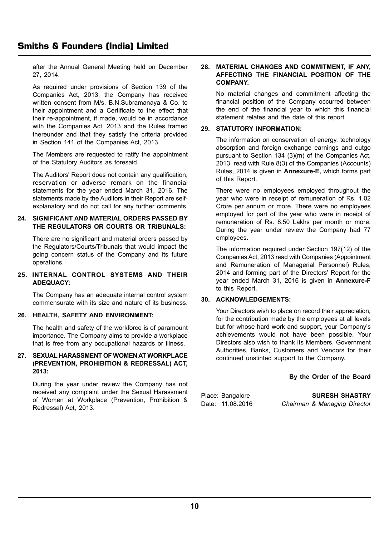after the Annual General Meeting held on December 27, 2014.

As required under provisions of Section 139 of the Companies Act, 2013, the Company has received written consent from M/s. B.N.Subramanaya & Co. to their appointment and a Certificate to the effect that their re-appointment, if made, would be in accordance with the Companies Act, 2013 and the Rules framed thereunder and that they satisfy the criteria provided in Section 141 of the Companies Act, 2013.

The Members are requested to ratify the appointment of the Statutory Auditors as foresaid.

The Auditors' Report does not contain any qualification, reservation or adverse remark on the financial statements for the year ended March 31, 2016. The statements made by the Auditors in their Report are selfexplanatory and do not call for any further comments.

#### **24. SIGNIFICANT AND MATERIAL ORDERS PASSED BY THE REGULATORS OR COURTS OR TRIBUNALS:**

There are no significant and material orders passed by the Regulators/Courts/Tribunals that would impact the going concern status of the Company and its future operations.

#### **25. INTERNAL CONTROL SYSTEMS AND THEIR ADEQUACY:**

The Company has an adequate internal control system commensurate with its size and nature of its business.

#### **26. HEALTH, SAFETY AND ENVIRONMENT:**

The health and safety of the workforce is of paramount importance. The Company aims to provide a workplace that is free from any occupational hazards or illness.

#### **27. SEXUAL HARASSMENT OF WOMEN AT WORKPLACE (PREVENTION, PROHIBITION & REDRESSAL) ACT, 2013:**

During the year under review the Company has not received any complaint under the Sexual Harassment of Women at Workplace (Prevention, Prohibition & Redressal) Act, 2013.

#### **28. MATERIAL CHANGES AND COMMITMENT, IF ANY, AFFECTING THE FINANCIAL POSITION OF THE COMPANY.**

No material changes and commitment affecting the financial position of the Company occurred between the end of the financial year to which this financial statement relates and the date of this report.

#### **29. STATUTORY INFORMATION:**

The information on conservation of energy, technology absorption and foreign exchange earnings and outgo pursuant to Section 134 (3)(m) of the Companies Act 2013, read with Rule 8(3) of the Companies (Accounts) Rules, 2014 is given in **Annexure-E,** which forms part of this Report.

There were no employees employed throughout the year who were in receipt of remuneration of Rs. 1.02 Crore per annum or more. There were no employees employed for part of the year who were in receipt of remuneration of Rs. 8.50 Lakhs per month or more. During the year under review the Company had 77 employees.

The information required under Section 197(12) of the Companies Act, 2013 read with Companies (Appointment and Remuneration of Managerial Personnel) Rules, 2014 and forming part of the Directors' Report for the year ended March 31, 2016 is given in **Annexure-F** to this Report.

#### **30. ACKNOWLEDGEMENTS:**

Your Directors wish to place on record their appreciation, for the contribution made by the employees at all levels but for whose hard work and support, your Company's achievements would not have been possible. Your Directors also wish to thank its Members, Government Authorities, Banks, Customers and Vendors for their continued unstinted support to the Company.

#### **By the Order of the Board**

| Place: Bangalore |                              | <b>SURESH SHASTRY</b> |  |
|------------------|------------------------------|-----------------------|--|
| Date: 11.08.2016 | Chairman & Managing Director |                       |  |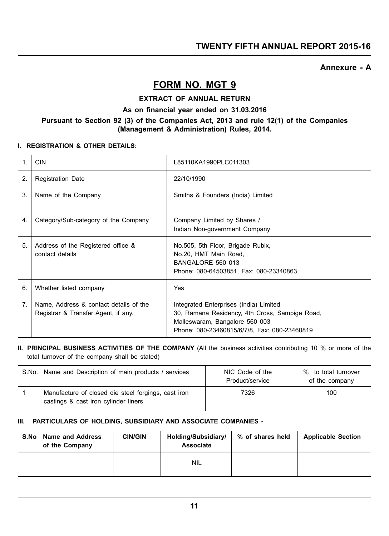**Annexure - A**

### **FORM NO. MGT 9**

#### **EXTRACT OF ANNUAL RETURN**

#### **As on financial year ended on 31.03.2016**

#### **Pursuant to Section 92 (3) of the Companies Act, 2013 and rule 12(1) of the Companies (Management & Administration) Rules, 2014.**

#### **I. REGISTRATION & OTHER DETAILS:**

| 1.           | <b>CIN</b>                                                                    | L85110KA1990PLC011303                                                                                                                                                      |
|--------------|-------------------------------------------------------------------------------|----------------------------------------------------------------------------------------------------------------------------------------------------------------------------|
| $\mathbf{2}$ | <b>Registration Date</b>                                                      | 22/10/1990                                                                                                                                                                 |
| 3.           | Name of the Company                                                           | Smiths & Founders (India) Limited                                                                                                                                          |
| 4.           | Category/Sub-category of the Company                                          | Company Limited by Shares /<br>Indian Non-government Company                                                                                                               |
| 5.           | Address of the Registered office &<br>contact details                         | No.505, 5th Floor, Brigade Rubix,<br>No.20, HMT Main Road,<br><b>BANGALORE 560 013</b><br>Phone: 080-64503851, Fax: 080-23340863                                           |
| 6.           | Whether listed company                                                        | Yes                                                                                                                                                                        |
| 7.           | Name, Address & contact details of the<br>Registrar & Transfer Agent, if any. | Integrated Enterprises (India) Limited<br>30, Ramana Residency, 4th Cross, Sampige Road,<br>Malleswaram, Bangalore 560 003<br>Phone: 080-23460815/6/7/8, Fax: 080-23460819 |

#### **II. PRINCIPAL BUSINESS ACTIVITIES OF THE COMPANY (All the business activities contributing 10 % or more of the** total turnover of the company shall be stated)

| S.No. | Name and Description of main products / services                                            | NIC Code of the<br>Product/service | % to total turnover<br>of the company |
|-------|---------------------------------------------------------------------------------------------|------------------------------------|---------------------------------------|
|       | Manufacture of closed die steel forgings, cast iron<br>castings & cast iron cylinder liners | 7326                               | 100                                   |

#### **III. PARTICULARS OF HOLDING, SUBSIDIARY AND ASSOCIATE COMPANIES -**

| S.No | <b>Name and Address</b><br>of the Company | <b>CIN/GIN</b> | Holding/Subsidiary/<br><b>Associate</b> | % of shares held | <b>Applicable Section</b> |
|------|-------------------------------------------|----------------|-----------------------------------------|------------------|---------------------------|
|      |                                           |                | <b>NIL</b>                              |                  |                           |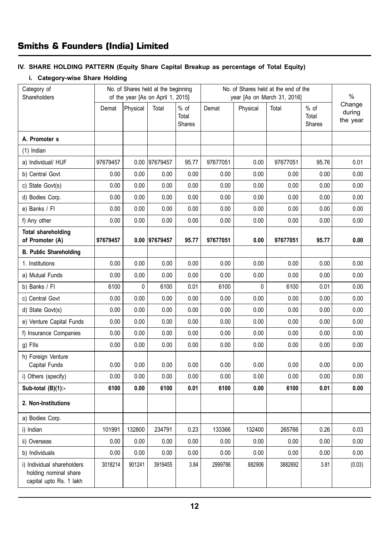### **Smiths & Founders (India) Limited**

#### **IV. SHARE HOLDING PATTERN (Equity Share Capital Breakup as percentage of Total Equity)**

### **i. Category-wise Share Holding**

| Category of<br>Shareholders                                                    | No. of Shares held at the beginning<br>No. of Shares held at the end of the<br>of the year [As on April 1, 2015]<br>year [As on March 31, 2016] |          |               |                           | $\%$     |          |          |                           |                              |
|--------------------------------------------------------------------------------|-------------------------------------------------------------------------------------------------------------------------------------------------|----------|---------------|---------------------------|----------|----------|----------|---------------------------|------------------------------|
|                                                                                | Demat                                                                                                                                           | Physical | Total         | $%$ of<br>Total<br>Shares | Demat    | Physical | Total    | $%$ of<br>Total<br>Shares | Change<br>during<br>the year |
| A. Promoter s                                                                  |                                                                                                                                                 |          |               |                           |          |          |          |                           |                              |
| $(1)$ Indian                                                                   |                                                                                                                                                 |          |               |                           |          |          |          |                           |                              |
| a) Individual/ HUF                                                             | 97679457                                                                                                                                        |          | 0.00 97679457 | 95.77                     | 97677051 | 0.00     | 97677051 | 95.76                     | 0.01                         |
| b) Central Govt                                                                | 0.00                                                                                                                                            | 0.00     | 0.00          | 0.00                      | 0.00     | 0.00     | 0.00     | 0.00                      | 0.00                         |
| c) State Govt(s)                                                               | 0.00                                                                                                                                            | 0.00     | 0.00          | 0.00                      | 0.00     | 0.00     | 0.00     | 0.00                      | 0.00                         |
| d) Bodies Corp.                                                                | 0.00                                                                                                                                            | 0.00     | 0.00          | 0.00                      | 0.00     | 0.00     | 0.00     | 0.00                      | 0.00                         |
| e) Banks / Fl                                                                  | 0.00                                                                                                                                            | 0.00     | 0.00          | 0.00                      | 0.00     | 0.00     | 0.00     | 0.00                      | 0.00                         |
| f) Any other                                                                   | 0.00                                                                                                                                            | 0.00     | 0.00          | 0.00                      | 0.00     | 0.00     | 0.00     | 0.00                      | 0.00                         |
| <b>Total shareholding</b><br>of Promoter (A)                                   | 97679457                                                                                                                                        |          | 0.00 97679457 | 95.77                     | 97677051 | 0.00     | 97677051 | 95.77                     | 0.00                         |
| <b>B. Public Shareholding</b>                                                  |                                                                                                                                                 |          |               |                           |          |          |          |                           |                              |
| 1. Institutions                                                                | 0.00                                                                                                                                            | 0.00     | 0.00          | 0.00                      | 0.00     | 0.00     | 0.00     | 0.00                      | 0.00                         |
| a) Mutual Funds                                                                | 0.00                                                                                                                                            | 0.00     | 0.00          | 0.00                      | 0.00     | 0.00     | 0.00     | 0.00                      | 0.00                         |
| b) Banks / Fl                                                                  | 6100                                                                                                                                            | 0        | 6100          | 0.01                      | 6100     | 0        | 6100     | 0.01                      | 0.00                         |
| c) Central Govt                                                                | 0.00                                                                                                                                            | 0.00     | 0.00          | 0.00                      | 0.00     | 0.00     | 0.00     | 0.00                      | 0.00                         |
| d) State Govt(s)                                                               | 0.00                                                                                                                                            | 0.00     | 0.00          | 0.00                      | 0.00     | 0.00     | 0.00     | 0.00                      | 0.00                         |
| e) Venture Capital Funds                                                       | 0.00                                                                                                                                            | 0.00     | 0.00          | 0.00                      | 0.00     | 0.00     | 0.00     | 0.00                      | 0.00                         |
| f) Insurance Companies                                                         | 0.00                                                                                                                                            | 0.00     | 0.00          | 0.00                      | 0.00     | 0.00     | 0.00     | 0.00                      | 0.00                         |
| g) Fils                                                                        | 0.00                                                                                                                                            | 0.00     | 0.00          | 0.00                      | 0.00     | 0.00     | 0.00     | 0.00                      | 0.00                         |
| h) Foreign Venture<br>Capital Funds                                            | 0.00                                                                                                                                            | 0.00     | 0.00          | 0.00                      | 0.00     | 0.00     | 0.00     | 0.00                      | 0.00                         |
| i) Others (specify)                                                            | 0.00                                                                                                                                            | 0.00     | 0.00          | 0.00                      | 0.00     | 0.00     | 0.00     | 0.00                      | 0.00                         |
| Sub-total $(B)(1)$ :-                                                          | 6100                                                                                                                                            | 0.00     | 6100          | 0.01                      | 6100     | 0.00     | 6100     | 0.01                      | 0.00                         |
| 2. Non-Institutions                                                            |                                                                                                                                                 |          |               |                           |          |          |          |                           |                              |
| a) Bodies Corp.                                                                |                                                                                                                                                 |          |               |                           |          |          |          |                           |                              |
| i) Indian                                                                      | 101991                                                                                                                                          | 132800   | 234791        | 0.23                      | 133366   | 132400   | 265766   | 0.26                      | 0.03                         |
| ii) Overseas                                                                   | 0.00                                                                                                                                            | 0.00     | 0.00          | 0.00                      | 0.00     | 0.00     | 0.00     | 0.00                      | 0.00                         |
| b) Individuals                                                                 | 0.00                                                                                                                                            | 0.00     | 0.00          | 0.00                      | 0.00     | 0.00     | 0.00     | 0.00                      | 0.00                         |
| i) Individual shareholders<br>holding nominal share<br>capital upto Rs. 1 lakh | 3018214                                                                                                                                         | 901241   | 3919455       | 3.84                      | 2999786  | 882906   | 3882692  | 3.81                      | (0.03)                       |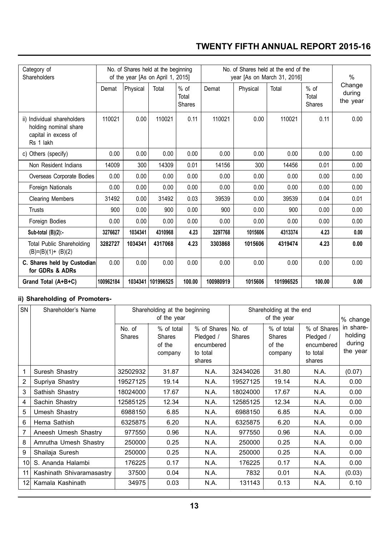### **TWENTY FIFTH ANNUAL REPORT 2015-16**

| Category of<br>Shareholders                                                               | No. of Shares held at the beginning<br>of the year [As on April 1, 2015] |          |                   |                                  | No. of Shares held at the end of the<br>year [As on March 31, 2016] |          |           |                                  | $\%$                         |
|-------------------------------------------------------------------------------------------|--------------------------------------------------------------------------|----------|-------------------|----------------------------------|---------------------------------------------------------------------|----------|-----------|----------------------------------|------------------------------|
|                                                                                           | Demat                                                                    | Physical | Total             | $%$ of<br>Total<br><b>Shares</b> | Demat                                                               | Physical | Total     | $%$ of<br>Total<br><b>Shares</b> | Change<br>during<br>the year |
| ii) Individual shareholders<br>holding nominal share<br>capital in excess of<br>Rs 1 lakh | 110021                                                                   | 0.00     | 110021            | 0.11                             | 110021                                                              | 0.00     | 110021    | 0.11                             | 0.00                         |
| c) Others (specify)                                                                       | 0.00                                                                     | 0.00     | 0.00              | 0.00                             | 0.00                                                                | 0.00     | 0.00      | 0.00                             | 0.00                         |
| Non Resident Indians                                                                      | 14009                                                                    | 300      | 14309             | 0.01                             | 14156                                                               | 300      | 14456     | 0.01                             | 0.00                         |
| Overseas Corporate Bodies                                                                 | 0.00                                                                     | 0.00     | 0.00              | 0.00                             | 0.00                                                                | 0.00     | 0.00      | 0.00                             | 0.00                         |
| Foreign Nationals                                                                         | 0.00                                                                     | 0.00     | 0.00              | 0.00                             | 0.00                                                                | 0.00     | 0.00      | 0.00                             | 0.00                         |
| <b>Clearing Members</b>                                                                   | 31492                                                                    | 0.00     | 31492             | 0.03                             | 39539                                                               | 0.00     | 39539     | 0.04                             | 0.01                         |
| Trusts                                                                                    | 900                                                                      | 0.00     | 900               | 0.00                             | 900                                                                 | 0.00     | 900       | 0.00                             | 0.00                         |
| Foreign Bodies                                                                            | 0.00                                                                     | 0.00     | 0.00              | 0.00                             | 0.00                                                                | 0.00     | 0.00      | 0.00                             | 0.00                         |
| Sub-total $(B)(2)$ :-                                                                     | 3276627                                                                  | 1034341  | 4310968           | 4.23                             | 3297768                                                             | 1015606  | 4313374   | 4.23                             | 0.00                         |
| <b>Total Public Shareholding</b><br>$(B)=(B)(1)+(B)(2)$                                   | 3282727                                                                  | 1034341  | 4317068           | 4.23                             | 3303868                                                             | 1015606  | 4319474   | 4.23                             | 0.00                         |
| C. Shares held by Custodian<br>for GDRs & ADRs                                            | 0.00                                                                     | 0.00     | 0.00              | 0.00                             | 0.00                                                                | 0.00     | 0.00      | 0.00                             | 0.00                         |
| Grand Total (A+B+C)                                                                       | 100962184                                                                |          | 1034341 101996525 | 100.00                           | 100980919                                                           | 1015606  | 101996525 | 100.00                           | 0.00                         |

#### **ii) Shareholding of Promoters-**

| SN              | Shareholder's Name        | Shareholding at the beginning<br>of the year |                                                  |                                                              | Shareholding at the end<br>of the year |                                                  |                                                              | % change                                   |
|-----------------|---------------------------|----------------------------------------------|--------------------------------------------------|--------------------------------------------------------------|----------------------------------------|--------------------------------------------------|--------------------------------------------------------------|--------------------------------------------|
|                 |                           | No. of<br><b>Shares</b>                      | % of total<br><b>Shares</b><br>of the<br>company | % of Shares<br>Pledged /<br>encumbered<br>to total<br>shares | No. of<br><b>Shares</b>                | % of total<br><b>Shares</b><br>of the<br>company | % of Shares<br>Pledged /<br>encumbered<br>to total<br>shares | in share-<br>holding<br>during<br>the year |
|                 | Suresh Shastry            | 32502932                                     | 31.87                                            | N.A.                                                         | 32434026                               | 31.80                                            | N.A.                                                         | (0.07)                                     |
| $\overline{2}$  | Supriya Shastry           | 19527125                                     | 19.14                                            | N.A.                                                         | 19527125                               | 19.14                                            | N.A.                                                         | 0.00                                       |
| 3               | Sathish Shastry           | 18024000                                     | 17.67                                            | N.A.                                                         | 18024000                               | 17.67                                            | N.A.                                                         | 0.00                                       |
| 4               | Sachin Shastry            | 12585125                                     | 12.34                                            | N.A.                                                         | 12585125                               | 12.34                                            | N.A.                                                         | 0.00                                       |
| 5               | Umesh Shastry             | 6988150                                      | 6.85                                             | N.A.                                                         | 6988150                                | 6.85                                             | N.A.                                                         | 0.00                                       |
| 6               | Hema Sathish              | 6325875                                      | 6.20                                             | N.A.                                                         | 6325875                                | 6.20                                             | N.A.                                                         | 0.00                                       |
| 7               | Aneesh Umesh Shastry      | 977550                                       | 0.96                                             | N.A.                                                         | 977550                                 | 0.96                                             | N.A.                                                         | 0.00                                       |
| 8               | Amrutha Umesh Shastry     | 250000                                       | 0.25                                             | N.A.                                                         | 250000                                 | 0.25                                             | N.A.                                                         | 0.00                                       |
| 9               | Shailaja Suresh           | 250000                                       | 0.25                                             | N.A.                                                         | 250000                                 | 0.25                                             | N.A.                                                         | 0.00                                       |
| 10 <sup>1</sup> | S. Ananda Halambi         | 176225                                       | 0.17                                             | N.A.                                                         | 176225                                 | 0.17                                             | N.A.                                                         | 0.00                                       |
| 11              | Kashinath Shivaramasastry | 37500                                        | 0.04                                             | N.A.                                                         | 7832                                   | 0.01                                             | N.A.                                                         | (0.03)                                     |
| 12              | Kamala Kashinath          | 34975                                        | 0.03                                             | N.A.                                                         | 131143                                 | 0.13                                             | N.A.                                                         | 0.10                                       |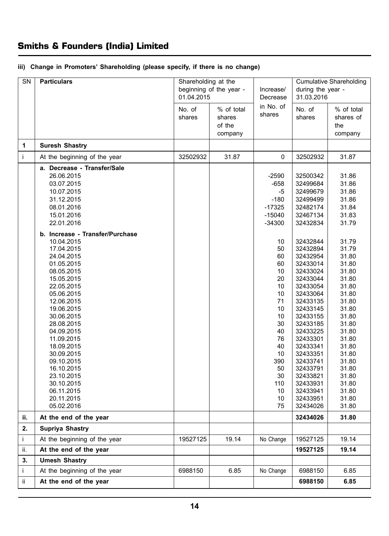### **Smiths & Founders (India) Limited**

### **iii) Change in Promoters' Shareholding (please specify, if there is no change)**

| SN  | <b>Particulars</b><br>01.04.2015                                                                                                                                                                                                                                                                                                                                                                                                                                                     |                  | Shareholding at the<br>beginning of the year - | Increase/<br>Decrease                                                                                                                                                                                   | <b>Cumulative Shareholding</b><br>during the year -<br>31.03.2016                                                                                                                                                                                                                                                                                        |                                                                                                                                                                                                                                                                   |
|-----|--------------------------------------------------------------------------------------------------------------------------------------------------------------------------------------------------------------------------------------------------------------------------------------------------------------------------------------------------------------------------------------------------------------------------------------------------------------------------------------|------------------|------------------------------------------------|---------------------------------------------------------------------------------------------------------------------------------------------------------------------------------------------------------|----------------------------------------------------------------------------------------------------------------------------------------------------------------------------------------------------------------------------------------------------------------------------------------------------------------------------------------------------------|-------------------------------------------------------------------------------------------------------------------------------------------------------------------------------------------------------------------------------------------------------------------|
|     |                                                                                                                                                                                                                                                                                                                                                                                                                                                                                      | No. of<br>shares | % of total<br>shares<br>of the<br>company      | in No. of<br>shares                                                                                                                                                                                     | No. of<br>shares                                                                                                                                                                                                                                                                                                                                         | % of total<br>shares of<br>the<br>company                                                                                                                                                                                                                         |
| 1   | <b>Suresh Shastry</b>                                                                                                                                                                                                                                                                                                                                                                                                                                                                |                  |                                                |                                                                                                                                                                                                         |                                                                                                                                                                                                                                                                                                                                                          |                                                                                                                                                                                                                                                                   |
| i.  | At the beginning of the year                                                                                                                                                                                                                                                                                                                                                                                                                                                         | 32502932         | 31.87                                          | 0                                                                                                                                                                                                       | 32502932                                                                                                                                                                                                                                                                                                                                                 | 31.87                                                                                                                                                                                                                                                             |
|     | a. Decrease - Transfer/Sale<br>26.06.2015<br>03.07.2015<br>10.07.2015<br>31.12.2015<br>08.01.2016<br>15.01.2016<br>22.01.2016<br>b. Increase - Transfer/Purchase<br>10.04.2015<br>17.04.2015<br>24.04.2015<br>01.05.2015<br>08.05.2015<br>15.05.2015<br>22.05.2015<br>05.06.2015<br>12.06.2015<br>19.06.2015<br>30.06.2015<br>28.08.2015<br>04.09.2015<br>11.09.2015<br>18.09.2015<br>30.09.2015<br>09.10.2015<br>16.10.2015<br>23.10.2015<br>30.10.2015<br>06.11.2015<br>20.11.2015 |                  |                                                | $-2590$<br>-658<br>-5<br>$-180$<br>$-17325$<br>$-15040$<br>-34300<br>10<br>50<br>60<br>60<br>10<br>20<br>10<br>10<br>71<br>10<br>10<br>30<br>40<br>76<br>40<br>10<br>390<br>50<br>30<br>110<br>10<br>10 | 32500342<br>32499684<br>32499679<br>32499499<br>32482174<br>32467134<br>32432834<br>32432844<br>32432894<br>32432954<br>32433014<br>32433024<br>32433044<br>32433054<br>32433064<br>32433135<br>32433145<br>32433155<br>32433185<br>32433225<br>32433301<br>32433341<br>32433351<br>32433741<br>32433791<br>32433821<br>32433931<br>32433941<br>32433951 | 31.86<br>31.86<br>31.86<br>31.86<br>31.84<br>31.83<br>31.79<br>31.79<br>31.79<br>31.80<br>31.80<br>31.80<br>31.80<br>31.80<br>31.80<br>31.80<br>31.80<br>31.80<br>31.80<br>31.80<br>31.80<br>31.80<br>31.80<br>31.80<br>31.80<br>31.80<br>31.80<br>31.80<br>31.80 |
|     | 05.02.2016                                                                                                                                                                                                                                                                                                                                                                                                                                                                           |                  |                                                | 75                                                                                                                                                                                                      | 32434026                                                                                                                                                                                                                                                                                                                                                 | 31.80                                                                                                                                                                                                                                                             |
| ii. | At the end of the year                                                                                                                                                                                                                                                                                                                                                                                                                                                               |                  |                                                |                                                                                                                                                                                                         | 32434026                                                                                                                                                                                                                                                                                                                                                 | 31.80                                                                                                                                                                                                                                                             |
| 2.  | Supriya Shastry                                                                                                                                                                                                                                                                                                                                                                                                                                                                      |                  |                                                |                                                                                                                                                                                                         |                                                                                                                                                                                                                                                                                                                                                          |                                                                                                                                                                                                                                                                   |
| i.  | At the beginning of the year                                                                                                                                                                                                                                                                                                                                                                                                                                                         | 19527125         | 19.14                                          | No Change                                                                                                                                                                                               | 19527125                                                                                                                                                                                                                                                                                                                                                 | 19.14                                                                                                                                                                                                                                                             |
| ii. | At the end of the year                                                                                                                                                                                                                                                                                                                                                                                                                                                               |                  |                                                |                                                                                                                                                                                                         | 19527125                                                                                                                                                                                                                                                                                                                                                 | 19.14                                                                                                                                                                                                                                                             |
| 3.  | <b>Umesh Shastry</b>                                                                                                                                                                                                                                                                                                                                                                                                                                                                 |                  |                                                |                                                                                                                                                                                                         |                                                                                                                                                                                                                                                                                                                                                          |                                                                                                                                                                                                                                                                   |
| i.  | At the beginning of the year                                                                                                                                                                                                                                                                                                                                                                                                                                                         | 6988150          | 6.85                                           | No Change                                                                                                                                                                                               | 6988150                                                                                                                                                                                                                                                                                                                                                  | 6.85                                                                                                                                                                                                                                                              |
| ii. | At the end of the year                                                                                                                                                                                                                                                                                                                                                                                                                                                               |                  |                                                |                                                                                                                                                                                                         | 6988150                                                                                                                                                                                                                                                                                                                                                  | 6.85                                                                                                                                                                                                                                                              |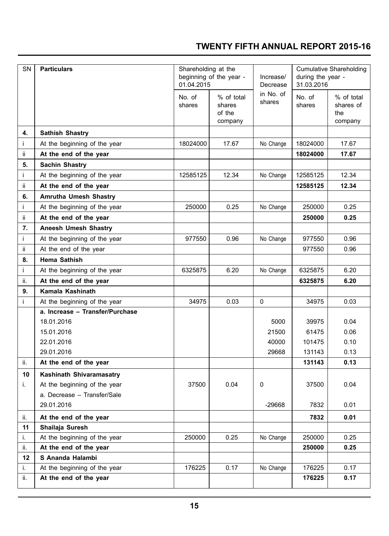### **TWENTY FIFTH ANNUAL REPORT 2015-16**

| SN  | <b>Particulars</b>              | Shareholding at the<br>01.04.2015 | beginning of the year -                   | Increase/<br>Decrease | during the year -<br>31.03.2016 | <b>Cumulative Shareholding</b>            |
|-----|---------------------------------|-----------------------------------|-------------------------------------------|-----------------------|---------------------------------|-------------------------------------------|
|     |                                 | No. of<br>shares                  | % of total<br>shares<br>of the<br>company | in No. of<br>shares   | No. of<br>shares                | % of total<br>shares of<br>the<br>company |
| 4.  | <b>Sathish Shastry</b>          |                                   |                                           |                       |                                 |                                           |
| Ť   | At the beginning of the year    | 18024000                          | 17.67                                     | No Change             | 18024000                        | 17.67                                     |
| ii. | At the end of the year          |                                   |                                           |                       | 18024000                        | 17.67                                     |
| 5.  | <b>Sachin Shastry</b>           |                                   |                                           |                       |                                 |                                           |
| j.  | At the beginning of the year    | 12585125                          | 12.34                                     | No Change             | 12585125                        | 12.34                                     |
| ii  | At the end of the year          |                                   |                                           |                       | 12585125                        | 12.34                                     |
| 6.  | Amrutha Umesh Shastry           |                                   |                                           |                       |                                 |                                           |
| Ť   | At the beginning of the year    | 250000                            | 0.25                                      | No Change             | 250000                          | 0.25                                      |
| ii. | At the end of the year          |                                   |                                           |                       | 250000                          | 0.25                                      |
| 7.  | <b>Aneesh Umesh Shastry</b>     |                                   |                                           |                       |                                 |                                           |
| Ť   | At the beginning of the year    | 977550                            | 0.96                                      | No Change             | 977550                          | 0.96                                      |
| ii. | At the end of the year          |                                   |                                           |                       | 977550                          | 0.96                                      |
| 8.  | <b>Hema Sathish</b>             |                                   |                                           |                       |                                 |                                           |
| j.  | At the beginning of the year    | 6325875                           | 6.20                                      | No Change             | 6325875                         | 6.20                                      |
| ii. | At the end of the year          |                                   |                                           |                       | 6325875                         | 6.20                                      |
| 9.  | Kamala Kashinath                |                                   |                                           |                       |                                 |                                           |
| Ť   | At the beginning of the year    | 34975                             | 0.03                                      | 0                     | 34975                           | 0.03                                      |
|     | a. Increase - Transfer/Purchase |                                   |                                           |                       |                                 |                                           |
|     | 18.01.2016                      |                                   |                                           | 5000                  | 39975                           | 0.04                                      |
|     | 15.01.2016                      |                                   |                                           | 21500                 | 61475                           | 0.06                                      |
|     | 22.01.2016                      |                                   |                                           | 40000                 | 101475                          | 0.10                                      |
|     | 29.01.2016                      |                                   |                                           | 29668                 | 131143                          | 0.13                                      |
| ii. | At the end of the year          |                                   |                                           |                       | 131143                          | 0.13                                      |
| 10  | Kashinath Shivaramasatry        |                                   |                                           |                       |                                 |                                           |
| i.  | At the beginning of the year    | 37500                             | 0.04                                      | 0                     | 37500                           | 0.04                                      |
|     | a. Decrease - Transfer/Sale     |                                   |                                           |                       |                                 |                                           |
|     | 29.01.2016                      |                                   |                                           | $-29668$              | 7832                            | 0.01                                      |
| ii. | At the end of the year          |                                   |                                           |                       | 7832                            | 0.01                                      |
| 11  | Shailaja Suresh                 |                                   |                                           |                       |                                 |                                           |
| i.  | At the beginning of the year    | 250000                            | 0.25                                      | No Change             | 250000                          | 0.25                                      |
| ii. | At the end of the year          |                                   |                                           |                       | 250000                          | 0.25                                      |
| 12  | S Ananda Halambi                |                                   |                                           |                       |                                 |                                           |
| i.  | At the beginning of the year    | 176225                            | 0.17                                      | No Change             | 176225                          | 0.17                                      |
| ii. | At the end of the year          |                                   |                                           |                       | 176225                          | 0.17                                      |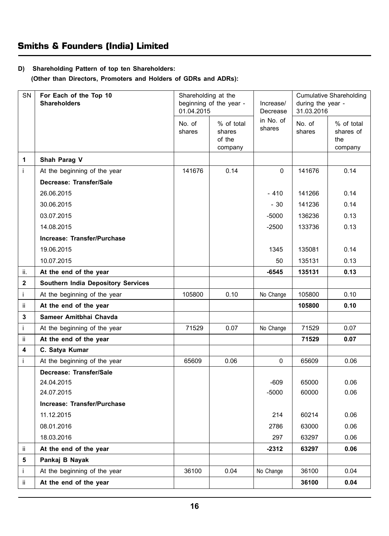### **Smiths & Founders (India) Limited**

#### **D) Shareholding Pattern of top ten Shareholders:**

 **(Other than Directors, Promoters and Holders of GDRs and ADRs):**

| <b>SN</b> | For Each of the Top 10<br><b>Shareholders</b> | Shareholding at the<br>beginning of the year -<br>01.04.2015 |                                           | Increase/<br>Decrease | <b>Cumulative Shareholding</b><br>during the year -<br>31.03.2016 |                                           |
|-----------|-----------------------------------------------|--------------------------------------------------------------|-------------------------------------------|-----------------------|-------------------------------------------------------------------|-------------------------------------------|
|           |                                               | No. of<br>shares                                             | % of total<br>shares<br>of the<br>company | in No. of<br>shares   | No. of<br>shares                                                  | % of total<br>shares of<br>the<br>company |
| 1         | Shah Parag V                                  |                                                              |                                           |                       |                                                                   |                                           |
| j.        | At the beginning of the year                  | 141676                                                       | 0.14                                      | $\Omega$              | 141676                                                            | 0.14                                      |
|           | Decrease: Transfer/Sale                       |                                                              |                                           |                       |                                                                   |                                           |
|           | 26.06.2015                                    |                                                              |                                           | $-410$                | 141266                                                            | 0.14                                      |
|           | 30.06.2015                                    |                                                              |                                           | $-30$                 | 141236                                                            | 0.14                                      |
|           | 03.07.2015                                    |                                                              |                                           | $-5000$               | 136236                                                            | 0.13                                      |
|           | 14.08.2015                                    |                                                              |                                           | $-2500$               | 133736                                                            | 0.13                                      |
|           | <b>Increase: Transfer/Purchase</b>            |                                                              |                                           |                       |                                                                   |                                           |
|           | 19.06.2015                                    |                                                              |                                           | 1345                  | 135081                                                            | 0.14                                      |
|           | 10.07.2015                                    |                                                              |                                           | 50                    | 135131                                                            | 0.13                                      |
| ii.       | At the end of the year                        |                                                              |                                           | $-6545$               | 135131                                                            | 0.13                                      |
| 2         | <b>Southern India Depository Services</b>     |                                                              |                                           |                       |                                                                   |                                           |
| i         | At the beginning of the year                  | 105800                                                       | 0.10                                      | No Change             | 105800                                                            | 0.10                                      |
| ii.       | At the end of the year                        |                                                              |                                           |                       | 105800                                                            | 0.10                                      |
| 3         | Sameer Amitbhai Chavda                        |                                                              |                                           |                       |                                                                   |                                           |
| j.        | At the beginning of the year                  | 71529                                                        | 0.07                                      | No Change             | 71529                                                             | 0.07                                      |
| ii.       | At the end of the year                        |                                                              |                                           |                       | 71529                                                             | 0.07                                      |
| 4         | C. Satya Kumar                                |                                                              |                                           |                       |                                                                   |                                           |
| j.        | At the beginning of the year                  | 65609                                                        | 0.06                                      | 0                     | 65609                                                             | 0.06                                      |
|           | Decrease: Transfer/Sale                       |                                                              |                                           |                       |                                                                   |                                           |
|           | 24.04.2015                                    |                                                              |                                           | $-609$                | 65000                                                             | 0.06                                      |
|           | 24.07.2015                                    |                                                              |                                           | $-5000$               | 60000                                                             | 0.06                                      |
|           | Increase: Transfer/Purchase                   |                                                              |                                           |                       |                                                                   |                                           |
|           | 11.12.2015                                    |                                                              |                                           | 214                   | 60214                                                             | 0.06                                      |
|           | 08.01.2016                                    |                                                              |                                           | 2786                  | 63000                                                             | 0.06                                      |
|           | 18.03.2016                                    |                                                              |                                           | 297                   | 63297                                                             | 0.06                                      |
| ii        | At the end of the year                        |                                                              |                                           | $-2312$               | 63297                                                             | 0.06                                      |
| 5         | Pankaj B Nayak                                |                                                              |                                           |                       |                                                                   |                                           |
| Ť         | At the beginning of the year                  | 36100                                                        | 0.04                                      | No Change             | 36100                                                             | 0.04                                      |
| ij.       | At the end of the year                        |                                                              |                                           |                       | 36100                                                             | 0.04                                      |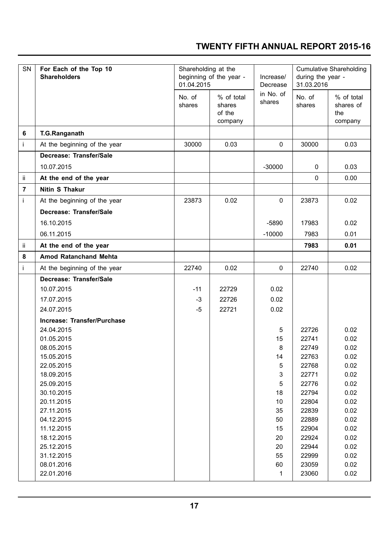### **TWENTY FIFTH ANNUAL REPORT 2015-16**

| in No. of<br>No. of<br>% of total<br>% of total<br>No. of<br>shares<br>shares<br>shares<br>shares<br>shares of<br>of the<br>the<br>company<br>company<br>6<br>T.G.Ranganath<br>At the beginning of the year<br>30000<br>30000<br>j.<br>0.03<br>0<br>0.03<br>Decrease: Transfer/Sale<br>10.07.2015<br>$-30000$<br>0<br>0.03<br>0<br>ii.<br>At the end of the year<br>0.00<br>$\overline{7}$<br><b>Nitin S Thakur</b><br>23873<br>0.02<br>0<br>23873<br>0.02<br>j.<br>At the beginning of the year<br>Decrease: Transfer/Sale<br>16.10.2015<br>$-5890$<br>17983<br>0.02<br>06.11.2015<br>0.01<br>$-10000$<br>7983<br>ii.<br>At the end of the year<br>7983<br>0.01<br>Amod Ratanchand Mehta<br>8 | SN | For Each of the Top 10<br><b>Shareholders</b> | Shareholding at the<br>beginning of the year -<br>01.04.2015 | Increase/<br>Decrease | Cumulative Shareholding<br>during the year -<br>31.03.2016 |  |
|------------------------------------------------------------------------------------------------------------------------------------------------------------------------------------------------------------------------------------------------------------------------------------------------------------------------------------------------------------------------------------------------------------------------------------------------------------------------------------------------------------------------------------------------------------------------------------------------------------------------------------------------------------------------------------------------|----|-----------------------------------------------|--------------------------------------------------------------|-----------------------|------------------------------------------------------------|--|
|                                                                                                                                                                                                                                                                                                                                                                                                                                                                                                                                                                                                                                                                                                |    |                                               |                                                              |                       |                                                            |  |
|                                                                                                                                                                                                                                                                                                                                                                                                                                                                                                                                                                                                                                                                                                |    |                                               |                                                              |                       |                                                            |  |
|                                                                                                                                                                                                                                                                                                                                                                                                                                                                                                                                                                                                                                                                                                |    |                                               |                                                              |                       |                                                            |  |
|                                                                                                                                                                                                                                                                                                                                                                                                                                                                                                                                                                                                                                                                                                |    |                                               |                                                              |                       |                                                            |  |
|                                                                                                                                                                                                                                                                                                                                                                                                                                                                                                                                                                                                                                                                                                |    |                                               |                                                              |                       |                                                            |  |
|                                                                                                                                                                                                                                                                                                                                                                                                                                                                                                                                                                                                                                                                                                |    |                                               |                                                              |                       |                                                            |  |
|                                                                                                                                                                                                                                                                                                                                                                                                                                                                                                                                                                                                                                                                                                |    |                                               |                                                              |                       |                                                            |  |
|                                                                                                                                                                                                                                                                                                                                                                                                                                                                                                                                                                                                                                                                                                |    |                                               |                                                              |                       |                                                            |  |
|                                                                                                                                                                                                                                                                                                                                                                                                                                                                                                                                                                                                                                                                                                |    |                                               |                                                              |                       |                                                            |  |
|                                                                                                                                                                                                                                                                                                                                                                                                                                                                                                                                                                                                                                                                                                |    |                                               |                                                              |                       |                                                            |  |
|                                                                                                                                                                                                                                                                                                                                                                                                                                                                                                                                                                                                                                                                                                |    |                                               |                                                              |                       |                                                            |  |
|                                                                                                                                                                                                                                                                                                                                                                                                                                                                                                                                                                                                                                                                                                |    |                                               |                                                              |                       |                                                            |  |
|                                                                                                                                                                                                                                                                                                                                                                                                                                                                                                                                                                                                                                                                                                |    |                                               |                                                              |                       |                                                            |  |
| 22740<br>0<br>0.02<br>At the beginning of the year<br>0.02<br>22740<br>÷                                                                                                                                                                                                                                                                                                                                                                                                                                                                                                                                                                                                                       |    |                                               |                                                              |                       |                                                            |  |
| Decrease: Transfer/Sale                                                                                                                                                                                                                                                                                                                                                                                                                                                                                                                                                                                                                                                                        |    |                                               |                                                              |                       |                                                            |  |
| 10.07.2015<br>$-11$<br>22729<br>0.02                                                                                                                                                                                                                                                                                                                                                                                                                                                                                                                                                                                                                                                           |    |                                               |                                                              |                       |                                                            |  |
| $-3$<br>22726<br>17.07.2015<br>0.02                                                                                                                                                                                                                                                                                                                                                                                                                                                                                                                                                                                                                                                            |    |                                               |                                                              |                       |                                                            |  |
| 24.07.2015<br>22721<br>0.02<br>-5                                                                                                                                                                                                                                                                                                                                                                                                                                                                                                                                                                                                                                                              |    |                                               |                                                              |                       |                                                            |  |
| Increase: Transfer/Purchase                                                                                                                                                                                                                                                                                                                                                                                                                                                                                                                                                                                                                                                                    |    |                                               |                                                              |                       |                                                            |  |
| 24.04.2015<br>0.02<br>5<br>22726                                                                                                                                                                                                                                                                                                                                                                                                                                                                                                                                                                                                                                                               |    |                                               |                                                              |                       |                                                            |  |
| 22741<br>0.02<br>01.05.2015<br>15                                                                                                                                                                                                                                                                                                                                                                                                                                                                                                                                                                                                                                                              |    |                                               |                                                              |                       |                                                            |  |
| 08.05.2015<br>8<br>22749<br>0.02                                                                                                                                                                                                                                                                                                                                                                                                                                                                                                                                                                                                                                                               |    |                                               |                                                              |                       |                                                            |  |
| 22763<br>0.02<br>15.05.2015<br>14<br>0.02<br>22.05.2015<br>5<br>22768                                                                                                                                                                                                                                                                                                                                                                                                                                                                                                                                                                                                                          |    |                                               |                                                              |                       |                                                            |  |
| 3<br>0.02<br>18.09.2015<br>22771                                                                                                                                                                                                                                                                                                                                                                                                                                                                                                                                                                                                                                                               |    |                                               |                                                              |                       |                                                            |  |
| 5<br>0.02<br>25.09.2015<br>22776                                                                                                                                                                                                                                                                                                                                                                                                                                                                                                                                                                                                                                                               |    |                                               |                                                              |                       |                                                            |  |
| 18<br>0.02<br>30.10.2015<br>22794                                                                                                                                                                                                                                                                                                                                                                                                                                                                                                                                                                                                                                                              |    |                                               |                                                              |                       |                                                            |  |
| 20.11.2015<br>10<br>0.02<br>22804                                                                                                                                                                                                                                                                                                                                                                                                                                                                                                                                                                                                                                                              |    |                                               |                                                              |                       |                                                            |  |
| 35<br>27.11.2015<br>22839<br>0.02                                                                                                                                                                                                                                                                                                                                                                                                                                                                                                                                                                                                                                                              |    |                                               |                                                              |                       |                                                            |  |
| 0.02<br>04.12.2015<br>22889<br>50                                                                                                                                                                                                                                                                                                                                                                                                                                                                                                                                                                                                                                                              |    |                                               |                                                              |                       |                                                            |  |
| 0.02<br>11.12.2015<br>15<br>22904                                                                                                                                                                                                                                                                                                                                                                                                                                                                                                                                                                                                                                                              |    |                                               |                                                              |                       |                                                            |  |
| 22924<br>0.02<br>18.12.2015<br>20                                                                                                                                                                                                                                                                                                                                                                                                                                                                                                                                                                                                                                                              |    |                                               |                                                              |                       |                                                            |  |
| 0.02<br>25.12.2015<br>20<br>22944<br>55<br>22999<br>0.02<br>31.12.2015                                                                                                                                                                                                                                                                                                                                                                                                                                                                                                                                                                                                                         |    |                                               |                                                              |                       |                                                            |  |
| 08.01.2016<br>60<br>23059<br>0.02                                                                                                                                                                                                                                                                                                                                                                                                                                                                                                                                                                                                                                                              |    |                                               |                                                              |                       |                                                            |  |
| 22.01.2016<br>1<br>23060<br>0.02                                                                                                                                                                                                                                                                                                                                                                                                                                                                                                                                                                                                                                                               |    |                                               |                                                              |                       |                                                            |  |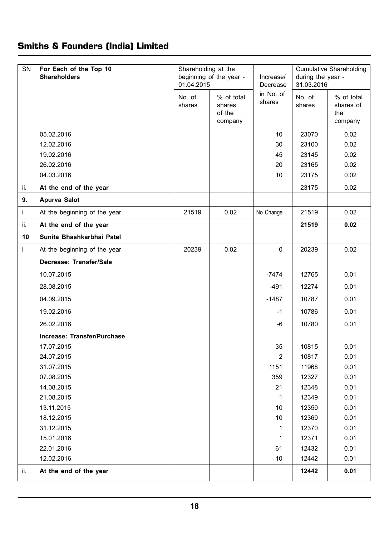### **Smiths & Founders (India) Limited**

| SN  | For Each of the Top 10<br><b>Shareholders</b> | Shareholding at the<br>beginning of the year -<br>01.04.2015 |                                           | Increase/<br>Decrease | <b>Cumulative Shareholding</b><br>during the year -<br>31.03.2016 |                                           |
|-----|-----------------------------------------------|--------------------------------------------------------------|-------------------------------------------|-----------------------|-------------------------------------------------------------------|-------------------------------------------|
|     |                                               | No. of<br>shares                                             | % of total<br>shares<br>of the<br>company | in No. of<br>shares   | No. of<br>shares                                                  | % of total<br>shares of<br>the<br>company |
|     | 05.02.2016                                    |                                                              |                                           | 10                    | 23070                                                             | 0.02                                      |
|     | 12.02.2016                                    |                                                              |                                           | 30                    | 23100                                                             | 0.02                                      |
|     | 19.02.2016                                    |                                                              |                                           | 45                    | 23145                                                             | 0.02                                      |
|     | 26.02.2016                                    |                                                              |                                           | 20                    | 23165                                                             | 0.02                                      |
|     | 04.03.2016                                    |                                                              |                                           | 10                    | 23175                                                             | 0.02                                      |
| ii. | At the end of the year                        |                                                              |                                           |                       | 23175                                                             | 0.02                                      |
| 9.  | Apurva Salot                                  |                                                              |                                           |                       |                                                                   |                                           |
| i.  | At the beginning of the year                  | 21519                                                        | 0.02                                      | No Change             | 21519                                                             | 0.02                                      |
| ii. | At the end of the year                        |                                                              |                                           |                       | 21519                                                             | 0.02                                      |
| 10  | Sunita Bhashkarbhai Patel                     |                                                              |                                           |                       |                                                                   |                                           |
| i.  | At the beginning of the year                  | 20239                                                        | 0.02                                      | 0                     | 20239                                                             | 0.02                                      |
|     | Decrease: Transfer/Sale                       |                                                              |                                           |                       |                                                                   |                                           |
|     | 10.07.2015                                    |                                                              |                                           | $-7474$               | 12765                                                             | 0.01                                      |
|     | 28.08.2015                                    |                                                              |                                           | -491                  | 12274                                                             | 0.01                                      |
|     | 04.09.2015                                    |                                                              |                                           | $-1487$               | 10787                                                             | 0.01                                      |
|     | 19.02.2016                                    |                                                              |                                           | $-1$                  | 10786                                                             | 0.01                                      |
|     | 26.02.2016                                    |                                                              |                                           | -6                    | 10780                                                             | 0.01                                      |
|     | Increase: Transfer/Purchase                   |                                                              |                                           |                       |                                                                   |                                           |
|     | 17.07.2015                                    |                                                              |                                           | 35                    | 10815                                                             | 0.01                                      |
|     | 24.07.2015                                    |                                                              |                                           | 2                     | 10817                                                             | 0.01                                      |
|     | 31.07.2015                                    |                                                              |                                           | 1151                  | 11968                                                             | 0.01                                      |
|     | 07.08.2015                                    |                                                              |                                           | 359                   | 12327                                                             | 0.01                                      |
|     | 14.08.2015                                    |                                                              |                                           | 21                    | 12348                                                             | 0.01                                      |
|     | 21.08.2015                                    |                                                              |                                           | $\mathbf{1}$          | 12349                                                             | 0.01                                      |
|     | 13.11.2015                                    |                                                              |                                           | 10                    | 12359                                                             | 0.01                                      |
|     | 18.12.2015                                    |                                                              |                                           | $10\,$                | 12369                                                             | 0.01                                      |
|     | 31.12.2015                                    |                                                              |                                           | $\mathbf{1}$          | 12370                                                             | 0.01                                      |
|     | 15.01.2016                                    |                                                              |                                           | $\mathbf{1}$          | 12371                                                             | 0.01                                      |
|     | 22.01.2016                                    |                                                              |                                           | 61                    | 12432                                                             | 0.01                                      |
|     | 12.02.2016                                    |                                                              |                                           | 10                    | 12442                                                             | 0.01                                      |
| ii. | At the end of the year                        |                                                              |                                           |                       | 12442                                                             | 0.01                                      |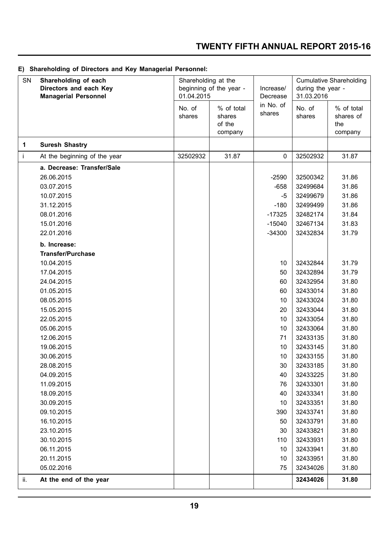| SN  | Shareholding of each<br>Directors and each Key<br><b>Managerial Personnel</b> | Shareholding at the<br>beginning of the year -<br>01.04.2015 |                                           | Increase/<br>Decrease | <b>Cumulative Shareholding</b><br>during the year -<br>31.03.2016 |                                           |
|-----|-------------------------------------------------------------------------------|--------------------------------------------------------------|-------------------------------------------|-----------------------|-------------------------------------------------------------------|-------------------------------------------|
|     |                                                                               | No. of<br>shares                                             | % of total<br>shares<br>of the<br>company | in No. of<br>shares   | No. of<br>shares                                                  | % of total<br>shares of<br>the<br>company |
| 1   | <b>Suresh Shastry</b>                                                         |                                                              |                                           |                       |                                                                   |                                           |
| j.  | At the beginning of the year                                                  | 32502932                                                     | 31.87                                     | 0                     | 32502932                                                          | 31.87                                     |
|     | a. Decrease: Transfer/Sale                                                    |                                                              |                                           |                       |                                                                   |                                           |
|     | 26.06.2015                                                                    |                                                              |                                           | $-2590$               | 32500342                                                          | 31.86                                     |
|     | 03.07.2015                                                                    |                                                              |                                           | $-658$                | 32499684                                                          | 31.86                                     |
|     | 10.07.2015                                                                    |                                                              |                                           | -5                    | 32499679                                                          | 31.86                                     |
|     | 31.12.2015                                                                    |                                                              |                                           | $-180$                | 32499499                                                          | 31.86                                     |
|     | 08.01.2016                                                                    |                                                              |                                           | $-17325$              | 32482174                                                          | 31.84                                     |
|     | 15.01.2016                                                                    |                                                              |                                           | $-15040$              | 32467134                                                          | 31.83                                     |
|     | 22.01.2016                                                                    |                                                              |                                           | $-34300$              | 32432834                                                          | 31.79                                     |
|     | b. Increase:                                                                  |                                                              |                                           |                       |                                                                   |                                           |
|     | <b>Transfer/Purchase</b>                                                      |                                                              |                                           |                       |                                                                   |                                           |
|     | 10.04.2015<br>17.04.2015                                                      |                                                              |                                           | 10<br>50              | 32432844<br>32432894                                              | 31.79<br>31.79                            |
|     | 24.04.2015                                                                    |                                                              |                                           | 60                    | 32432954                                                          | 31.80                                     |
|     | 01.05.2015                                                                    |                                                              |                                           | 60                    | 32433014                                                          | 31.80                                     |
|     | 08.05.2015                                                                    |                                                              |                                           | 10                    | 32433024                                                          | 31.80                                     |
|     | 15.05.2015                                                                    |                                                              |                                           | 20                    | 32433044                                                          | 31.80                                     |
|     | 22.05.2015                                                                    |                                                              |                                           | 10                    | 32433054                                                          | 31.80                                     |
|     | 05.06.2015                                                                    |                                                              |                                           | 10                    | 32433064                                                          | 31.80                                     |
|     | 12.06.2015                                                                    |                                                              |                                           | 71                    | 32433135                                                          | 31.80                                     |
|     | 19.06.2015                                                                    |                                                              |                                           | 10                    | 32433145                                                          | 31.80                                     |
|     | 30.06.2015                                                                    |                                                              |                                           | 10                    | 32433155                                                          | 31.80                                     |
|     | 28.08.2015                                                                    |                                                              |                                           | 30                    | 32433185                                                          | 31.80                                     |
|     | 04.09.2015                                                                    |                                                              |                                           | 40                    | 32433225                                                          | 31.80                                     |
|     | 11.09.2015                                                                    |                                                              |                                           | 76                    | 32433301                                                          | 31.80                                     |
|     | 18.09.2015                                                                    |                                                              |                                           | 40                    | 32433341                                                          | 31.80                                     |
|     | 30.09.2015                                                                    |                                                              |                                           | 10                    | 32433351                                                          | 31.80                                     |
|     | 09.10.2015                                                                    |                                                              |                                           | 390                   | 32433741                                                          | 31.80                                     |
|     | 16.10.2015                                                                    |                                                              |                                           | 50                    | 32433791                                                          | 31.80                                     |
|     | 23.10.2015                                                                    |                                                              |                                           | 30                    | 32433821                                                          | 31.80                                     |
|     | 30.10.2015                                                                    |                                                              |                                           | 110                   | 32433931                                                          | 31.80                                     |
|     | 06.11.2015                                                                    |                                                              |                                           | 10                    | 32433941                                                          | 31.80                                     |
|     | 20.11.2015                                                                    |                                                              |                                           | 10                    | 32433951                                                          | 31.80                                     |
|     | 05.02.2016                                                                    |                                                              |                                           | 75                    | 32434026                                                          | 31.80                                     |
| ii. | At the end of the year                                                        |                                                              |                                           |                       | 32434026                                                          | 31.80                                     |

### **E) Shareholding of Directors and Key Managerial Personnel:**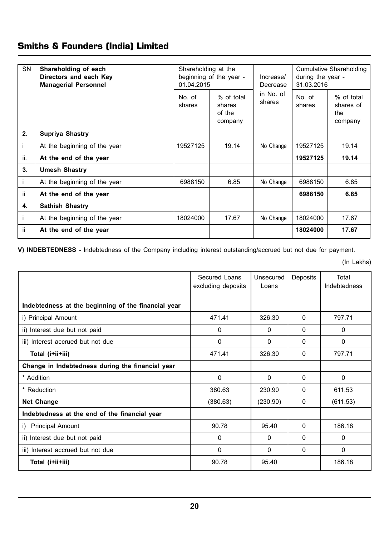### **Smiths & Founders (India) Limited**

| <b>SN</b> | Shareholding of each<br>Directors and each Key<br><b>Managerial Personnel</b> | Shareholding at the<br>beginning of the year -<br>01.04.2015 |                                           | Increase/<br>Decrease | Cumulative Shareholding<br>during the year -<br>31.03.2016 |                                           |
|-----------|-------------------------------------------------------------------------------|--------------------------------------------------------------|-------------------------------------------|-----------------------|------------------------------------------------------------|-------------------------------------------|
|           |                                                                               | No. of<br>shares                                             | % of total<br>shares<br>of the<br>company | in No. of<br>shares   | No. of<br>shares                                           | % of total<br>shares of<br>the<br>company |
| 2.        | Supriya Shastry                                                               |                                                              |                                           |                       |                                                            |                                           |
|           | At the beginning of the year                                                  | 19527125                                                     | 19.14                                     | No Change             | 19527125                                                   | 19.14                                     |
| ii.       | At the end of the year                                                        |                                                              |                                           |                       | 19527125                                                   | 19.14                                     |
| 3.        | <b>Umesh Shastry</b>                                                          |                                                              |                                           |                       |                                                            |                                           |
|           | At the beginning of the year                                                  | 6988150                                                      | 6.85                                      | No Change             | 6988150                                                    | 6.85                                      |
| ii.       | At the end of the year                                                        |                                                              |                                           |                       | 6988150                                                    | 6.85                                      |
| 4.        | <b>Sathish Shastry</b>                                                        |                                                              |                                           |                       |                                                            |                                           |
|           | At the beginning of the year                                                  | 18024000                                                     | 17.67                                     | No Change             | 18024000                                                   | 17.67                                     |
| ii.       | At the end of the year                                                        |                                                              |                                           |                       | 18024000                                                   | 17.67                                     |

**V) INDEBTEDNESS -** Indebtedness of the Company including interest outstanding/accrued but not due for payment.

(In Lakhs)

|                                                     | Secured Loans<br>excluding deposits | Unsecured<br>Loans | Deposits    | Total<br>Indebtedness |
|-----------------------------------------------------|-------------------------------------|--------------------|-------------|-----------------------|
| Indebtedness at the beginning of the financial year |                                     |                    |             |                       |
| i) Principal Amount                                 | 471.41                              | 326.30             | $\Omega$    | 797.71                |
| ii) Interest due but not paid                       | 0                                   | 0                  | $\Omega$    | $\Omega$              |
| iii) Interest accrued but not due                   | 0                                   | $\Omega$           | 0           | $\Omega$              |
| Total (i+ii+iii)                                    | 471.41                              | 326.30             | $\Omega$    | 797.71                |
| Change in Indebtedness during the financial year    |                                     |                    |             |                       |
| * Addition                                          | 0                                   | $\Omega$           | $\Omega$    | $\Omega$              |
| * Reduction                                         | 380.63                              | 230.90             | $\Omega$    | 611.53                |
| <b>Net Change</b>                                   | (380.63)                            | (230.90)           | $\Omega$    | (611.53)              |
| Indebtedness at the end of the financial year       |                                     |                    |             |                       |
| <b>Principal Amount</b><br>i)                       | 90.78                               | 95.40              | $\Omega$    | 186.18                |
| ii) Interest due but not paid                       | 0                                   | $\Omega$           | $\mathbf 0$ | $\Omega$              |
| iii) Interest accrued but not due                   | 0                                   | $\Omega$           | $\Omega$    | $\Omega$              |
| Total (i+ii+iii)                                    | 90.78                               | 95.40              |             | 186.18                |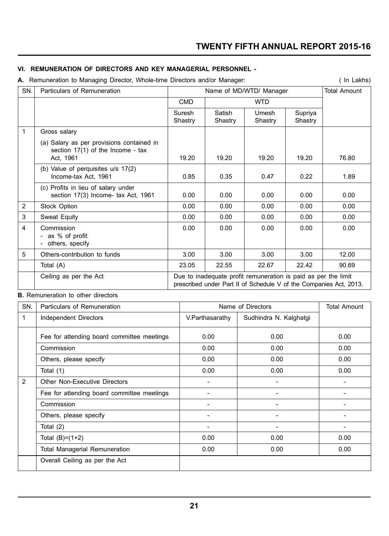#### **VI. REMUNERATION OF DIRECTORS AND KEY MANAGERIAL PERSONNEL -**

A. Remuneration to Managing Director, Whole-time Directors and/or Manager: ( In Lakhs)

| SN.            | Particulars of Remuneration                                                                   |                   |                   | Name of MD/WTD/ Manager                                        |                    | <b>Total Amount</b>                                                |
|----------------|-----------------------------------------------------------------------------------------------|-------------------|-------------------|----------------------------------------------------------------|--------------------|--------------------------------------------------------------------|
|                |                                                                                               | <b>CMD</b>        |                   | <b>WTD</b>                                                     |                    |                                                                    |
|                |                                                                                               | Suresh<br>Shastry | Satish<br>Shastry | Umesh<br>Shastry                                               | Supriya<br>Shastry |                                                                    |
| 1              | Gross salary                                                                                  |                   |                   |                                                                |                    |                                                                    |
|                | (a) Salary as per provisions contained in<br>section $17(1)$ of the Income - tax<br>Act, 1961 | 19.20             | 19.20             | 19.20                                                          | 19.20              | 76.80                                                              |
|                |                                                                                               |                   |                   |                                                                |                    |                                                                    |
|                | (b) Value of perquisites u/s 17(2)<br>Income-tax Act, 1961                                    | 0.85              | 0.35              | 0.47                                                           | 0.22               | 1.89                                                               |
|                | (c) Profits in lieu of salary under<br>section 17(3) Income- tax Act, 1961                    | 0.00              | 0.00              | 0.00                                                           | 0.00               | 0.00                                                               |
| $\overline{c}$ | Stock Option                                                                                  | 0.00              | 0.00              | 0.00                                                           | 0.00               | 0.00                                                               |
| 3              | Sweat Equity                                                                                  | 0.00              | 0.00              | 0.00                                                           | 0.00               | 0.00                                                               |
| 4              | Commission<br>- as % of profit<br>- others, specify                                           | 0.00              | 0.00              | 0.00                                                           | 0.00               | 0.00                                                               |
| 5              | Others-contribution to funds                                                                  | 3.00              | 3.00              | 3.00                                                           | 3.00               | 12.00                                                              |
|                | Total (A)                                                                                     | 23.05             | 22.55             | 22.67                                                          | 22.42              | 90.69                                                              |
|                | Ceiling as per the Act                                                                        |                   |                   | Due to inadequate profit remuneration is paid as per the limit |                    | prescribed under Part II of Schedule V of the Companies Act, 2013. |

#### **B.** Remuneration to other directors

| SN. | Particulars of Remuneration                |                 | Name of Directors      | <b>Total Amount</b> |
|-----|--------------------------------------------|-----------------|------------------------|---------------------|
| 1   | Independent Directors                      | V.Parthasarathy | Sudhindra N. Kalghatgi |                     |
|     | Fee for attending board committee meetings | 0.00            | 0.00                   | 0.00                |
|     | Commission                                 | 0.00            | 0.00                   | 0.00                |
|     | Others, please specify                     | 0.00            | 0.00                   | 0.00                |
|     | Total (1)                                  | 0.00            | 0.00                   | 0.00                |
| 2   | Other Non-Executive Directors              |                 |                        |                     |
|     | Fee for attending board committee meetings |                 |                        |                     |
|     | Commission                                 |                 |                        |                     |
|     | Others, please specify                     |                 |                        |                     |
|     | Total $(2)$                                |                 |                        |                     |
|     | Total $(B)=(1+2)$                          | 0.00            | 0.00                   | 0.00                |
|     | <b>Total Managerial Remuneration</b>       | 0.00            | 0.00                   | 0.00                |
|     | Overall Ceiling as per the Act             |                 |                        |                     |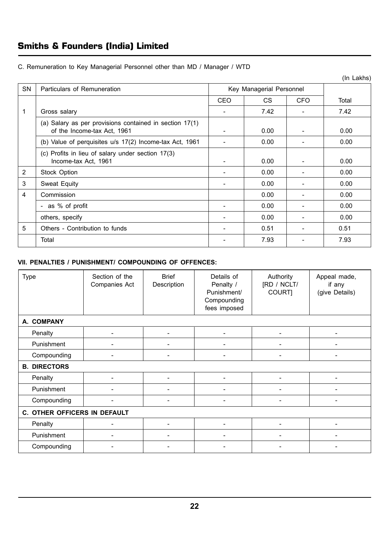### **Smiths & Founders (India) Limited**

C. Remuneration to Key Managerial Personnel other than MD / Manager / WTD

|           |                                                                                        |     |                          |                          | (In Lakhs) |
|-----------|----------------------------------------------------------------------------------------|-----|--------------------------|--------------------------|------------|
| <b>SN</b> | Particulars of Remuneration                                                            |     | Key Managerial Personnel |                          |            |
|           |                                                                                        | CEO | <b>CS</b>                | <b>CFO</b>               | Total      |
| 1         | Gross salary                                                                           |     | 7.42                     |                          | 7.42       |
|           | (a) Salary as per provisions contained in section 17(1)<br>of the Income-tax Act, 1961 |     | 0.00                     | $\overline{\phantom{0}}$ | 0.00       |
|           | (b) Value of perquisites u/s 17(2) Income-tax Act, 1961                                |     | 0.00                     |                          | 0.00       |
|           | (c) Profits in lieu of salary under section 17(3)<br>Income-tax Act, 1961              |     | 0.00                     |                          | 0.00       |
| 2         | Stock Option                                                                           |     | 0.00                     |                          | 0.00       |
| 3         | Sweat Equity                                                                           |     | 0.00                     |                          | 0.00       |
| 4         | Commission                                                                             |     | 0.00                     |                          | 0.00       |
|           | - as % of profit                                                                       |     | 0.00                     | $\overline{\phantom{0}}$ | 0.00       |
|           | others, specify                                                                        |     | 0.00                     |                          | 0.00       |
| 5         | Others - Contribution to funds                                                         |     | 0.51                     |                          | 0.51       |
|           | Total                                                                                  |     | 7.93                     |                          | 7.93       |

#### **VII. PENALTIES / PUNISHMENT/ COMPOUNDING OF OFFENCES:**

| Type                                | Section of the<br>Companies Act | <b>Brief</b><br>Description | Details of<br>Penalty /<br>Punishment/<br>Compounding<br>fees imposed | Authority<br>[RD / NCLT/<br>COURT] | Appeal made,<br>if any<br>(give Details) |  |  |  |
|-------------------------------------|---------------------------------|-----------------------------|-----------------------------------------------------------------------|------------------------------------|------------------------------------------|--|--|--|
| A. COMPANY                          |                                 |                             |                                                                       |                                    |                                          |  |  |  |
| Penalty                             |                                 |                             |                                                                       | $\overline{a}$                     |                                          |  |  |  |
| Punishment                          | $\overline{\phantom{0}}$        | $\overline{\phantom{0}}$    |                                                                       | $\overline{\phantom{a}}$           | $\overline{\phantom{a}}$                 |  |  |  |
| Compounding                         |                                 |                             |                                                                       |                                    |                                          |  |  |  |
| <b>B. DIRECTORS</b>                 |                                 |                             |                                                                       |                                    |                                          |  |  |  |
| Penalty                             | $\overline{\phantom{0}}$        |                             |                                                                       | $\overline{a}$                     |                                          |  |  |  |
| Punishment                          |                                 |                             |                                                                       | $\overline{\phantom{a}}$           | $\overline{\phantom{0}}$                 |  |  |  |
| Compounding                         |                                 |                             |                                                                       | $\overline{\phantom{0}}$           |                                          |  |  |  |
| <b>C. OTHER OFFICERS IN DEFAULT</b> |                                 |                             |                                                                       |                                    |                                          |  |  |  |
| Penalty                             |                                 |                             |                                                                       |                                    |                                          |  |  |  |
| Punishment                          |                                 |                             |                                                                       | $\overline{a}$                     |                                          |  |  |  |
| Compounding                         |                                 |                             |                                                                       |                                    |                                          |  |  |  |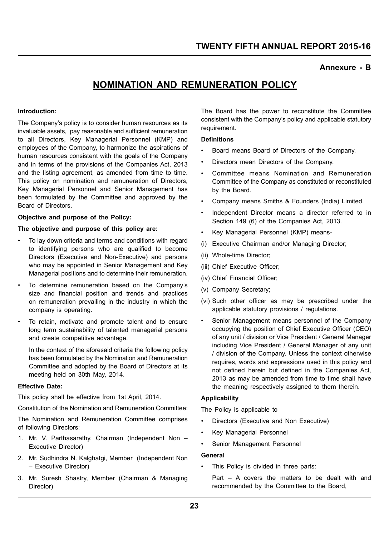#### **Annexure - B**

### **NOMINATION AND REMUNERATION POLICY**

#### **Introduction:**

The Company's policy is to consider human resources as its invaluable assets, pay reasonable and sufficient remuneration to all Directors, Key Managerial Personnel (KMP) and employees of the Company, to harmonize the aspirations of human resources consistent with the goals of the Company and in terms of the provisions of the Companies Act, 2013 and the listing agreement, as amended from time to time. This policy on nomination and remuneration of Directors, Key Managerial Personnel and Senior Management has been formulated by the Committee and approved by the Board of Directors.

#### **Objective and purpose of the Policy:**

#### **The objective and purpose of this policy are:**

- To lay down criteria and terms and conditions with regard to identifying persons who are qualified to become Directors (Executive and Non-Executive) and persons who may be appointed in Senior Management and Key Managerial positions and to determine their remuneration.
- To determine remuneration based on the Company's size and financial position and trends and practices on remuneration prevailing in the industry in which the company is operating.
- To retain, motivate and promote talent and to ensure long term sustainability of talented managerial persons and create competitive advantage.

In the context of the aforesaid criteria the following policy has been formulated by the Nomination and Remuneration Committee and adopted by the Board of Directors at its meeting held on 30th May, 2014.

#### **Effective Date:**

This policy shall be effective from 1st April, 2014.

Constitution of the Nomination and Remuneration Committee:

The Nomination and Remuneration Committee comprises of following Directors:

- 1. Mr. V. Parthasarathy, Chairman (Independent Non Executive Director)
- 2. Mr. Sudhindra N. Kalghatgi, Member (Independent Non – Executive Director)
- 3. Mr. Suresh Shastry, Member (Chairman & Managing Director)

The Board has the power to reconstitute the Committee consistent with the Company's policy and applicable statutory requirement.

#### **Definitions**

- Board means Board of Directors of the Company.
- Directors mean Directors of the Company.
- Committee means Nomination and Remuneration Committee of the Company as constituted or reconstituted by the Board.
- Company means Smiths & Founders (India) Limited.
- Independent Director means a director referred to in Section 149 (6) of the Companies Act, 2013.
- Key Managerial Personnel (KMP) means-
- (i) Executive Chairman and/or Managing Director;
- (ii) Whole-time Director;
- (iii) Chief Executive Officer;
- (iv) Chief Financial Officer;
- (v) Company Secretary;
- (vi) Such other officer as may be prescribed under the applicable statutory provisions / regulations.
- Senior Management means personnel of the Company occupying the position of Chief Executive Officer (CEO) of any unit / division or Vice President / General Manager including Vice President / General Manager of any unit / division of the Company. Unless the context otherwise requires, words and expressions used in this policy and not defined herein but defined in the Companies Act, 2013 as may be amended from time to time shall have the meaning respectively assigned to them therein.

#### **Applicability**

The Policy is applicable to

- Directors (Executive and Non Executive)
- Key Managerial Personnel
- Senior Management Personnel

#### **General**

This Policy is divided in three parts:

Part – A covers the matters to be dealt with and recommended by the Committee to the Board,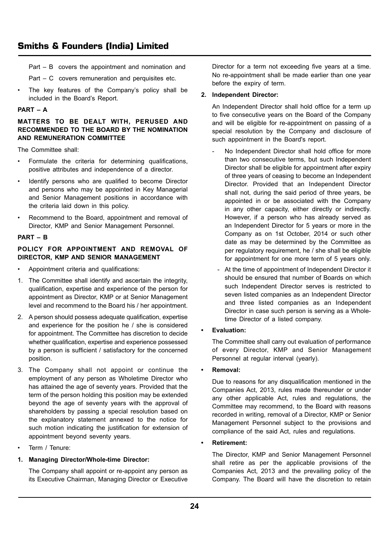Part – B covers the appointment and nomination and

Part – C covers remuneration and perquisites etc.

The key features of the Company's policy shall be included in the Board's Report.

#### **PART – A**

#### **MATTERS TO BE DEALT WITH, PERUSED AND RECOMMENDED TO THE BOARD BY THE NOMINATION AND REMUNERATION COMMITTEE**

The Committee shall:

- Formulate the criteria for determining qualifications, positive attributes and independence of a director.
- Identify persons who are qualified to become Director and persons who may be appointed in Key Managerial and Senior Management positions in accordance with the criteria laid down in this policy.
- Recommend to the Board, appointment and removal of Director, KMP and Senior Management Personnel.

#### **PART – B**

#### **POLICY FOR APPOINTMENT AND REMOVAL OF DIRECTOR, KMP AND SENIOR MANAGEMENT**

- Appointment criteria and qualifications:
- 1. The Committee shall identify and ascertain the integrity, qualification, expertise and experience of the person for appointment as Director, KMP or at Senior Management level and recommend to the Board his / her appointment.
- 2. A person should possess adequate qualification, expertise and experience for the position he / she is considered for appointment. The Committee has discretion to decide whether qualification, expertise and experience possessed by a person is sufficient / satisfactory for the concerned position.
- 3. The Company shall not appoint or continue the employment of any person as Wholetime Director who has attained the age of seventy years. Provided that the term of the person holding this position may be extended beyond the age of seventy years with the approval of shareholders by passing a special resolution based on the explanatory statement annexed to the notice for such motion indicating the justification for extension of appointment beyond seventy years.
- Term / Tenure:

#### **1. Managing Director/Whole-time Director:**

The Company shall appoint or re-appoint any person as its Executive Chairman, Managing Director or Executive Director for a term not exceeding five years at a time. No re-appointment shall be made earlier than one year before the expiry of term.

#### **2. Independent Director:**

An Independent Director shall hold office for a term up to five consecutive years on the Board of the Company and will be eligible for re-appointment on passing of a special resolution by the Company and disclosure of such appointment in the Board's report.

- No Independent Director shall hold office for more than two consecutive terms, but such Independent Director shall be eligible for appointment after expiry of three years of ceasing to become an Independent Director. Provided that an Independent Director shall not, during the said period of three years, be appointed in or be associated with the Company in any other capacity, either directly or indirectly. However, if a person who has already served as an Independent Director for 5 years or more in the Company as on 1st October, 2014 or such other date as may be determined by the Committee as per regulatory requirement, he / she shall be eligible for appointment for one more term of 5 years only.
- At the time of appointment of Independent Director it should be ensured that number of Boards on which such Independent Director serves is restricted to seven listed companies as an Independent Director and three listed companies as an Independent Director in case such person is serving as a Wholetime Director of a listed company.
- **• Evaluation:**

The Committee shall carry out evaluation of performance of every Director, KMP and Senior Management Personnel at regular interval (yearly).

**• Removal:**

Due to reasons for any disqualification mentioned in the Companies Act, 2013, rules made thereunder or under any other applicable Act, rules and regulations, the Committee may recommend, to the Board with reasons recorded in writing, removal of a Director, KMP or Senior Management Personnel subject to the provisions and compliance of the said Act, rules and regulations.

**• Retirement:**

The Director, KMP and Senior Management Personnel shall retire as per the applicable provisions of the Companies Act, 2013 and the prevailing policy of the Company. The Board will have the discretion to retain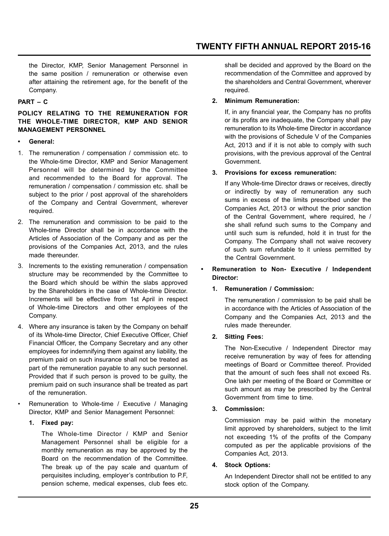the Director, KMP, Senior Management Personnel in the same position / remuneration or otherwise even after attaining the retirement age, for the benefit of the Company.

#### **PART – C**

**POLICY RELATING TO THE REMUNERATION FOR THE WHOLE-TIME DIRECTOR, KMP AND SENIOR MANAGEMENT PERSONNEL**

#### **• General:**

- 1. The remuneration / compensation / commission etc. to the Whole-time Director, KMP and Senior Management Personnel will be determined by the Committee and recommended to the Board for approval. The remuneration / compensation / commission etc. shall be subject to the prior / post approval of the shareholders of the Company and Central Government, wherever required.
- 2. The remuneration and commission to be paid to the Whole-time Director shall be in accordance with the Articles of Association of the Company and as per the provisions of the Companies Act, 2013, and the rules made thereunder.
- 3. Increments to the existing remuneration / compensation structure may be recommended by the Committee to the Board which should be within the slabs approved by the Shareholders in the case of Whole-time Director. Increments will be effective from 1st April in respect of Whole-time Directors and other employees of the Company.
- 4. Where any insurance is taken by the Company on behalf of its Whole-time Director, Chief Executive Officer, Chief Financial Officer, the Company Secretary and any other employees for indemnifying them against any liability, the premium paid on such insurance shall not be treated as part of the remuneration payable to any such personnel. Provided that if such person is proved to be guilty, the premium paid on such insurance shall be treated as part of the remuneration.
- Remuneration to Whole-time / Executive / Managing Director, KMP and Senior Management Personnel:

#### **1. Fixed pay:**

 The Whole-time Director / KMP and Senior Management Personnel shall be eligible for a monthly remuneration as may be approved by the Board on the recommendation of the Committee. The break up of the pay scale and quantum of perquisites including, employer's contribution to P.F, pension scheme, medical expenses, club fees etc. shall be decided and approved by the Board on the recommendation of the Committee and approved by the shareholders and Central Government, wherever required.

#### **2. Minimum Remuneration:**

If, in any financial year, the Company has no profits or its profits are inadequate, the Company shall pay remuneration to its Whole-time Director in accordance with the provisions of Schedule V of the Companies Act, 2013 and if it is not able to comply with such provisions, with the previous approval of the Central Government.

#### **3. Provisions for excess remuneration:**

 If any Whole-time Director draws or receives, directly or indirectly by way of remuneration any such sums in excess of the limits prescribed under the Companies Act, 2013 or without the prior sanction of the Central Government, where required, he / she shall refund such sums to the Company and until such sum is refunded, hold it in trust for the Company. The Company shall not waive recovery of such sum refundable to it unless permitted by the Central Government.

#### **• Remuneration to Non- Executive / Independent Director:**

#### **1. Remuneration / Commission:**

The remuneration / commission to be paid shall be in accordance with the Articles of Association of the Company and the Companies Act, 2013 and the rules made thereunder.

#### **2. Sitting Fees:**

The Non-Executive / Independent Director may receive remuneration by way of fees for attending meetings of Board or Committee thereof. Provided that the amount of such fees shall not exceed Rs. One lakh per meeting of the Board or Committee or such amount as may be prescribed by the Central Government from time to time.

#### **3. Commission:**

Commission may be paid within the monetary limit approved by shareholders, subject to the limit not exceeding 1% of the profits of the Company computed as per the applicable provisions of the Companies Act, 2013.

#### **4. Stock Options:**

An Independent Director shall not be entitled to any stock option of the Company.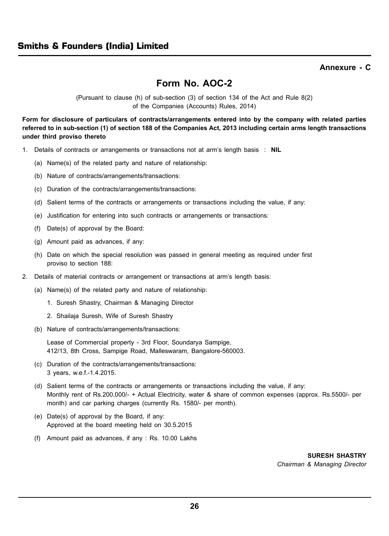**Annexure - C**

### **Form No. AOC-2**

(Pursuant to clause (h) of sub-section (3) of section 134 of the Act and Rule 8(2) of the Companies (Accounts) Rules, 2014)

**Form for disclosure of particulars of contracts/arrangements entered into by the company with related parties referred to in sub-section (1) of section 188 of the Companies Act, 2013 including certain arms length transactions under third proviso thereto**

- 1. Details of contracts or arrangements or transactions not at arm's length basis : **NIL**
	- (a) Name(s) of the related party and nature of relationship:
	- (b) Nature of contracts/arrangements/transactions:
	- (c) Duration of the contracts/arrangements/transactions:
	- (d) Salient terms of the contracts or arrangements or transactions including the value, if any:
	- (e) Justification for entering into such contracts or arrangements or transactions:
	- (f) Date(s) of approval by the Board:
	- (g) Amount paid as advances, if any:
	- (h) Date on which the special resolution was passed in general meeting as required under first proviso to section 188:
- 2. Details of material contracts or arrangement or transactions at arm's length basis:
	- (a) Name(s) of the related party and nature of relationship:
		- 1. Suresh Shastry, Chairman & Managing Director
		- 2. Shailaja Suresh, Wife of Suresh Shastry
	- (b) Nature of contracts/arrangements/transactions:

 Lease of Commercial property - 3rd Floor, Soundarya Sampige, 412/13, 8th Cross, Sampige Road, Malleswaram, Bangalore-560003.

- (c) Duration of the contracts/arrangements/transactions: 3 years, w.e.f.-1.4.2015.
- (d) Salient terms of the contracts or arrangements or transactions including the value, if any: Monthly rent of Rs.200,000/- + Actual Electricity, water & share of common expenses (approx. Rs.5500/- per month) and car parking charges (currently Rs. 1580/- per month).
- (e) Date(s) of approval by the Board, if any: Approved at the board meeting held on 30.5.2015
- (f) Amount paid as advances, if any : Rs. 10.00 Lakhs

**SURESH SHASTRY**

*Chairman & Managing Director*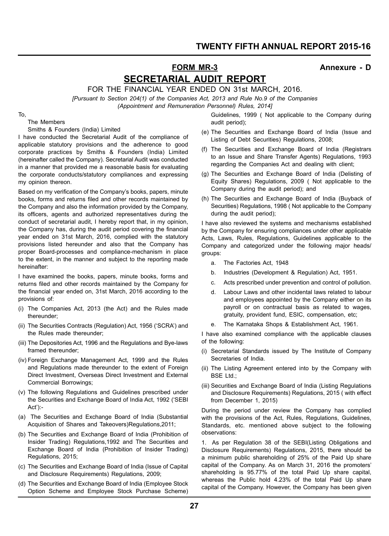### **FORM MR-3 SECRETARIAL AUDIT REPORT**

#### **Annexure - D**

#### FOR THE FINANCIAL YEAR ENDED ON 31st MARCH, 2016.

*[Pursuant to Section 204(1) of the Companies Act, 2013 and Rule No.9 of the Companies (Appointment and Remuneration Personnel) Rules, 2014]*

To,

The Members

Smiths & Founders (India) Limited

I have conducted the Secretarial Audit of the compliance of applicable statutory provisions and the adherence to good corporate practices by Smiths & Founders (India) Limited (hereinafter called the Company). Secretarial Audit was conducted in a manner that provided me a reasonable basis for evaluating the corporate conducts/statutory compliances and expressing my opinion thereon.

Based on my verification of the Company's books, papers, minute books, forms and returns filed and other records maintained by the Company and also the information provided by the Company, its officers, agents and authorized representatives during the conduct of secretarial audit, I hereby report that, in my opinion, the Company has, during the audit period covering the financial year ended on 31st March, 2016, complied with the statutory provisions listed hereunder and also that the Company has proper Board-processes and compliance-mechanism in place to the extent, in the manner and subject to the reporting made hereinafter:

I have examined the books, papers, minute books, forms and returns filed and other records maintained by the Company for the financial year ended on, 31st March, 2016 according to the provisions of:

- (i) The Companies Act, 2013 (the Act) and the Rules made thereunder;
- (ii) The Securities Contracts (Regulation) Act, 1956 ('SCRA') and the Rules made thereunder;
- (iii) The Depositories Act, 1996 and the Regulations and Bye-laws framed thereunder;
- (iv) Foreign Exchange Management Act, 1999 and the Rules and Regulations made thereunder to the extent of Foreign Direct Investment, Overseas Direct Investment and External Commercial Borrowings;
- (v) The following Regulations and Guidelines prescribed under the Securities and Exchange Board of India Act, 1992 ('SEBI Act'):-
- (a) The Securities and Exchange Board of India (Substantial Acquisition of Shares and Takeovers)Regulations,2011;
- (b) The Securities and Exchange Board of India (Prohibition of Insider Trading) Regulations,1992 and The Securities and Exchange Board of India (Prohibition of Insider Trading) Regulations, 2015;
- (c) The Securities and Exchange Board of India (Issue of Capital and Disclosure Requirements) Regulations, 2009;
- (d) The Securities and Exchange Board of India (Employee Stock Option Scheme and Employee Stock Purchase Scheme)

Guidelines, 1999 ( Not applicable to the Company during audit period);

- (e) The Securities and Exchange Board of India (Issue and Listing of Debt Securities) Regulations, 2008;
- (f) The Securities and Exchange Board of India (Registrars to an Issue and Share Transfer Agents) Regulations, 1993 regarding the Companies Act and dealing with client;
- (g) The Securities and Exchange Board of India (Delisting of Equity Shares) Regulations, 2009 ( Not applicable to the Company during the audit period); and
- (h) The Securities and Exchange Board of India (Buyback of Securities) Regulations, 1998 ( Not applicable to the Company during the audit period);

I have also reviewed the systems and mechanisms established by the Company for ensuring compliances under other applicable Acts, Laws, Rules, Regulations, Guidelines applicable to the Company and categorized under the following major heads/ groups:

- a. The Factories Act, 1948
- b. Industries (Development & Regulation) Act, 1951.
- c. Acts prescribed under prevention and control of pollution.
- d. Labour Laws and other incidental laws related to labour and employees appointed by the Company either on its payroll or on contractual basis as related to wages, gratuity, provident fund, ESIC, compensation, etc;
- e. The Karnataka Shops & Establishment Act, 1961.

I have also examined compliance with the applicable clauses of the following:

- (i) Secretarial Standards issued by The Institute of Company Secretaries of India.
- (ii) The Listing Agreement entered into by the Company with BSE Ltd.;
- (iii) Securities and Exchange Board of India (Listing Regulations and Disclosure Requirements) Regulations, 2015 ( with effect from December 1, 2015)

During the period under review the Company has complied with the provisions of the Act, Rules, Regulations, Guidelines, Standards, etc. mentioned above subject to the following observations:

1. As per Regulation 38 of the SEBI(Listing Obligations and Disclosure Requirements) Regulations, 2015, there should be a minimum public shareholding of 25% of the Paid Up share capital of the Company. As on March 31, 2016 the promoters' shareholding is 95.77% of the total Paid Up share capital, whereas the Public hold 4.23% of the total Paid Up share capital of the Company. However, the Company has been given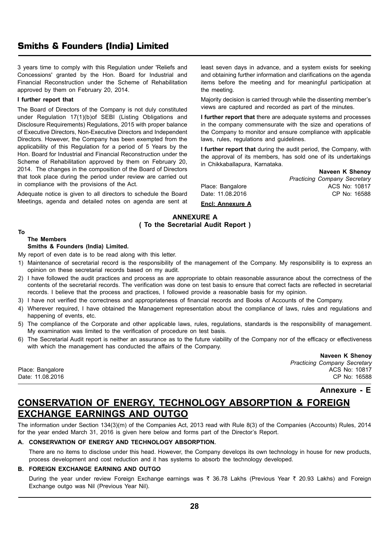3 years time to comply with this Regulation under 'Reliefs and Concessions' granted by the Hon. Board for Industrial and Financial Reconstruction under the Scheme of Rehabilitation approved by them on February 20, 2014.

#### **I further report that**

The Board of Directors of the Company is not duly constituted under Regulation 17(1)(b)of SEBI (Listing Obligations and Disclosure Requirements) Regulations, 2015 with proper balance of Executive Directors, Non-Executive Directors and Independent Directors. However, the Company has been exempted from the applicability of this Regulation for a period of 5 Years by the Hon. Board for Industrial and Financial Reconstruction under the Scheme of Rehabilitation approved by them on February 20, 2014. The changes in the composition of the Board of Directors that took place during the period under review are carried out in compliance with the provisions of the Act.

Adequate notice is given to all directors to schedule the Board Meetings, agenda and detailed notes on agenda are sent at

least seven days in advance, and a system exists for seeking and obtaining further information and clarifications on the agenda items before the meeting and for meaningful participation at the meeting.

Majority decision is carried through while the dissenting member's views are captured and recorded as part of the minutes.

**I further report that** there are adequate systems and processes in the company commensurate with the size and operations of the Company to monitor and ensure compliance with applicable laws, rules, regulations and guidelines.

**I further report that** during the audit period, the Company, with the approval of its members, has sold one of its undertakings in Chikkaballapura, Karnataka.

|                  | Naveen K Shenoy                     |
|------------------|-------------------------------------|
|                  | <b>Practicing Company Secretary</b> |
| Place: Bangalore | ACS No: 10817                       |
| Date: 11.08.2016 | CP No: 16588                        |
|                  |                                     |

**Encl: Annexure A**

#### **ANNEXURE A ( To the Secretarial Audit Report )**

#### **To**

#### **The Members**

**Smiths & Founders (India) Limited.**

My report of even date is to be read along with this letter.

- 1) Maintenance of secretarial record is the responsibility of the management of the Company. My responsibility is to express an opinion on these secretarial records based on my audit.
- 2) I have followed the audit practices and process as are appropriate to obtain reasonable assurance about the correctness of the contents of the secretarial records. The verification was done on test basis to ensure that correct facts are reflected in secretarial records. I believe that the process and practices, I followed provide a reasonable basis for my opinion.
- 3) I have not verified the correctness and appropriateness of financial records and Books of Accounts of the Company.
- 4) Wherever required, I have obtained the Management representation about the compliance of laws, rules and regulations and happening of events, etc.
- 5) The compliance of the Corporate and other applicable laws, rules, regulations, standards is the responsibility of management. My examination was limited to the verification of procedure on test basis.
- 6) The Secretarial Audit report is neither an assurance as to the future viability of the Company nor of the efficacy or effectiveness with which the management has conducted the affairs of the Company.

**Naveen K Shenoy** *Practicing Company Secretary* Place: Bangalore ACS No: 10817 Date: 11.08.2016 CP No: 16588

**Annexure - E**

### **CONSERVATION OF ENERGY, TECHNOLOGY ABSORPTION & FOREIGN EXCHANGE EARNINGS AND OUTGO**

The information under Section 134(3)(m) of the Companies Act, 2013 read with Rule 8(3) of the Companies (Accounts) Rules, 2014 for the year ended March 31, 2016 is given here below and forms part of the Director's Report.

#### **A. CONSERVATION OF ENERGY AND TECHNOLOGY ABSORPTION.**

There are no items to disclose under this head. However, the Company develops its own technology in house for new products, process development and cost reduction and it has systems to absorb the technology developed.

#### **B. FOREIGN EXCHANGE EARNING AND OUTGO**

During the year under review Foreign Exchange earnings was ₹ 36.78 Lakhs (Previous Year ₹ 20.93 Lakhs) and Foreign Exchange outgo was Nil (Previous Year Nil).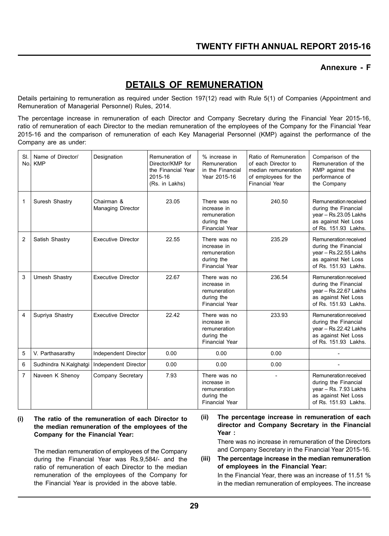### **Annexure - F**

### **DETAILS OF REMUNERATION**

Details pertaining to remuneration as required under Section 197(12) read with Rule 5(1) of Companies (Appointment and Remuneration of Managerial Personnel) Rules, 2014.

The percentage increase in remuneration of each Director and Company Secretary during the Financial Year 2015-16, ratio of remuneration of each Director to the median remuneration of the employees of the Company for the Financial Year 2015-16 and the comparison of remuneration of each Key Managerial Personnel (KMP) against the performance of the Company are as under:

| SI.<br>No.     | Name of Director/<br><b>KMP</b> | Designation                            | Remuneration of<br>Director/KMP for<br>the Financial Year<br>2015-16<br>(Rs. in Lakhs) | % increase in<br>Remuneration<br>in the Financial<br>Year 2015-16                  | Ratio of Remuneration<br>of each Director to<br>median remuneration<br>of employees for the<br><b>Financial Year</b> | Comparison of the<br>Remuneration of the<br>KMP against the<br>performance of<br>the Company                          |
|----------------|---------------------------------|----------------------------------------|----------------------------------------------------------------------------------------|------------------------------------------------------------------------------------|----------------------------------------------------------------------------------------------------------------------|-----------------------------------------------------------------------------------------------------------------------|
| 1              | Suresh Shastry                  | Chairman &<br><b>Managing Director</b> | 23.05                                                                                  | There was no<br>increase in<br>remuneration<br>during the<br><b>Financial Year</b> | 240.50                                                                                                               | Remuneration received<br>during the Financial<br>year - Rs.23.05 Lakhs<br>as against Net Loss<br>of Rs. 151.93 Lakhs. |
| $\overline{2}$ | Satish Shastry                  | <b>Executive Director</b>              | 22.55                                                                                  | There was no<br>increase in<br>remuneration<br>during the<br><b>Financial Year</b> | 235.29                                                                                                               | Remuneration received<br>during the Financial<br>year - Rs.22.55 Lakhs<br>as against Net Loss<br>of Rs. 151.93 Lakhs. |
| 3              | Umesh Shastry                   | <b>Executive Director</b>              | 22.67                                                                                  | There was no<br>increase in<br>remuneration<br>during the<br><b>Financial Year</b> | 236.54                                                                                                               | Remuneration received<br>during the Financial<br>year - Rs.22.67 Lakhs<br>as against Net Loss<br>of Rs. 151.93 Lakhs. |
| $\overline{4}$ | Supriya Shastry                 | <b>Executive Director</b>              | 22.42                                                                                  | There was no<br>increase in<br>remuneration<br>during the<br><b>Financial Year</b> | 233.93                                                                                                               | Remuneration received<br>during the Financial<br>year - Rs.22.42 Lakhs<br>as against Net Loss<br>of Rs. 151.93 Lakhs. |
| 5              | V. Parthasarathy                | Independent Director                   | 0.00                                                                                   | 0.00                                                                               | 0.00                                                                                                                 |                                                                                                                       |
| 6              | Sudhindra N.Kalghatgi           | Independent Director                   | 0.00                                                                                   | 0.00                                                                               | 0.00                                                                                                                 |                                                                                                                       |
| $\overline{7}$ | Naveen K Shenoy                 | Company Secretary                      | 7.93                                                                                   | There was no<br>increase in<br>remuneration<br>during the<br><b>Financial Year</b> |                                                                                                                      | Remuneration received<br>during the Financial<br>year - Rs. 7.93 Lakhs<br>as against Net Loss<br>of Rs. 151.93 Lakhs. |

#### **(i) The ratio of the remuneration of each Director to the median remuneration of the employees of the Company for the Financial Year:**

The median remuneration of employees of the Company during the Financial Year was Rs.9,584/- and the ratio of remuneration of each Director to the median remuneration of the employees of the Company for the Financial Year is provided in the above table.

#### **(ii) The percentage increase in remuneration of each director and Company Secretary in the Financial Year :**

There was no increase in remuneration of the Directors and Company Secretary in the Financial Year 2015-16.

#### **(iii) The percentage increase in the median remuneration of employees in the Financial Year:**

In the Financial Year, there was an increase of 11.51 % in the median remuneration of employees. The increase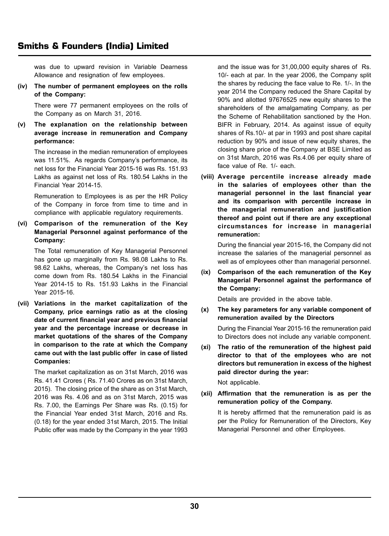was due to upward revision in Variable Dearness Allowance and resignation of few employees.

**(iv) The number of permanent employees on the rolls of the Company:**

There were 77 permanent employees on the rolls of the Company as on March 31, 2016.

**(v) The explanation on the relationship between average increase in remuneration and Company performance:**

The increase in the median remuneration of employees was 11.51%. As regards Company's performance, its net loss for the Financial Year 2015-16 was Rs. 151.93 Lakhs as against net loss of Rs. 180.54 Lakhs in the Financial Year 2014-15.

Remuneration to Employees is as per the HR Policy of the Company in force from time to time and in compliance with applicable regulatory requirements.

**(vi) Comparison of the remuneration of the Key Managerial Personnel against performance of the Company:**

The Total remuneration of Key Managerial Personnel has gone up marginally from Rs. 98.08 Lakhs to Rs. 98.62 Lakhs, whereas, the Company's net loss has come down from Rs. 180.54 Lakhs in the Financial Year 2014-15 to Rs. 151.93 Lakhs in the Financial Year 2015-16.

**(vii) Variations in the market capitalization of the Company, price earnings ratio as at the closing date of current financial year and previous financial year and the percentage increase or decrease in market quotations of the shares of the Company in comparison to the rate at which the Company came out with the last public offer in case of listed Companies:**

The market capitalization as on 31st March, 2016 was Rs. 41.41 Crores ( Rs. 71.40 Crores as on 31st March, 2015). The closing price of the share as on 31st March, 2016 was Rs. 4.06 and as on 31st March, 2015 was Rs. 7.00, the Earnings Per Share was Rs. (0.15) for the Financial Year ended 31st March, 2016 and Rs. (0.18) for the year ended 31st March, 2015. The Initial Public offer was made by the Company in the year 1993

and the issue was for 31,00,000 equity shares of Rs. 10/- each at par. In the year 2006, the Company split the shares by reducing the face value to Re. 1/-. In the year 2014 the Company reduced the Share Capital by 90% and allotted 97676525 new equity shares to the shareholders of the amalgamating Company, as per the Scheme of Rehabilitation sanctioned by the Hon. BIFR in February, 2014. As against issue of equity shares of Rs.10/- at par in 1993 and post share capital reduction by 90% and issue of new equity shares, the closing share price of the Company at BSE Limited as on 31st March, 2016 was Rs.4.06 per equity share of face value of Re. 1/- each.

**(viii) Average percentile increase already made in the salaries of employees other than the managerial personnel in the last financial year and its comparison with percentile increase in the managerial remuneration and justification thereof and point out if there are any exceptional circumstances for increase in managerial remuneration:** 

During the financial year 2015-16, the Company did not increase the salaries of the managerial personnel as well as of employees other than managerial personnel.

**(ix) Comparison of the each remuneration of the Key Managerial Personnel against the performance of the Company:**

Details are provided in the above table.

**(x) The key parameters for any variable component of remuneration availed by the Directors**

During the Financial Year 2015-16 the remuneration paid to Directors does not include any variable component.

**(xi) The ratio of the remuneration of the highest paid director to that of the employees who are not directors but remuneration in excess of the highest paid director during the year:**

Not applicable.

**(xii) Affirmation that the remuneration is as per the remuneration policy of the Company.**

> It is hereby affirmed that the remuneration paid is as per the Policy for Remuneration of the Directors, Key Managerial Personnel and other Employees.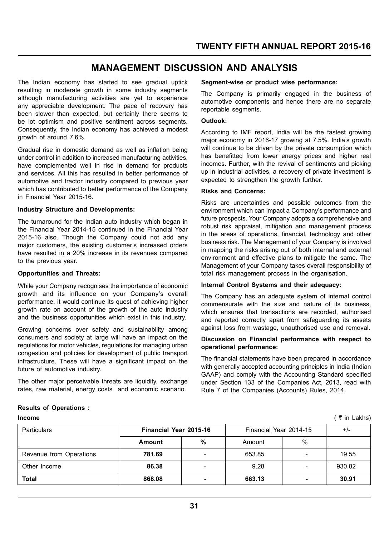### **MANAGEMENT DISCUSSION AND ANALYSIS**

The Indian economy has started to see gradual uptick resulting in moderate growth in some industry segments although manufacturing activities are yet to experience any appreciable development. The pace of recovery has been slower than expected, but certainly there seems to be lot optimism and positive sentiment across segments. Consequently, the Indian economy has achieved a modest growth of around 7.6%.

Gradual rise in domestic demand as well as inflation being under control in addition to increased manufacturing activities, have complemented well in rise in demand for products and services. All this has resulted in better performance of automotive and tractor industry compared to previous year which has contributed to better performance of the Company in Financial Year 2015-16.

#### **Industry Structure and Developments:**

The turnaround for the Indian auto industry which began in the Financial Year 2014-15 continued in the Financial Year 2015-16 also. Though the Company could not add any major customers, the existing customer's increased orders have resulted in a 20% increase in its revenues compared to the previous year.

#### **Opportunities and Threats:**

While your Company recognises the importance of economic growth and its influence on your Company's overall performance, it would continue its quest of achieving higher growth rate on account of the growth of the auto industry and the business opportunities which exist in this industry.

Growing concerns over safety and sustainability among consumers and society at large will have an impact on the regulations for motor vehicles, regulations for managing urban congestion and policies for development of public transport infrastructure. These will have a significant impact on the future of automotive industry.

The other major perceivable threats are liquidity, exchange rates, raw material, energy costs and economic scenario.

#### **Segment-wise or product wise performance:**

The Company is primarily engaged in the business of automotive components and hence there are no separate reportable segments.

#### **Outlook:**

According to IMF report, India will be the fastest growing major economy in 2016-17 growing at 7.5%. India's growth will continue to be driven by the private consumption which has benefitted from lower energy prices and higher real incomes. Further, with the revival of sentiments and picking up in industrial activities, a recovery of private investment is expected to strengthen the growth further.

#### **Risks and Concerns:**

Risks are uncertainties and possible outcomes from the environment which can impact a Company's performance and future prospects. Your Company adopts a comprehensive and robust risk appraisal, mitigation and management process in the areas of operations, financial, technology and other business risk. The Management of your Company is involved in mapping the risks arising out of both internal and external environment and effective plans to mitigate the same. The Management of your Company takes overall responsibility of total risk management process in the organisation.

#### **Internal Control Systems and their adequacy:**

The Company has an adequate system of internal control commensurate with the size and nature of its business, which ensures that transactions are recorded, authorised and reported correctly apart from safeguarding its assets against loss from wastage, unauthorised use and removal.

#### **Discussion on Financial performance with respect to operational performance:**

The financial statements have been prepared in accordance with generally accepted accounting principles in India (Indian GAAP) and comply with the Accounting Standard specified under Section 133 of the Companies Act, 2013, read with Rule 7 of the Companies (Accounts) Rules, 2014.

#### **Results of Operations :**

| ₹ in Lakhs)<br><b>Income</b> |                        |   |                        |   |        |  |
|------------------------------|------------------------|---|------------------------|---|--------|--|
| Particulars                  | Financial Year 2015-16 |   | Financial Year 2014-15 |   | $+/-$  |  |
|                              | Amount                 | % | Amount                 | % |        |  |
| Revenue from Operations      | 781.69                 | - | 653.85                 |   | 19.55  |  |
| Other Income                 | 86.38                  |   | 9.28                   |   | 930.82 |  |
| <b>Total</b>                 | 868.08                 | ۰ | 663.13                 |   | 30.91  |  |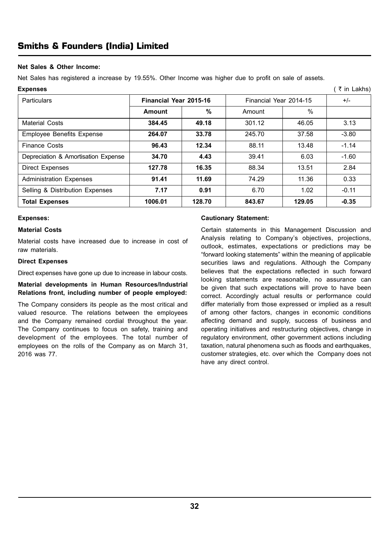#### **Net Sales & Other Income:**

Net Sales has registered a increase by 19.55%. Other Income was higher due to profit on sale of assets.

| <b>Expenses</b>                     |                        |        |                        |        | ₹ in Lakhs) |
|-------------------------------------|------------------------|--------|------------------------|--------|-------------|
| Particulars                         | Financial Year 2015-16 |        | Financial Year 2014-15 | $+/-$  |             |
|                                     | Amount                 | %      | Amount                 | $\%$   |             |
| <b>Material Costs</b>               | 384.45                 | 49.18  | 301.12                 | 46.05  | 3.13        |
| <b>Employee Benefits Expense</b>    | 264.07                 | 33.78  | 245.70                 | 37.58  | $-3.80$     |
| Finance Costs                       | 96.43                  | 12.34  | 88.11                  | 13.48  | $-1.14$     |
| Depreciation & Amortisation Expense | 34.70                  | 4.43   | 39.41                  | 6.03   | $-1.60$     |
| <b>Direct Expenses</b>              | 127.78                 | 16.35  | 88.34                  | 13.51  | 2.84        |
| <b>Administration Expenses</b>      | 91.41                  | 11.69  | 74.29                  | 11.36  | 0.33        |
| Selling & Distribution Expenses     | 7.17                   | 0.91   | 6.70                   | 1.02   | $-0.11$     |
| <b>Total Expenses</b>               | 1006.01                | 128.70 | 843.67                 | 129.05 | $-0.35$     |

#### **Expenses:**

#### **Material Costs**

Material costs have increased due to increase in cost of raw materials.

#### **Direct Expenses**

Direct expenses have gone up due to increase in labour costs.

#### **Material developments in Human Resources/Industrial Relations front, including number of people employed:**

The Company considers its people as the most critical and valued resource. The relations between the employees and the Company remained cordial throughout the year. The Company continues to focus on safety, training and development of the employees. The total number of employees on the rolls of the Company as on March 31, 2016 was 77.

#### **Cautionary Statement:**

Certain statements in this Management Discussion and Analysis relating to Company's objectives, projections, outlook, estimates, expectations or predictions may be "forward looking statements" within the meaning of applicable securities laws and regulations. Although the Company believes that the expectations reflected in such forward looking statements are reasonable, no assurance can be given that such expectations will prove to have been correct. Accordingly actual results or performance could differ materially from those expressed or implied as a result of among other factors, changes in economic conditions affecting demand and supply, success of business and operating initiatives and restructuring objectives, change in regulatory environment, other government actions including taxation, natural phenomena such as floods and earthquakes, customer strategies, etc. over which the Company does not have any direct control.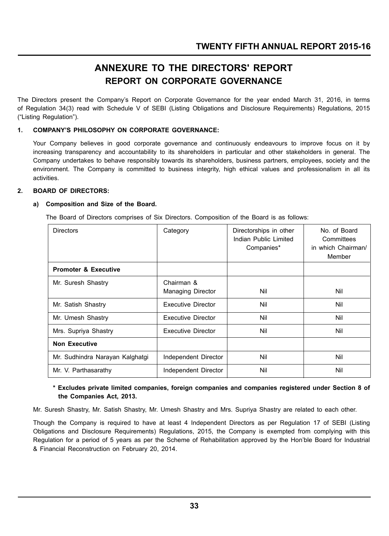### **ANNEXURE TO THE DIRECTORS' REPORT REPORT ON CORPORATE GOVERNANCE**

The Directors present the Company's Report on Corporate Governance for the year ended March 31, 2016, in terms of Regulation 34(3) read with Schedule V of SEBI (Listing Obligations and Disclosure Requirements) Regulations, 2015 ("Listing Regulation").

#### **1. COMPANY'S PHILOSOPHY ON CORPORATE GOVERNANCE:**

Your Company believes in good corporate governance and continuously endeavours to improve focus on it by increasing transparency and accountability to its shareholders in particular and other stakeholders in general. The Company undertakes to behave responsibly towards its shareholders, business partners, employees, society and the environment. The Company is committed to business integrity, high ethical values and professionalism in all its activities.

#### **2. BOARD OF DIRECTORS:**

#### **a) Composition and Size of the Board.**

The Board of Directors comprises of Six Directors. Composition of the Board is as follows:

| <b>Directors</b>                | Category                               | Directorships in other<br>Indian Public Limited<br>Companies* | No. of Board<br>Committees<br>in which Chairman/<br>Member |
|---------------------------------|----------------------------------------|---------------------------------------------------------------|------------------------------------------------------------|
| <b>Promoter &amp; Executive</b> |                                        |                                                               |                                                            |
| Mr. Suresh Shastry              | Chairman &<br><b>Managing Director</b> | Nil                                                           | Nil                                                        |
| Mr. Satish Shastry              | Executive Director                     | Nil                                                           | Nil                                                        |
| Mr. Umesh Shastry               | Executive Director                     | Nil                                                           | Nil                                                        |
| Mrs. Supriya Shastry            | Executive Director                     | Nil                                                           | Nil                                                        |
| <b>Non Executive</b>            |                                        |                                                               |                                                            |
| Mr. Sudhindra Narayan Kalghatgi | Independent Director                   | Nil                                                           | Nil                                                        |
| Mr. V. Parthasarathy            | Independent Director                   | Nil                                                           | Nil                                                        |

#### **\* Excludes private limited companies, foreign companies and companies registered under Section 8 of the Companies Act, 2013.**

Mr. Suresh Shastry, Mr. Satish Shastry, Mr. Umesh Shastry and Mrs. Supriya Shastry are related to each other.

Though the Company is required to have at least 4 Independent Directors as per Regulation 17 of SEBI (Listing Obligations and Disclosure Requirements) Regulations, 2015, the Company is exempted from complying with this Regulation for a period of 5 years as per the Scheme of Rehabilitation approved by the Hon'ble Board for Industrial & Financial Reconstruction on February 20, 2014.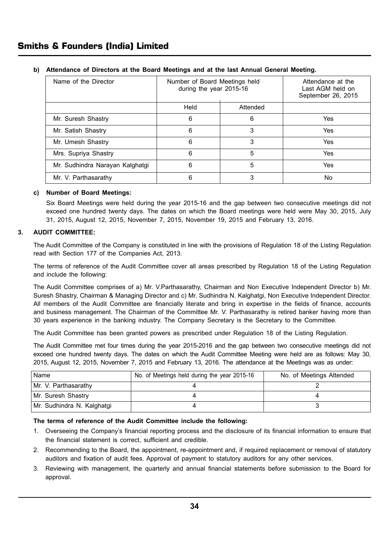| Name of the Director            | Number of Board Meetings held<br>during the year 2015-16 |          | Attendance at the<br>Last AGM held on<br>September 26, 2015 |
|---------------------------------|----------------------------------------------------------|----------|-------------------------------------------------------------|
|                                 | Held                                                     | Attended |                                                             |
| Mr. Suresh Shastry              | 6                                                        | 6        | Yes                                                         |
| Mr. Satish Shastry              | 6                                                        | 3        | Yes                                                         |
| Mr. Umesh Shastry               | 6                                                        | 3        | Yes                                                         |
| Mrs. Supriya Shastry            | 6                                                        | 5        | Yes                                                         |
| Mr. Sudhindra Narayan Kalghatgi | 6                                                        | 5        | Yes                                                         |
| Mr. V. Parthasarathy            | 6                                                        | 3        | No                                                          |

#### **b) Attendance of Directors at the Board Meetings and at the last Annual General Meeting.**

#### **c) Number of Board Meetings:**

 Six Board Meetings were held during the year 2015-16 and the gap between two consecutive meetings did not exceed one hundred twenty days. The dates on which the Board meetings were held were May 30, 2015, July 31, 2015, August 12, 2015, November 7, 2015, November 19, 2015 and February 13, 2016.

#### **3. AUDIT COMMITTEE:**

The Audit Committee of the Company is constituted in line with the provisions of Regulation 18 of the Listing Regulation read with Section 177 of the Companies Act, 2013.

The terms of reference of the Audit Committee cover all areas prescribed by Regulation 18 of the Listing Regulation and include the following:

The Audit Committee comprises of a) Mr. V.Parthasarathy, Chairman and Non Executive Independent Director b) Mr. Suresh Shastry, Chairman & Managing Director and c) Mr. Sudhindra N. Kalghatgi, Non Executive Independent Director. All members of the Audit Committee are financially literate and bring in expertise in the fields of finance, accounts and business management. The Chairman of the Committee Mr. V. Parthasarathy is retired banker having more than 30 years experience in the banking industry. The Company Secretary is the Secretary to the Committee.

The Audit Committee has been granted powers as prescribed under Regulation 18 of the Listing Regulation.

The Audit Committee met four times during the year 2015-2016 and the gap between two consecutive meetings did not exceed one hundred twenty days. The dates on which the Audit Committee Meeting were held are as follows: May 30, 2015, August 12, 2015, November 7, 2015 and February 13, 2016. The attendance at the Meetings was as under:

| l Name                     | No. of Meetings held during the year 2015-16 | No. of Meetings Attended |
|----------------------------|----------------------------------------------|--------------------------|
| Mr. V. Parthasarathy       |                                              |                          |
| Mr. Suresh Shastry         |                                              |                          |
| Mr. Sudhindra N. Kalghatgi |                                              |                          |

#### **The terms of reference of the Audit Committee include the following:**

- 1. Overseeing the Company's financial reporting process and the disclosure of its financial information to ensure that the financial statement is correct, sufficient and credible.
- 2. Recommending to the Board, the appointment, re-appointment and, if required replacement or removal of statutory auditors and fixation of audit fees. Approval of payment to statutory auditors for any other services.
- 3. Reviewing with management, the quarterly and annual financial statements before submission to the Board for approval.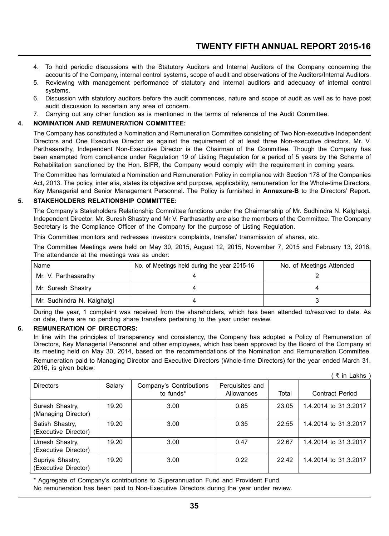### **TWENTY FIFTH ANNUAL REPORT 2015-16**

 $\ell = 1$  in Lakhshot )

- 4. To hold periodic discussions with the Statutory Auditors and Internal Auditors of the Company concerning the accounts of the Company, internal control systems, scope of audit and observations of the Auditors/Internal Auditors.
- 5. Reviewing with management performance of statutory and internal auditors and adequacy of internal control systems.
- 6. Discussion with statutory auditors before the audit commences, nature and scope of audit as well as to have post audit discussion to ascertain any area of concern.
- 7. Carrying out any other function as is mentioned in the terms of reference of the Audit Committee.

#### **4. NOMINATION AND REMUNERATION COMMITTEE:**

The Company has constituted a Nomination and Remuneration Committee consisting of Two Non-executive Independent Directors and One Executive Director as against the requirement of at least three Non-executive directors. Mr. V. Parthasarathy, Independent Non-Executive Director is the Chairman of the Committee. Though the Company has been exempted from compliance under Regulation 19 of Listing Regulation for a period of 5 years by the Scheme of Rehabilitation sanctioned by the Hon. BIFR, the Company would comply with the requirement in coming years.

The Committee has formulated a Nomination and Remuneration Policy in compliance with Section 178 of the Companies Act, 2013. The policy, inter alia, states its objective and purpose, applicability, remuneration for the Whole-time Directors, Key Managerial and Senior Management Personnel. The Policy is furnished in **Annexure-B** to the Directors' Report.

#### **5. STAKEHOLDERS RELATIONSHIP COMMITTEE:**

The Company's Stakeholders Relationship Committee functions under the Chairmanship of Mr. Sudhindra N. Kalghatgi, Independent Director. Mr. Suresh Shastry and Mr V. Parthasarthy are also the members of the Committee. The Company Secretary is the Compliance Officer of the Company for the purpose of Listing Regulation.

This Committee monitors and redresses investors complaints, transfer/ transmission of shares, etc.

The Committee Meetings were held on May 30, 2015, August 12, 2015, November 7, 2015 and February 13, 2016. The attendance at the meetings was as under:

| l Name                     | No. of Meetings held during the year 2015-16 | No. of Meetings Attended |
|----------------------------|----------------------------------------------|--------------------------|
| Mr. V. Parthasarathy       |                                              |                          |
| Mr. Suresh Shastry         |                                              |                          |
| Mr. Sudhindra N. Kalghatgi |                                              |                          |

During the year, 1 complaint was received from the shareholders, which has been attended to/resolved to date. As on date, there are no pending share transfers pertaining to the year under review.

#### **6. REMUNERATION OF DIRECTORS:**

In line with the principles of transparency and consistency, the Company has adopted a Policy of Remuneration of Directors, Key Managerial Personnel and other employees, which has been approved by the Board of the Company at its meeting held on May 30, 2014, based on the recommendations of the Nomination and Remuneration Committee. Remuneration paid to Managing Director and Executive Directors (Whole-time Directors) for the year ended March 31, 2016, is given below:

|                                          |        |                                      |                               |       | र III Lakiis          |
|------------------------------------------|--------|--------------------------------------|-------------------------------|-------|-----------------------|
| <b>Directors</b>                         | Salary | Company's Contributions<br>to funds* | Perquisites and<br>Allowances | Total | Contract Period       |
| Suresh Shastry,<br>(Managing Director)   | 19 20  | 3.00                                 | 0.85                          | 23.05 | 1.4.2014 to 31.3.2017 |
| Satish Shastry,<br>(Executive Director)  | 19 20  | 3.00                                 | 0.35                          | 22.55 | 1.4.2014 to 31.3.2017 |
| Umesh Shastry,<br>(Executive Director)   | 19 20  | 3.00                                 | 0.47                          | 22.67 | 1.4.2014 to 31.3.2017 |
| Supriya Shastry,<br>(Executive Director) | 19 20  | 3.00                                 | 0.22                          | 22.42 | 1.4.2014 to 31.3.2017 |

\* Aggregate of Company's contributions to Superannuation Fund and Provident Fund.

No remuneration has been paid to Non-Executive Directors during the year under review.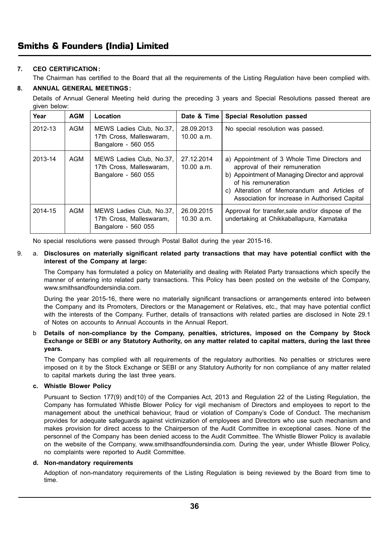#### **7. CEO CERTIFICATION:**

The Chairman has certified to the Board that all the requirements of the Listing Regulation have been complied with.

#### **8. ANNUAL GENERAL MEETINGS:**

Details of Annual General Meeting held during the preceding 3 years and Special Resolutions passed thereat are given below:

| Year    | <b>AGM</b> | Location                                                                    | Date & Time              | <b>Special Resolution passed</b>                                                                                                                                                                                                                           |
|---------|------------|-----------------------------------------------------------------------------|--------------------------|------------------------------------------------------------------------------------------------------------------------------------------------------------------------------------------------------------------------------------------------------------|
| 2012-13 | AGM        | MEWS Ladies Club, No.37,<br>17th Cross, Malleswaram,<br>Bangalore - 560 055 | 28.09.2013<br>10.00 a.m. | No special resolution was passed.                                                                                                                                                                                                                          |
| 2013-14 | AGM        | MEWS Ladies Club, No.37.<br>17th Cross, Malleswaram,<br>Bangalore - 560 055 | 27 12 2014<br>10.00 a.m. | a) Appointment of 3 Whole Time Directors and<br>approval of their remuneration<br>b) Appointment of Managing Director and approval<br>of his remuneration<br>c) Alteration of Memorandum and Articles of<br>Association for increase in Authorised Capital |
| 2014-15 | AGM        | MEWS Ladies Club, No.37,<br>17th Cross, Malleswaram,<br>Bangalore - 560 055 | 26.09.2015<br>10.30 a.m. | Approval for transfer, sale and/or dispose of the<br>undertaking at Chikkaballapura, Karnataka                                                                                                                                                             |

No special resolutions were passed through Postal Ballot during the year 2015-16.

#### 9. a. **Disclosures on materially significant related party transactions that may have potential conflict with the interest of the Company at large:**

 The Company has formulated a policy on Materiality and dealing with Related Party transactions which specify the manner of entering into related party transactions. This Policy has been posted on the website of the Company, www.smithsandfoundersindia.com.

During the year 2015-16, there were no materially significant transactions or arrangements entered into between the Company and its Promoters, Directors or the Management or Relatives, etc., that may have potential conflict with the interests of the Company. Further, details of transactions with related parties are disclosed in Note 29.1 of Notes on accounts to Annual Accounts in the Annual Report.

#### b **Details of non-compliance by the Company, penalties, strictures, imposed on the Company by Stock Exchange or SEBI or any Statutory Authority, on any matter related to capital matters, during the last three years.**

 The Company has complied with all requirements of the regulatory authorities. No penalties or strictures were imposed on it by the Stock Exchange or SEBI or any Statutory Authority for non compliance of any matter related to capital markets during the last three years.

#### **c. Whistle Blower Policy**

 Pursuant to Section 177(9) and(10) of the Companies Act, 2013 and Regulation 22 of the Listing Regulation, the Company has formulated Whistle Blower Policy for vigil mechanism of Directors and employees to report to the management about the unethical behaviour, fraud or violation of Company's Code of Conduct. The mechanism provides for adequate safeguards against victimization of employees and Directors who use such mechanism and makes provision for direct access to the Chairperson of the Audit Committee in exceptional cases. None of the personnel of the Company has been denied access to the Audit Committee. The Whistle Blower Policy is available on the website of the Company, www.smithsandfoundersindia.com. During the year, under Whistle Blower Policy, no complaints were reported to Audit Committee.

#### **d. Non-mandatory requirements**

 Adoption of non-mandatory requirements of the Listing Regulation is being reviewed by the Board from time to time.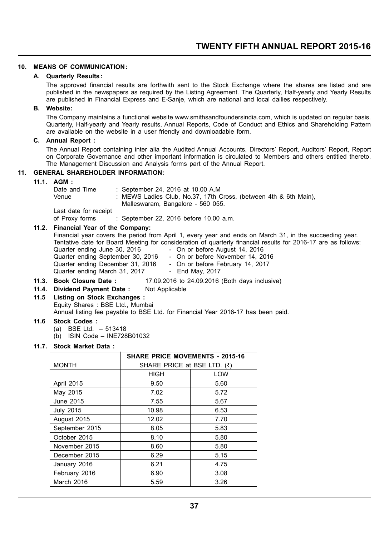#### **10. MEANS OF COMMUNICATION:**

#### **A. Quarterly Results:**

The approved financial results are forthwith sent to the Stock Exchange where the shares are listed and are published in the newspapers as required by the Listing Agreement. The Quarterly, Half-yearly and Yearly Results are published in Financial Express and E-Sanje, which are national and local dailies respectively.

#### **B. Website:**

 The Company maintains a functional website www.smithsandfoundersindia.com, which is updated on regular basis. Quarterly, Half-yearly and Yearly results, Annual Reports, Code of Conduct and Ethics and Shareholding Pattern are available on the website in a user friendly and downloadable form.

#### **C. Annual Report :**

 The Annual Report containing inter alia the Audited Annual Accounts, Directors' Report, Auditors' Report, Report on Corporate Governance and other important information is circulated to Members and others entitled thereto. The Management Discussion and Analysis forms part of the Annual Report.

#### **11. GENERAL SHAREHOLDER INFORMATION:**

#### **11.1. AGM :**

|  | Date and Time         | : September 24, 2016 at 10.00 A.M.                               |  |
|--|-----------------------|------------------------------------------------------------------|--|
|  | Venue                 | : MEWS Ladies Club, No.37, 17th Cross, (between 4th & 6th Main). |  |
|  |                       | Malleswaram, Bangalore - 560 055.                                |  |
|  | Last date for receipt |                                                                  |  |
|  | of Proxy forms        | : September 22, 2016 before $10.00$ a.m.                         |  |
|  |                       |                                                                  |  |

#### **11.2. Financial Year of the Company:**

 Financial year covers the period from April 1, every year and ends on March 31, in the succeeding year. Tentative date for Board Meeting for consideration of quarterly financial results for 2016-17 are as follows:<br>Quarter ending June 30, 2016 - On or before August 14, 2016 - On or before August 14, 2016<br>- On or before November 14, 2016 Quarter ending September 30, 2016<br>Quarter ending December 31, 2016 - On or before February 14, 2017<br>- End May 2017 Quarter ending March 31, 2017 **11.3. Book Closure Date :** 17.09.2016 to 24.09.2016 (Both days inclusive)

- 
- **11.4. Dividend Payment Date :** Not Applicable
- **11.5 Listing on Stock Exchanges :**

 Equity Shares : BSE Ltd., Mumbai Annual listing fee payable to BSE Ltd. for Financial Year 2016-17 has been paid.

#### **11.6 Stock Codes :**

- (a) BSE Ltd. 513418
- $(b)$  ISIN Code INE728B01032

#### **11.7. Stock Market Data :**

|                  | <b>SHARE PRICE MOVEMENTS - 2015-16</b> |      |  |
|------------------|----------------------------------------|------|--|
| <b>MONTH</b>     | SHARE PRICE at BSE LTD. (₹)            |      |  |
|                  | <b>HIGH</b>                            | LOW  |  |
| April 2015       | 9.50                                   | 5.60 |  |
| May 2015         | 7.02                                   | 5.72 |  |
| June 2015        | 7.55                                   | 5.67 |  |
| <b>July 2015</b> | 10.98                                  | 6.53 |  |
| August 2015      | 12.02                                  | 7.70 |  |
| September 2015   | 8.05                                   | 5.83 |  |
| October 2015     | 8.10                                   | 5.80 |  |
| November 2015    | 8.60                                   | 5.80 |  |
| December 2015    | 6.29                                   | 5.15 |  |
| January 2016     | 6.21                                   | 4.75 |  |
| February 2016    | 6.90                                   | 3.08 |  |
| March 2016       | 5.59                                   | 3.26 |  |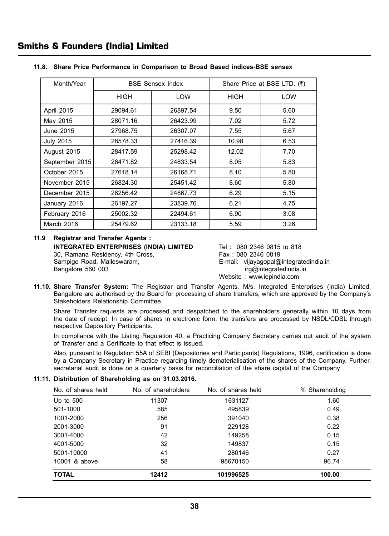### **Smiths & Founders (India) Limited**

| Month/Year       | <b>BSE Sensex Index</b> |          | Share Price at BSE LTD. (₹) |      |
|------------------|-------------------------|----------|-----------------------------|------|
|                  | <b>HIGH</b>             | LOW      | <b>HIGH</b>                 | LOW  |
| April 2015       | 29094.61                | 26897.54 | 9.50                        | 5.60 |
| May 2015         | 28071.16                | 26423.99 | 7.02                        | 5.72 |
| June 2015        | 27968.75                | 26307.07 | 7.55                        | 5.67 |
| <b>July 2015</b> | 28578.33                | 27416.39 | 10.98                       | 6.53 |
| August 2015      | 28417.59                | 25298.42 | 12.02                       | 7.70 |
| September 2015   | 26471.82                | 24833.54 | 8.05                        | 5.83 |
| October 2015     | 27618.14                | 26168.71 | 8.10                        | 5.80 |
| November 2015    | 26824.30                | 25451.42 | 8.60                        | 5.80 |
| December 2015    | 26256.42                | 24867.73 | 6.29                        | 5.15 |
| January 2016     | 26197.27                | 23839.76 | 6.21                        | 4.75 |
| February 2016    | 25002.32                | 22494.61 | 6.90                        | 3.08 |
| March 2016       | 25479.62                | 23133.18 | 5.59                        | 3.26 |

#### **11.8. Share Price Performance in Comparison to Broad Based indices-BSE sensex**

#### **11.9 Registrar and Transfer Agents :**

 **INTEGRATED ENTERPRISES (INDIA) LIMITED** Tel : 080 2346 0815 to 818 30, Ramana Residency, 4th Cross, Sampige Road, Malleswaram, Sampige Road, Malleswaram, etter serves and the E-mail: vijayagopal@integratedindia.in<br>Bangalore 560 003

irg@integratedindia.in Website : www.iepindia.com

**11.10. Share Transfer System:** The Registrar and Transfer Agents, M/s. Integrated Enterprises (India) Limited, Bangalore are authorised by the Board for processing of share transfers, which are approved by the Company's Stakeholders Relationship Committee.

 Share Transfer requests are processed and despatched to the shareholders generally within 10 days from the date of receipt. In case of shares in electronic form, the transfers are processed by NSDL/CDSL through respective Depository Participants.

In compliance with the Listing Regulation 40, a Practicing Company Secretary carries out audit of the system of Transfer and a Certificate to that effect is issued.

Also, pursuant to Regulation 55A of SEBI (Depositories and Participants) Regulations, 1996, certification is done by a Company Secretary in Practice regarding timely dematerialisation of the shares of the Company. Further, secretarial audit is done on a quarterly basis for reconciliation of the share capital of the Company

#### **11.11. Distribution of Shareholding as on 31.03.2016.**

| No. of shares held | No. of shareholders | No. of shares held | % Shareholding |
|--------------------|---------------------|--------------------|----------------|
| Up to $500$        | 11307               | 1631127            | 1.60           |
| 501-1000           | 585                 | 495839             | 0.49           |
| 1001-2000          | 256                 | 391040             | 0.38           |
| 2001-3000          | 91                  | 229128             | 0.22           |
| 3001-4000          | 42                  | 149258             | 0.15           |
| 4001-5000          | 32                  | 149837             | 0.15           |
| 5001-10000         | 41                  | 280146             | 0.27           |
| 10001 & above      | 58                  | 98670150           | 96.74          |
| <b>TOTAL</b>       | 12412               | 101996525          | 100.00         |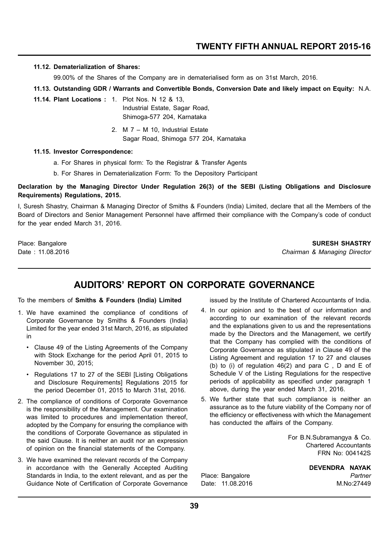#### **11.12. Dematerialization of Shares:**

99.00% of the Shares of the Company are in dematerialised form as on 31st March, 2016.

- **11.13. Outstanding GDR / Warrants and Convertible Bonds, Conversion Date and likely impact on Equity:** N.A.
- **11.14. Plant Locations :** 1. Plot Nos. N 12 & 13, Industrial Estate, Sagar Road, Shimoga-577 204, Karnataka
	- 2. M 7 M 10, Industrial Estate Sagar Road, Shimoga 577 204, Karnataka

#### **11.15. Investor Correspondence:**

- a. For Shares in physical form: To the Registrar & Transfer Agents
- b. For Shares in Dematerialization Form: To the Depository Participant

#### **Declaration by the Managing Director Under Regulation 26(3) of the SEBI (Listing Obligations and Disclosure Requirements) Regulations, 2015.**

I, Suresh Shastry, Chairman & Managing Director of Smiths & Founders (India) Limited, declare that all the Members of the Board of Directors and Senior Management Personnel have affirmed their compliance with the Company's code of conduct for the year ended March 31, 2016.

Place: Bangalore **SURESH SHASTRY** Date : 11.08.2016 *Chairman & Managing Director*

### **AUDITORS' REPORT ON CORPORATE GOVERNANCE**

To the members of **Smiths & Founders (India) Limited**

- 1. We have examined the compliance of conditions of Corporate Governance by Smiths & Founders (India) Limited for the year ended 31st March, 2016, as stipulated in
	- Clause 49 of the Listing Agreements of the Company with Stock Exchange for the period April 01, 2015 to November 30, 2015;
	- Regulations 17 to 27 of the SEBI [Listing Obligations and Disclosure Requirements] Regulations 2015 for the period December 01, 2015 to March 31st, 2016.
- 2. The compliance of conditions of Corporate Governance is the responsibility of the Management. Our examination was limited to procedures and implementation thereof, adopted by the Company for ensuring the compliance with the conditions of Corporate Governance as stipulated in the said Clause. It is neither an audit nor an expression of opinion on the financial statements of the Company.
- 3. We have examined the relevant records of the Company in accordance with the Generally Accepted Auditing Standards in India, to the extent relevant, and as per the Guidance Note of Certification of Corporate Governance

issued by the Institute of Chartered Accountants of India.

- 4. In our opinion and to the best of our information and according to our examination of the relevant records and the explanations given to us and the representations made by the Directors and the Management, we certify that the Company has complied with the conditions of Corporate Governance as stipulated in Clause 49 of the Listing Agreement and regulation 17 to 27 and clauses (b) to (i) of regulation  $46(2)$  and para C, D and E of Schedule V of the Listing Regulations for the respective periods of applicability as specified under paragraph 1 above, during the year ended March 31, 2016.
- 5. We further state that such compliance is neither an assurance as to the future viability of the Company nor of the efficiency or effectiveness with which the Management has conducted the affairs of the Company.

For B.N.Subramangya & Co. Chartered Accountants FRN No: 004142S

**DEVENDRA NAYAK** Place: Bangalore *Partner*<br>
Date: 11.08.2016 *Partner* 

Date: 11.08.2016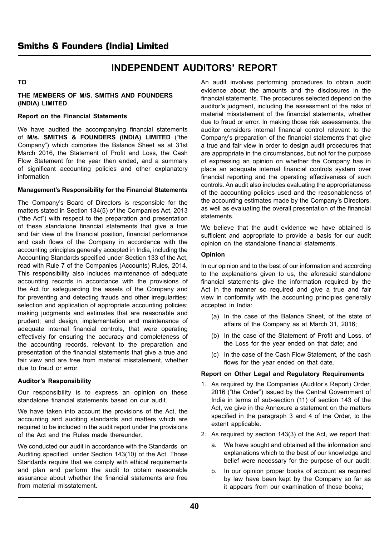### **INDEPENDENT AUDITORS' REPORT**

#### **TO**

#### **THE MEMBERS OF M/S. SMITHS AND FOUNDERS (INDIA) LIMITED**

#### **Report on the Financial Statements**

We have audited the accompanying financial statements of **M/s. SMITHS & FOUNDERS (INDIA) LIMITED** ("the Company") which comprise the Balance Sheet as at 31st March 2016, the Statement of Profit and Loss, the Cash Flow Statement for the year then ended, and a summary of significant accounting policies and other explanatory information

#### **Management's Responsibility for the Financial Statements**

The Company's Board of Directors is responsible for the matters stated in Section 134(5) of the Companies Act, 2013 ("the Act") with respect to the preparation and presentation of these standalone financial statements that give a true and fair view of the financial position, financial performance and cash flows of the Company in accordance with the accounting principles generally accepted in India, including the Accounting Standards specified under Section 133 of the Act, read with Rule 7 of the Companies (Accounts) Rules, 2014. This responsibility also includes maintenance of adequate accounting records in accordance with the provisions of the Act for safeguarding the assets of the Company and for preventing and detecting frauds and other irregularities; selection and application of appropriate accounting policies; making judgments and estimates that are reasonable and prudent; and design, implementation and maintenance of adequate internal financial controls, that were operating effectively for ensuring the accuracy and completeness of the accounting records, relevant to the preparation and presentation of the financial statements that give a true and fair view and are free from material misstatement, whether due to fraud or error.

#### **Auditor's Responsibility**

Our responsibility is to express an opinion on these standalone financial statements based on our audit.

We have taken into account the provisions of the Act, the accounting and auditing standards and matters which are required to be included in the audit report under the provisions of the Act and the Rules made thereunder.

We conducted our audit in accordance with the Standards on Auditing specified under Section 143(10) of the Act. Those Standards require that we comply with ethical requirements and plan and perform the audit to obtain reasonable assurance about whether the financial statements are free from material misstatement.

An audit involves performing procedures to obtain audit evidence about the amounts and the disclosures in the financial statements. The procedures selected depend on the auditor's judgment, including the assessment of the risks of material misstatement of the financial statements, whether due to fraud or error. In making those risk assessments, the auditor considers internal financial control relevant to the Company's preparation of the financial statements that give a true and fair view in order to design audit procedures that are appropriate in the circumstances, but not for the purpose of expressing an opinion on whether the Company has in place an adequate internal financial controls system over financial reporting and the operating effectiveness of such controls. An audit also includes evaluating the appropriateness of the accounting policies used and the reasonableness of the accounting estimates made by the Company's Directors, as well as evaluating the overall presentation of the financial statements.

We believe that the audit evidence we have obtained is sufficient and appropriate to provide a basis for our audit opinion on the standalone financial statements.

#### **Opinion**

In our opinion and to the best of our information and according to the explanations given to us, the aforesaid standalone financial statements give the information required by the Act in the manner so required and give a true and fair view in conformity with the accounting principles generally accepted in India:

- (a) In the case of the Balance Sheet, of the state of affairs of the Company as at March 31, 2016;
- (b) In the case of the Statement of Profit and Loss, of the Loss for the year ended on that date; and
- (c) In the case of the Cash Flow Statement, of the cash flows for the year ended on that date.

#### **Report on Other Legal and Regulatory Requirements**

- 1. As required by the Companies (Auditor's Report) Order, 2016 ("the Order") issued by the Central Government of India in terms of sub-section (11) of section 143 of the Act, we give in the Annexure a statement on the matters specified in the paragraph 3 and 4 of the Order, to the extent applicable.
- 2. As required by section 143(3) of the Act, we report that:
	- a. We have sought and obtained all the information and explanations which to the best of our knowledge and belief were necessary for the purpose of our audit;
	- b. In our opinion proper books of account as required by law have been kept by the Company so far as it appears from our examination of those books;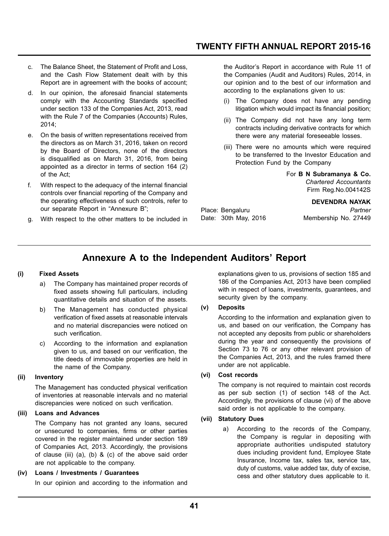- c. The Balance Sheet, the Statement of Profit and Loss, and the Cash Flow Statement dealt with by this Report are in agreement with the books of account;
- d. In our opinion, the aforesaid financial statements comply with the Accounting Standards specified under section 133 of the Companies Act, 2013, read with the Rule 7 of the Companies (Accounts) Rules,  $2014$
- e. On the basis of written representations received from the directors as on March 31, 2016, taken on record by the Board of Directors, none of the directors is disqualified as on March 31, 2016, from being appointed as a director in terms of section 164 (2) of the Act;
- f. With respect to the adequacy of the internal financial controls over financial reporting of the Company and the operating effectiveness of such controls, refer to our separate Report in "Annexure B";
- g. With respect to the other matters to be included in

the Auditor's Report in accordance with Rule 11 of the Companies (Audit and Auditors) Rules, 2014, in our opinion and to the best of our information and according to the explanations given to us:

- (i) The Company does not have any pending litigation which would impact its financial position;
- (ii) The Company did not have any long term contracts including derivative contracts for which there were any material foreseeable losses.
- (iii) There were no amounts which were required to be transferred to the Investor Education and Protection Fund by the Company

For **B N Subramanya & Co.** *Chartered Accountants* Firm Reg.No.004142S

#### **DEVENDRA NAYAK**

Place: Bengaluru *Partner* Date: 30th May, 2016 Membership No. 27449

### **Annexure A to the Independent Auditors' Report**

#### **(i) Fixed Assets**

- a) The Company has maintained proper records of fixed assets showing full particulars, including quantitative details and situation of the assets.
- b) The Management has conducted physical verification of fixed assets at reasonable intervals and no material discrepancies were noticed on such verification.
- c) According to the information and explanation given to us, and based on our verification, the title deeds of immovable properties are held in the name of the Company.

#### **(ii) Inventory**

The Management has conducted physical verification of inventories at reasonable intervals and no material discrepancies were noticed on such verification.

#### **(iii) Loans and Advances**

The Company has not granted any loans, secured or unsecured to companies, firms or other parties covered in the register maintained under section 189 of Companies Act, 2013. Accordingly, the provisions of clause (iii) (a), (b) & (c) of the above said order are not applicable to the company.

#### **(iv) Loans / Investments / Guarantees**

In our opinion and according to the information and

explanations given to us, provisions of section 185 and 186 of the Companies Act, 2013 have been complied with in respect of loans, investments, guarantees, and security given by the company.

#### **(v) Deposits**

According to the information and explanation given to us, and based on our verification, the Company has not accepted any deposits from public or shareholders during the year and consequently the provisions of Section 73 to 76 or any other relevant provision of the Companies Act, 2013, and the rules framed there under are not applicable.

#### **(vi) Cost records**

The company is not required to maintain cost records as per sub section (1) of section 148 of the Act. Accordingly, the provisions of clause (vi) of the above said order is not applicable to the company.

#### **(vii) Statutory Dues**

a) According to the records of the Company, the Company is regular in depositing with appropriate authorities undisputed statutory dues including provident fund, Employee State Insurance, Income tax, sales tax, service tax, duty of customs, value added tax, duty of excise, cess and other statutory dues applicable to it.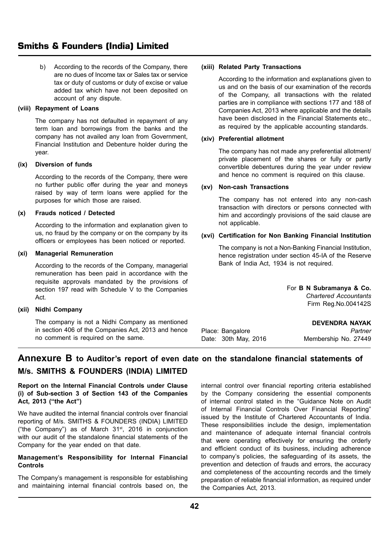b) According to the records of the Company, there are no dues of Income tax or Sales tax or service tax or duty of customs or duty of excise or value added tax which have not been deposited on account of any dispute.

#### **(viii) Repayment of Loans**

The company has not defaulted in repayment of any term loan and borrowings from the banks and the company has not availed any loan from Government, Financial Institution and Debenture holder during the year.

#### **(ix) Diversion of funds**

According to the records of the Company, there were no further public offer during the year and moneys raised by way of term loans were applied for the purposes for which those are raised.

#### **(x) Frauds noticed / Detected**

According to the information and explanation given to us, no fraud by the company or on the company by its officers or employees has been noticed or reported.

#### **(xi) Managerial Remuneration**

According to the records of the Company, managerial remuneration has been paid in accordance with the requisite approvals mandated by the provisions of section 197 read with Schedule V to the Companies Act.

#### **(xii) Nidhi Company**

The company is not a Nidhi Company as mentioned in section 406 of the Companies Act, 2013 and hence no comment is required on the same.

#### **(xiii) Related Party Transactions**

According to the information and explanations given to us and on the basis of our examination of the records of the Company, all transactions with the related parties are in compliance with sections 177 and 188 of Companies Act, 2013 where applicable and the details have been disclosed in the Financial Statements etc., as required by the applicable accounting standards.

#### **(xiv) Preferential allotment**

The company has not made any preferential allotment/ private placement of the shares or fully or partly convertible debentures during the year under review and hence no comment is required on this clause.

#### **(xv) Non-cash Transactions**

The company has not entered into any non-cash transaction with directors or persons connected with him and accordingly provisions of the said clause are not applicable.

#### **(xvi) Certification for Non Banking Financial Institution**

The company is not a Non-Banking Financial Institution, hence registration under section 45-IA of the Reserve Bank of India Act, 1934 is not required.

> For **B N Subramanya & Co.** *Chartered Accountants* Firm Reg.No.004142S

Place: Bangalore Date: 30th May, 2016 Membership No. 27449

**DEVENDRA NAYAK**

### **Annexure B to Auditor's report of even date on the standalone financial statements of M/s. SMITHS & FOUNDERS (INDIA) LIMITED**

#### **Report on the Internal Financial Controls under Clause (i) of Sub-section 3 of Section 143 of the Companies Act, 2013 ("the Act")**

We have audited the internal financial controls over financial reporting of M/s. SMITHS & FOUNDERS (INDIA) LIMITED ("the Company") as of March  $31<sup>st</sup>$ , 2016 in conjunction with our audit of the standalone financial statements of the Company for the year ended on that date.

#### **Management's Responsibility for Internal Financial Controls**

The Company's management is responsible for establishing and maintaining internal financial controls based on, the internal control over financial reporting criteria established by the Company considering the essential components of internal control stated in the "Guidance Note on Audit of Internal Financial Controls Over Financial Reporting" issued by the Institute of Chartered Accountants of India. These responsibilities include the design, implementation and maintenance of adequate internal financial controls that were operating effectively for ensuring the orderly and efficient conduct of its business, including adherence to company's policies, the safeguarding of its assets, the prevention and detection of frauds and errors, the accuracy and completeness of the accounting records and the timely preparation of reliable financial information, as required under the Companies Act, 2013.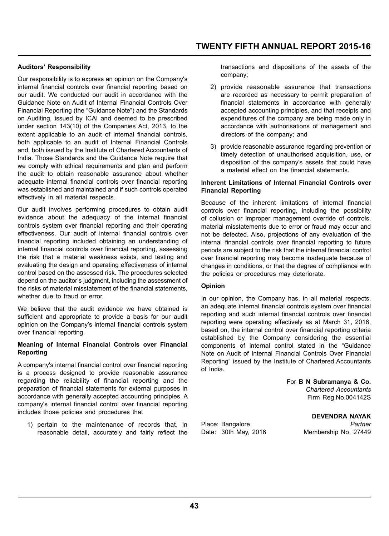#### **Auditors' Responsibility**

Our responsibility is to express an opinion on the Company's internal financial controls over financial reporting based on our audit. We conducted our audit in accordance with the Guidance Note on Audit of Internal Financial Controls Over Financial Reporting (the "Guidance Note") and the Standards on Auditing, issued by ICAI and deemed to be prescribed under section 143(10) of the Companies Act, 2013, to the extent applicable to an audit of internal financial controls. both applicable to an audit of Internal Financial Controls and, both issued by the Institute of Chartered Accountants of India. Those Standards and the Guidance Note require that we comply with ethical requirements and plan and perform the audit to obtain reasonable assurance about whether adequate internal financial controls over financial reporting was established and maintained and if such controls operated effectively in all material respects.

Our audit involves performing procedures to obtain audit evidence about the adequacy of the internal financial controls system over financial reporting and their operating effectiveness. Our audit of internal financial controls over financial reporting included obtaining an understanding of internal financial controls over financial reporting, assessing the risk that a material weakness exists, and testing and evaluating the design and operating effectiveness of internal control based on the assessed risk. The procedures selected depend on the auditor's judgment, including the assessment of the risks of material misstatement of the financial statements, whether due to fraud or error.

We believe that the audit evidence we have obtained is sufficient and appropriate to provide a basis for our audit opinion on the Company's internal financial controls system over financial reporting.

#### **Meaning of Internal Financial Controls over Financial Reporting**

A company's internal financial control over financial reporting is a process designed to provide reasonable assurance regarding the reliability of financial reporting and the preparation of financial statements for external purposes in accordance with generally accepted accounting principles. A company's internal financial control over financial reporting includes those policies and procedures that

1) pertain to the maintenance of records that, in reasonable detail, accurately and fairly reflect the transactions and dispositions of the assets of the company;

- 2) provide reasonable assurance that transactions are recorded as necessary to permit preparation of financial statements in accordance with generally accepted accounting principles, and that receipts and expenditures of the company are being made only in accordance with authorisations of management and directors of the company; and
- 3) provide reasonable assurance regarding prevention or timely detection of unauthorised acquisition, use, or disposition of the company's assets that could have a material effect on the financial statements.

#### **Inherent Limitations of Internal Financial Controls over Financial Reporting**

Because of the inherent limitations of internal financial controls over financial reporting, including the possibility of collusion or improper management override of controls, material misstatements due to error or fraud may occur and not be detected. Also, projections of any evaluation of the internal financial controls over financial reporting to future periods are subject to the risk that the internal financial control over financial reporting may become inadequate because of changes in conditions, or that the degree of compliance with the policies or procedures may deteriorate.

#### **Opinion**

In our opinion, the Company has, in all material respects, an adequate internal financial controls system over financial reporting and such internal financial controls over financial reporting were operating effectively as at March 31, 2016, based on, the internal control over financial reporting criteria established by the Company considering the essential components of internal control stated in the "Guidance Note on Audit of Internal Financial Controls Over Financial Reporting" issued by the Institute of Chartered Accountants of India.

> For **B N Subramanya & Co.** *Chartered Accountants* Firm Reg.No.004142S

**DEVENDRA NAYAK** Date: 30th May, 2016 Membership No. 27449

Place: Bangalore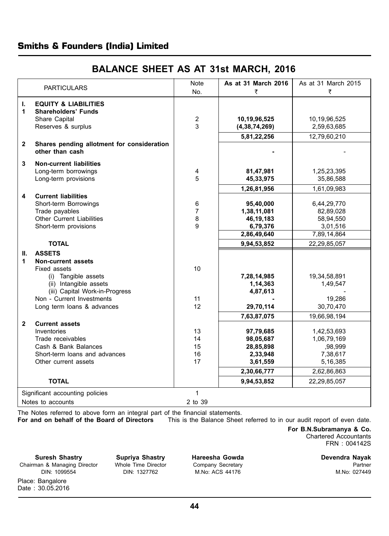### **BALANCE SHEET AS AT 31st MARCH, 2016**

|                |                                            | Note             | As at 31 March 2016 | As at 31 March 2015 |
|----------------|--------------------------------------------|------------------|---------------------|---------------------|
|                | <b>PARTICULARS</b>                         | No.              | ₹                   | ₹                   |
| L.             | <b>EQUITY &amp; LIABILITIES</b>            |                  |                     |                     |
| 1              | <b>Shareholders' Funds</b>                 |                  |                     |                     |
|                | Share Capital                              | $\boldsymbol{2}$ | 10,19,96,525        | 10,19,96,525        |
|                | Reserves & surplus                         | 3                | (4, 38, 74, 269)    | 2,59,63,685         |
|                |                                            |                  | 5,81,22,256         | 12,79,60,210        |
| $\mathbf{2}$   | Shares pending allotment for consideration |                  |                     |                     |
|                | other than cash                            |                  |                     |                     |
| 3              | <b>Non-current liabilities</b>             |                  |                     |                     |
|                | Long-term borrowings                       | 4                | 81,47,981           | 1,25,23,395         |
|                | Long-term provisions                       | 5                | 45,33,975           | 35,86,588           |
|                |                                            |                  | 1,26,81,956         | 1.61.09.983         |
| 4              | <b>Current liabilities</b>                 |                  |                     |                     |
|                | Short-term Borrowings                      | 6                | 95,40,000           | 6,44,29,770         |
|                | Trade payables                             | 7                | 1,38,11,081         | 82,89,028           |
|                | Other Current Liabilities                  | 8                | 46, 19, 183         | 58,94,550           |
|                | Short-term provisions                      | 9                | 6,79,376            | 3,01,516            |
|                |                                            |                  | 2,86,49,640         | 7,89,14,864         |
|                | <b>TOTAL</b>                               |                  | 9,94,53,852         | 22,29,85,057        |
| Н.             | <b>ASSETS</b>                              |                  |                     |                     |
| 1              | Non-current assets                         |                  |                     |                     |
|                | <b>Fixed assets</b>                        | 10               |                     |                     |
|                | (i) Tangible assets                        |                  | 7,28,14,985         | 19,34,58,891        |
|                | (ii) Intangible assets                     |                  | 1,14,363            | 1,49,547            |
|                | (iii) Capital Work-in-Progress             |                  | 4,87,613            |                     |
|                | Non - Current Investments                  | 11<br>12         |                     | 19,286              |
|                | Long term loans & advances                 |                  | 29,70,114           | 30,70,470           |
|                |                                            |                  | 7,63,87,075         | 19,66,98,194        |
| $\overline{2}$ | <b>Current assets</b><br>Inventories       | 13               | 97,79,685           | 1,42,53,693         |
|                | Trade receivables                          | 14               | 98,05,687           | 1,06,79,169         |
|                | Cash & Bank Balances                       | 15               | 28,85,898           | ,98,999             |
|                | Short-term loans and advances              | 16               | 2,33,948            | 7,38,617            |
|                | Other current assets                       | 17               | 3,61,559            | 5,16,385            |
|                |                                            |                  | 2,30,66,777         | 2,62,86,863         |
|                | <b>TOTAL</b>                               |                  | 9,94,53,852         | 22,29,85,057        |
|                |                                            |                  |                     |                     |
|                | Significant accounting policies            | 1                |                     |                     |
|                | Notes to accounts                          | 2 to 39          |                     |                     |

The Notes referred to above form an integral part of the financial statements.<br>For and on behalf of the Board of Directors This is the Balance Sheet

This is the Balance Sheet referred to in our audit report of even date.

 **For B.N.Subramanya & Co.** Chartered Accountants<br>FRN: 004142S FRN : 004142S

**Suresh Shastry Supriya Shastry Hareesha Gowda Devendra Nayak** Chairman & Managing Director Michael Time Director Company Secretary Chairman & Managing Director Music 1327762<br>DIN: 1327762 M.No: ACS 44176 M.No. 2007449

M.No: ACS 44176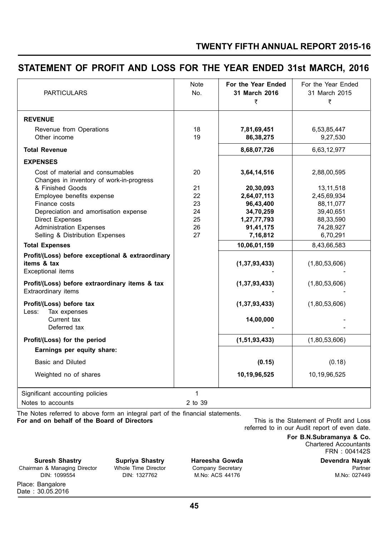### **STATEMENT OF PROFIT AND LOSS FOR THE YEAR ENDED 31st MARCH, 2016**

| <b>PARTICULARS</b>                                                                          | <b>Note</b><br>No. | For the Year Ended<br>31 March 2016<br>₹ | For the Year Ended<br>31 March 2015<br>₹ |
|---------------------------------------------------------------------------------------------|--------------------|------------------------------------------|------------------------------------------|
| <b>REVENUE</b>                                                                              |                    |                                          |                                          |
| Revenue from Operations<br>Other income                                                     | 18<br>19           | 7,81,69,451<br>86,38,275                 | 6,53,85,447<br>9,27,530                  |
| <b>Total Revenue</b>                                                                        |                    | 8,68,07,726                              | 6,63,12,977                              |
| <b>EXPENSES</b>                                                                             |                    |                                          |                                          |
| Cost of material and consumables<br>Changes in inventory of work-in-progress                | 20                 | 3,64,14,516                              | 2,88,00,595                              |
| & Finished Goods                                                                            | 21                 | 20,30,093                                | 13,11,518                                |
| Employee benefits expense                                                                   | 22                 | 2,64,07,113                              | 2,45,69,934                              |
| Finance costs                                                                               | 23                 | 96,43,400                                | 88,11,077                                |
| Depreciation and amortisation expense                                                       | 24                 | 34,70,259                                | 39,40,651                                |
| <b>Direct Expenses</b>                                                                      | 25                 | 1,27,77,793                              | 88,33,590                                |
| <b>Administration Expenses</b>                                                              | 26<br>27           | 91,41,175                                | 74,28,927                                |
| Selling & Distribution Expenses                                                             |                    | 7,16,812                                 | 6,70,291                                 |
| <b>Total Expenses</b>                                                                       |                    | 10,06,01,159                             | 8,43,66,583                              |
| Profit/(Loss) before exceptional & extraordinary<br>items & tax<br><b>Exceptional items</b> |                    | (1, 37, 93, 433)                         | (1,80,53,606)                            |
| Profit/(Loss) before extraordinary items & tax<br>Extraordinary items                       |                    | (1, 37, 93, 433)                         | (1,80,53,606)                            |
| Profit/(Loss) before tax<br>Tax expenses<br>Less:                                           |                    | (1, 37, 93, 433)                         | (1,80,53,606)                            |
| Current tax<br>Deferred tax                                                                 |                    | 14,00,000                                |                                          |
| Profit/(Loss) for the period                                                                |                    | (1,51,93,433)                            | (1,80,53,606)                            |
| Earnings per equity share:                                                                  |                    |                                          |                                          |
| Basic and Diluted                                                                           |                    | (0.15)                                   | (0.18)                                   |
| Weighted no of shares                                                                       |                    | 10,19,96,525                             | 10,19,96,525                             |
| Significant accounting policies                                                             | 1                  |                                          |                                          |
| Notes to accounts                                                                           | 2 to 39            |                                          |                                          |

The Notes referred to above form an integral part of the financial statements. **For and on behalf of the Board of Directors This is the Statement of Profit and Loss** 

referred to in our Audit report of even date.

 **For B.N.Subramanya & Co.** Chartered Accountants FRN : 004142S

**Suresh Shastry Supriya Shastry Hareesha Gowda Devendra Nayak** Chairman & Managing Director Michael Time Director Company Secretary Chairman & Managing Director Munde Time Director Company Secretary Partner<br>DIN: 1999554 DIN: 1327762 M.No: ACS 44176 M.No. 207449 Place: Bangalore

Date : 30.05.2016

M.No: ACS 44176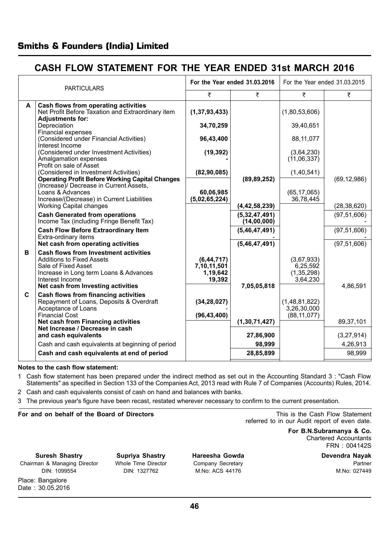### **Smiths & Founders (India) Limited**

### **CASH FLOW STATEMENT FOR THE YEAR ENDED 31st MARCH 2016**

| <b>PARTICULARS</b> |                                                                                                                                                                                                                                           | For the Year ended 31.03.2016                     |                                                     | For the Year ended 31,03,2015                      |                                |
|--------------------|-------------------------------------------------------------------------------------------------------------------------------------------------------------------------------------------------------------------------------------------|---------------------------------------------------|-----------------------------------------------------|----------------------------------------------------|--------------------------------|
|                    |                                                                                                                                                                                                                                           | ₹                                                 | ₹                                                   | ₹                                                  | ₹                              |
| A                  | Cash flows from operating activities<br>Net Profit Before Taxation and Extraordinary item<br><b>Adjustments for:</b>                                                                                                                      | (1, 37, 93, 433)                                  |                                                     | (1,80,53,606)                                      |                                |
|                    | Depreciation<br>Financial expenses<br>(Considered under Financial Activities)                                                                                                                                                             | 34,70,259<br>96,43,400                            |                                                     | 39,40,651<br>88,11,077                             |                                |
|                    | Interest Income<br>(Considered under Investment Activities)<br>Amalgamation expenses<br>Profit on sale of Asset                                                                                                                           | (19, 392)                                         |                                                     | (3,64,230)<br>(11,06,337)                          |                                |
|                    | (Considered in Investment Activities)                                                                                                                                                                                                     | (82, 90, 085)                                     |                                                     | (1,40,541)                                         |                                |
|                    | <b>Operating Profit Before Working Capital Changes</b><br>(Increase)/ Decrease in Current Assets,<br>Loans & Advances<br>Increase/(Decrease) in Current Liabilities                                                                       | 60,06,985<br>(5,02,65,224)                        | (89, 89, 252)                                       | (65, 17, 065)<br>36,78,445                         | (69, 12, 986)                  |
|                    | <b>Working Capital changes</b><br><b>Cash Generated from operations</b><br>Income Tax (including Fringe Benefit Tax)                                                                                                                      |                                                   | (4, 42, 58, 239)<br>(5, 32, 47, 491)<br>(14,00,000) |                                                    | (28, 38, 620)<br>(97, 51, 606) |
|                    | <b>Cash Flow Before Extraordinary Item</b><br>Extra-ordinary items                                                                                                                                                                        |                                                   | (5,46,47,491)                                       |                                                    | (97, 51, 606)                  |
| в                  | Net cash from operating activities<br><b>Cash flows from Investment activities</b><br>Additions to Fixed Assets<br>Sale of Fixed Asset<br>Increase in Long term Loans & Advances<br>Interest Income<br>Net cash from Investing activities | (6, 44, 717)<br>7,10,11,501<br>1,19,642<br>19,392 | (5,46,47,491)<br>7,05,05,818                        | (3,67,933)<br>6,25,592<br>(1, 35, 298)<br>3,64,230 | (97, 51, 606)<br>4,86,591      |
| C.                 | Cash flows from financing activities<br>Repayment of Loans, Deposits & Overdraft<br>Acceptance of Loans<br><b>Financial Cost</b>                                                                                                          | (34, 28, 027)<br>(96, 43, 400)                    |                                                     | (1,48,81,822)<br>3.26.30.000<br>(88, 11, 077)      |                                |
|                    | Net cash from Financing activities<br>Net Increase / Decrease in cash                                                                                                                                                                     |                                                   | (1, 30, 71, 427)                                    |                                                    | 89,37,101                      |
|                    | and cash equivalents                                                                                                                                                                                                                      |                                                   | 27,86,900                                           |                                                    | (3,27,914)                     |
|                    | Cash and cash equivalents at beginning of period                                                                                                                                                                                          |                                                   | 98,999                                              |                                                    | 4,26,913                       |
|                    | Cash and cash equivalents at end of period                                                                                                                                                                                                |                                                   | 28,85,899                                           |                                                    | 98.999                         |

#### **Notes to the cash flow statement:**

1 Cash flow statement has been prepared under the indirect method as set out in the Accounting Standard 3 : "Cash Flow Statements" as specified in Section 133 of the Companies Act, 2013 read with Rule 7 of Companies (Accounts) Rules, 2014.

- 2 Cash and cash equivalents consist of cash on hand and balances with banks.
- 3 The previous year's figure have been recast, restated wherever necessary to confirm to the current presentation.

#### **For and on behalf of the Board of Directors This is the Cash Flow Statement**

referred to in our Audit report of even date.

 **For B.N.Subramanya & Co.** Chartered Accountants<br>ERN : 004142S FRN : 004142S

**Suresh Shastry Supriya Shastry Hareesha Gowda Devendra Nayak** Chairman & Managing Director Whole Time Director Company Secretary Partner DIN: 1099554 DIN: 1327762 M.No: ACS 44176 M.No: 027449

Place: Bangalore Date : 30.05.2016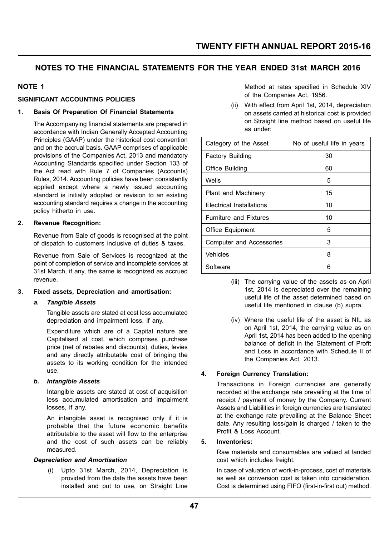### **NOTE 1**

#### **SIGNIFICANT ACCOUNTING POLICIES**

#### **1. Basis Of Preparation Of Financial Statements**

The Accompanying financial statements are prepared in accordance with Indian Generally Accepted Accounting Principles (GAAP) under the historical cost convention and on the accrual basis. GAAP comprises of applicable provisions of the Companies Act, 2013 and mandatory Accounting Standards specified under Section 133 of the Act read with Rule 7 of Companies (Accounts) Rules, 2014. Accounting policies have been consistently applied except where a newly issued accounting standard is initially adopted or revision to an existing accounting standard requires a change in the accounting policy hitherto in use.

#### **2. Revenue Recognition:**

Revenue from Sale of goods is recognised at the point of dispatch to customers inclusive of duties & taxes.

Revenue from Sale of Services is recognized at the point of completion of service and incomplete services at 31st March, if any, the same is recognized as accrued revenue.

#### **3. Fixed assets, Depreciation and amortisation:**

#### *a. Tangible Assets*

 Tangible assets are stated at cost less accumulated depreciation and impairment loss, if any.

 Expenditure which are of a Capital nature are Capitalised at cost, which comprises purchase price (net of rebates and discounts), duties, levies and any directly attributable cost of bringing the assets to its working condition for the intended use.

#### *b. Intangible Assets*

 Intangible assets are stated at cost of acquisition less accumulated amortisation and impairment losses, if any.

 An intangible asset is recognised only if it is probable that the future economic benefits attributable to the asset will flow to the enterprise and the cost of such assets can be reliably measured.

#### *Depreciation and Amortisation*

 (i) Upto 31st March, 2014, Depreciation is provided from the date the assets have been installed and put to use, on Straight Line Method at rates specified in Schedule XIV of the Companies Act, 1956.

 (ii) With effect from April 1st, 2014, depreciation on assets carried at historical cost is provided on Straight line method based on useful life as under:

| Category of the Asset         | No of useful life in years |
|-------------------------------|----------------------------|
| <b>Factory Building</b>       | 30                         |
| Office Building               | 60                         |
| Wells                         | 5                          |
| Plant and Machinery           | 15                         |
| Electrical Installations      | 10                         |
| <b>Furniture and Fixtures</b> | 10                         |
| Office Equipment              | 5                          |
| Computer and Accessories      | 3                          |
| Vehicles                      | 8                          |
| Software                      | 6                          |

- (iii) The carrying value of the assets as on April 1st, 2014 is depreciated over the remaining useful life of the asset determined based on useful life mentioned in clause (b) supra.
- (iv) Where the useful life of the asset is NIL as on April 1st, 2014, the carrying value as on April 1st, 2014 has been added to the opening balance of deficit in the Statement of Profit and Loss in accordance with Schedule II of the Companies Act, 2013.

#### **4. Foreign Currency Translation:**

Transactions in Foreign currencies are generally recorded at the exchange rate prevailing at the time of receipt / payment of money by the Company. Current Assets and Liabilities in foreign currencies are translated at the exchange rate prevailing at the Balance Sheet date. Any resulting loss/gain is charged / taken to the Profit & Loss Account.

#### **5. Inventories:**

Raw materials and consumables are valued at landed cost which includes freight.

In case of valuation of work-in-process, cost of materials as well as conversion cost is taken into consideration. Cost is determined using FIFO (first-in-first out) method.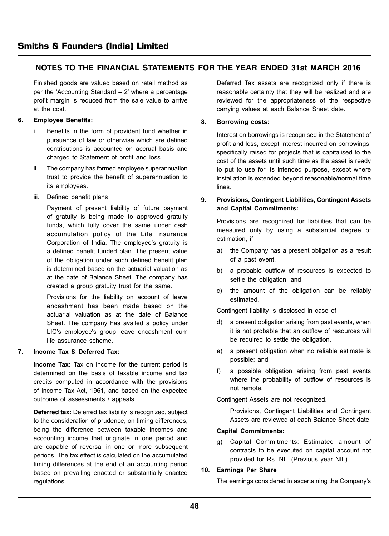Finished goods are valued based on retail method as per the 'Accounting Standard – 2' where a percentage profit margin is reduced from the sale value to arrive at the cost.

#### **6. Employee Benefits:**

- i. Benefits in the form of provident fund whether in pursuance of law or otherwise which are defined contributions is accounted on accrual basis and charged to Statement of profit and loss.
- ii. The company has formed employee superannuation trust to provide the benefit of superannuation to its employees.
- iii. Defined benefit plans

 Payment of present liability of future payment of gratuity is being made to approved gratuity funds, which fully cover the same under cash accumulation policy of the Life Insurance Corporation of India. The employee's gratuity is a defined benefit funded plan. The present value of the obligation under such defined benefit plan is determined based on the actuarial valuation as at the date of Balance Sheet. The company has created a group gratuity trust for the same.

 Provisions for the liability on account of leave encashment has been made based on the actuarial valuation as at the date of Balance Sheet. The company has availed a policy under LIC's employee's group leave encashment cum life assurance scheme.

#### **7. Income Tax & Deferred Tax:**

**Income Tax:** Tax on income for the current period is determined on the basis of taxable income and tax credits computed in accordance with the provisions of Income Tax Act, 1961, and based on the expected outcome of assessments / appeals.

**Deferred tax:** Deferred tax liability is recognized, subject to the consideration of prudence, on timing differences, being the difference between taxable incomes and accounting income that originate in one period and are capable of reversal in one or more subsequent periods. The tax effect is calculated on the accumulated timing differences at the end of an accounting period based on prevailing enacted or substantially enacted regulations.

Deferred Tax assets are recognized only if there is reasonable certainty that they will be realized and are reviewed for the appropriateness of the respective carrying values at each Balance Sheet date.

#### **8. Borrowing costs:**

Interest on borrowings is recognised in the Statement of profit and loss, except interest incurred on borrowings, specifically raised for projects that is capitalised to the cost of the assets until such time as the asset is ready to put to use for its intended purpose, except where installation is extended beyond reasonable/normal time lines.

#### **9. Provisions, Contingent Liabilities, Contingent Assets and Capital Commitments:**

Provisions are recognized for liabilities that can be measured only by using a substantial degree of estimation, if

- a) the Company has a present obligation as a result of a past event,
- b) a probable outflow of resources is expected to settle the obligation; and
- c) the amount of the obligation can be reliably estimated.

Contingent liability is disclosed in case of

- d) a present obligation arising from past events, when it is not probable that an outflow of resources will be required to settle the obligation,
- e) a present obligation when no reliable estimate is possible; and
- f) a possible obligation arising from past events where the probability of outflow of resources is not remote.

Contingent Assets are not recognized.

 Provisions, Contingent Liabilities and Contingent Assets are reviewed at each Balance Sheet date.

#### **Capital Commitments:**

g) Capital Commitments: Estimated amount of contracts to be executed on capital account not provided for Rs. NIL (Previous year NIL)

#### **10. Earnings Per Share**

The earnings considered in ascertaining the Company's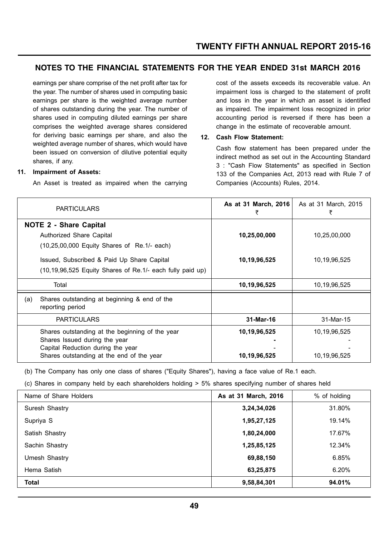earnings per share comprise of the net profit after tax for the year. The number of shares used in computing basic earnings per share is the weighted average number of shares outstanding during the year. The number of shares used in computing diluted earnings per share comprises the weighted average shares considered for deriving basic earnings per share, and also the weighted average number of shares, which would have been issued on conversion of dilutive potential equity shares, if any.

#### **11. Impairment of Assets:**

An Asset is treated as impaired when the carrying

cost of the assets exceeds its recoverable value. An impairment loss is charged to the statement of profit and loss in the year in which an asset is identified as impaired. The impairment loss recognized in prior accounting period is reversed if there has been a change in the estimate of recoverable amount.

#### **12. Cash Flow Statement:**

Cash flow statement has been prepared under the indirect method as set out in the Accounting Standard 3 : "Cash Flow Statements" as specified in Section 133 of the Companies Act, 2013 read with Rule 7 of Companies (Accounts) Rules, 2014.

| <b>PARTICULARS</b>                                                             | As at 31 March, 2016<br>₹ | As at 31 March, 2015 |
|--------------------------------------------------------------------------------|---------------------------|----------------------|
| <b>NOTE 2 - Share Capital</b>                                                  |                           |                      |
| Authorized Share Capital                                                       | 10,25,00,000              | 10,25,00,000         |
| (10,25,00,000 Equity Shares of Re.1/- each)                                    |                           |                      |
| Issued, Subscribed & Paid Up Share Capital                                     | 10,19,96,525              | 10,19,96,525         |
| (10,19,96,525 Equity Shares of Re.1/- each fully paid up)                      |                           |                      |
| Total                                                                          | 10,19,96,525              | 10,19,96,525         |
| Shares outstanding at beginning & end of the<br>(a)<br>reporting period        |                           |                      |
| <b>PARTICULARS</b>                                                             | 31-Mar-16                 | 31-Mar-15            |
| Shares outstanding at the beginning of the year                                | 10,19,96,525              | 10,19,96,525         |
| Shares Issued during the year                                                  |                           |                      |
| Capital Reduction during the year<br>Shares outstanding at the end of the year | 10,19,96,525              | 10,19,96,525         |

(b) The Company has only one class of shares ("Equity Shares"), having a face value of Re.1 each.

(c) Shares in company held by each shareholders holding > 5% shares specifying number of shares held

| Name of Share Holders | As at 31 March, 2016 | % of holding |
|-----------------------|----------------------|--------------|
| Suresh Shastry        | 3,24,34,026          | 31.80%       |
| Supriya S             | 1,95,27,125          | 19.14%       |
| Satish Shastry        | 1,80,24,000          | 17.67%       |
| Sachin Shastry        | 1,25,85,125          | 12.34%       |
| Umesh Shastry         | 69,88,150            | 6.85%        |
| Hema Satish           | 63,25,875            | 6.20%        |
| <b>Total</b>          | 9,58,84,301          | 94.01%       |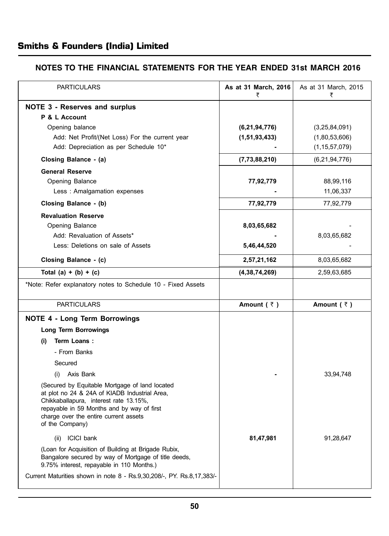| <b>PARTICULARS</b>                                                                                                                                                                                                                                  | As at 31 March, 2016<br>₹ | As at 31 March, 2015<br>₹ |
|-----------------------------------------------------------------------------------------------------------------------------------------------------------------------------------------------------------------------------------------------------|---------------------------|---------------------------|
| <b>NOTE 3 - Reserves and surplus</b>                                                                                                                                                                                                                |                           |                           |
| P & L Account                                                                                                                                                                                                                                       |                           |                           |
| Opening balance                                                                                                                                                                                                                                     | (6, 21, 94, 776)          | (3,25,84,091)             |
| Add: Net Profit/(Net Loss) For the current year                                                                                                                                                                                                     | (1,51,93,433)             | (1,80,53,606)             |
| Add: Depreciation as per Schedule 10*                                                                                                                                                                                                               |                           | (1, 15, 57, 079)          |
| Closing Balance - (a)                                                                                                                                                                                                                               | (7, 73, 88, 210)          | (6, 21, 94, 776)          |
| <b>General Reserve</b>                                                                                                                                                                                                                              |                           |                           |
| Opening Balance                                                                                                                                                                                                                                     | 77,92,779                 | 88,99,116                 |
| Less: Amalgamation expenses                                                                                                                                                                                                                         |                           | 11,06,337                 |
| Closing Balance - (b)                                                                                                                                                                                                                               | 77,92,779                 | 77,92,779                 |
| <b>Revaluation Reserve</b>                                                                                                                                                                                                                          |                           |                           |
| Opening Balance                                                                                                                                                                                                                                     | 8,03,65,682               |                           |
| Add: Revaluation of Assets*                                                                                                                                                                                                                         |                           | 8,03,65,682               |
| Less: Deletions on sale of Assets                                                                                                                                                                                                                   | 5,46,44,520               |                           |
| Closing Balance - (c)                                                                                                                                                                                                                               | 2,57,21,162               | 8,03,65,682               |
| Total (a) + (b) + (c)                                                                                                                                                                                                                               | (4, 38, 74, 269)          | 2,59,63,685               |
| *Note: Refer explanatory notes to Schedule 10 - Fixed Assets                                                                                                                                                                                        |                           |                           |
| <b>PARTICULARS</b>                                                                                                                                                                                                                                  | Amount $(3)$              | Amount $(3)$              |
| <b>NOTE 4 - Long Term Borrowings</b>                                                                                                                                                                                                                |                           |                           |
| <b>Long Term Borrowings</b>                                                                                                                                                                                                                         |                           |                           |
| Term Loans:<br>(i)                                                                                                                                                                                                                                  |                           |                           |
| - From Banks                                                                                                                                                                                                                                        |                           |                           |
| Secured                                                                                                                                                                                                                                             |                           |                           |
| (i) Axis Bank                                                                                                                                                                                                                                       |                           | 33,94,748                 |
| (Secured by Equitable Mortgage of land located<br>at plot no 24 & 24A of KIADB Industrial Area,<br>Chikkaballapura, interest rate 13.15%,<br>repayable in 59 Months and by way of first<br>charge over the entire current assets<br>of the Company) |                           |                           |
| (ii) ICICI bank                                                                                                                                                                                                                                     | 81,47,981                 | 91,28,647                 |
| (Loan for Acquisition of Building at Brigade Rubix,<br>Bangalore secured by way of Mortgage of title deeds,<br>9.75% interest, repayable in 110 Months.)                                                                                            |                           |                           |
| Current Maturities shown in note 8 - Rs.9,30,208/-, PY. Rs.8,17,383/-                                                                                                                                                                               |                           |                           |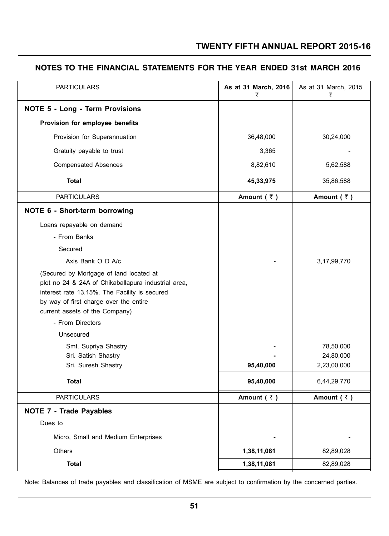| <b>PARTICULARS</b>                                                                                                                                                                                                          | As at 31 March, 2016<br>₹ | As at 31 March, 2015<br>₹ |
|-----------------------------------------------------------------------------------------------------------------------------------------------------------------------------------------------------------------------------|---------------------------|---------------------------|
| <b>NOTE 5 - Long - Term Provisions</b>                                                                                                                                                                                      |                           |                           |
| Provision for employee benefits                                                                                                                                                                                             |                           |                           |
| Provision for Superannuation                                                                                                                                                                                                | 36,48,000                 | 30,24,000                 |
| Gratuity payable to trust                                                                                                                                                                                                   | 3,365                     |                           |
| <b>Compensated Absences</b>                                                                                                                                                                                                 | 8,82,610                  | 5,62,588                  |
| <b>Total</b>                                                                                                                                                                                                                | 45,33,975                 | 35,86,588                 |
| <b>PARTICULARS</b>                                                                                                                                                                                                          | Amount ( $\bar{\tau}$ )   | Amount ( $\bar{\tau}$ )   |
| NOTE 6 - Short-term borrowing                                                                                                                                                                                               |                           |                           |
| Loans repayable on demand                                                                                                                                                                                                   |                           |                           |
| - From Banks                                                                                                                                                                                                                |                           |                           |
| Secured                                                                                                                                                                                                                     |                           |                           |
| Axis Bank O D A/c                                                                                                                                                                                                           |                           | 3,17,99,770               |
| (Secured by Mortgage of land located at<br>plot no 24 & 24A of Chikaballapura industrial area,<br>interest rate 13.15%. The Facility is secured<br>by way of first charge over the entire<br>current assets of the Company) |                           |                           |
| - From Directors                                                                                                                                                                                                            |                           |                           |
| Unsecured                                                                                                                                                                                                                   |                           |                           |
| Smt. Supriya Shastry                                                                                                                                                                                                        |                           | 78,50,000                 |
| Sri. Satish Shastry                                                                                                                                                                                                         |                           | 24,80,000                 |
| Sri. Suresh Shastry                                                                                                                                                                                                         | 95,40,000                 | 2,23,00,000               |
| <b>Total</b>                                                                                                                                                                                                                | 95,40,000                 | 6,44,29,770               |
| <b>PARTICULARS</b>                                                                                                                                                                                                          | Amount ( $\bar{\tau}$ )   | Amount ( $\bar{\tau}$ )   |
| <b>NOTE 7 - Trade Payables</b>                                                                                                                                                                                              |                           |                           |
| Dues to                                                                                                                                                                                                                     |                           |                           |
| Micro, Small and Medium Enterprises                                                                                                                                                                                         |                           |                           |
| <b>Others</b>                                                                                                                                                                                                               | 1,38,11,081               | 82,89,028                 |
| <b>Total</b>                                                                                                                                                                                                                | 1,38,11,081               | 82,89,028                 |

Note: Balances of trade payables and classification of MSME are subject to confirmation by the concerned parties.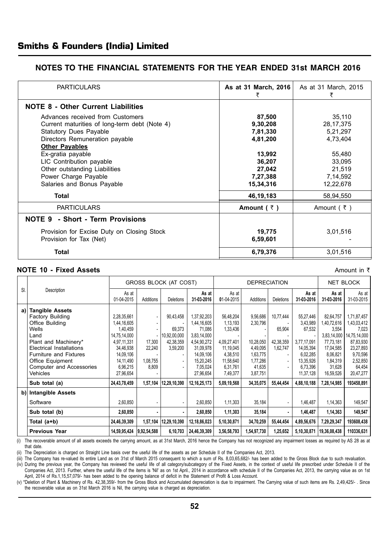| <b>PARTICULARS</b>                                                                                                                                                                                                                                                                                                    | As at 31 March, 2016<br>₹                                                                         | As at 31 March, 2015<br>₹                                                                            |
|-----------------------------------------------------------------------------------------------------------------------------------------------------------------------------------------------------------------------------------------------------------------------------------------------------------------------|---------------------------------------------------------------------------------------------------|------------------------------------------------------------------------------------------------------|
| <b>NOTE 8 - Other Current Liabilities</b>                                                                                                                                                                                                                                                                             |                                                                                                   |                                                                                                      |
| Advances received from Customers<br>Current maturities of long-term debt (Note 4)<br><b>Statutory Dues Payable</b><br>Directors Remuneration payable<br><b>Other Payables</b><br>Ex-gratia payable<br>LIC Contribution payable<br>Other outstanding Liabilities<br>Power Charge Payable<br>Salaries and Bonus Payable | 87,500<br>9,30,208<br>7,81,330<br>4,81,200<br>13,992<br>36,207<br>27,042<br>7,27,388<br>15,34,316 | 35,110<br>28, 17, 375<br>5,21,297<br>4,73,404<br>55,480<br>33,095<br>21,519<br>7,14,592<br>12,22,678 |
| <b>Total</b>                                                                                                                                                                                                                                                                                                          | 46,19,183                                                                                         | 58,94,550                                                                                            |
| <b>PARTICULARS</b>                                                                                                                                                                                                                                                                                                    | Amount ( $\bar{\tau}$ )                                                                           | Amount $(\bar{\tau})$                                                                                |
| <b>NOTE 9 - Short - Term Provisions</b>                                                                                                                                                                                                                                                                               |                                                                                                   |                                                                                                      |
| Provision for Excise Duty on Closing Stock<br>Provision for Tax (Net)                                                                                                                                                                                                                                                 | 19,775<br>6,59,601                                                                                | 3,01,516                                                                                             |
| <b>Total</b>                                                                                                                                                                                                                                                                                                          | 6,79,376                                                                                          | 3,01,516                                                                                             |

#### **NOTE 10 - Fixed Assets** Amount in  $\bar{\tau}$

|     |                                                                                                                                                                                                                     | GROSS BLOCK (AT COST)                                                                                                    |                                            | <b>DEPRECIATION</b>                                                            |                                                                                                                       |                                                                                                    | <b>NET BLOCK</b>                                                                |                                                   |                                                                                                  |                                                                                                              |                                                                                                                 |
|-----|---------------------------------------------------------------------------------------------------------------------------------------------------------------------------------------------------------------------|--------------------------------------------------------------------------------------------------------------------------|--------------------------------------------|--------------------------------------------------------------------------------|-----------------------------------------------------------------------------------------------------------------------|----------------------------------------------------------------------------------------------------|---------------------------------------------------------------------------------|---------------------------------------------------|--------------------------------------------------------------------------------------------------|--------------------------------------------------------------------------------------------------------------|-----------------------------------------------------------------------------------------------------------------|
| SI. | Description                                                                                                                                                                                                         | As at<br>01-04-2015                                                                                                      | Additions                                  | <b>Deletions</b>                                                               | As at<br>31-03-2016                                                                                                   | As at<br>01-04-2015                                                                                | Additions                                                                       | Deletions                                         | As at<br>31-03-2016                                                                              | As at<br>31-03-2016                                                                                          | As at<br>31-03-2015                                                                                             |
| a)  | <b>Tangible Assets</b><br><b>Factory Building</b><br>Office Building<br>Wells<br>Land<br>Plant and Machinery*<br>Electrical Installations<br>Furniture and Fixtures<br>Office Equipment<br>Computer and Accessories | 2,28,35,661<br>1,44,16,605<br>1.40.459<br>14,75,14,000<br>4,97,11,331<br>34,46,938<br>14,09,106<br>14,11,490<br>6,96,215 | ٠<br>17,300<br>22,240<br>1,08,755<br>8,809 | 90,43,458<br>69.373<br>10,92,00,000<br>42,38,359<br>3,59,200<br>$\blacksquare$ | 1,37,92,203<br>1,44,16,605<br>71.086<br>3,83,14,000<br>4,54,90,272<br>31,09,978<br>14,09,106<br>15,20,245<br>7,05,024 | 56,48,204<br>1,13,193<br>1,33,436<br>4,09,27,401<br>11,19,045<br>4,38,510<br>11,58,640<br>6,31,761 | 9,56,686<br>2,30,796<br>10,28,050<br>4,49,095<br>1,63,775<br>1,77,286<br>41,635 | 10,77,444<br>65,904<br>42,38,359<br>1,62,747<br>٠ | 55,27,446<br>3,43,989<br>67.532<br>3,77,17,091<br>14,05,394<br>6,02,285<br>13,35,926<br>6,73,396 | 82,64,757<br>1,40,72,616<br>3.554<br>3,83,14,000<br>77,73,181<br>17,04,585<br>8,06,821<br>1,84,319<br>31,628 | 1,71,87,457<br>1,43,03,412<br>7.023<br>14,75,14,000<br>87,83,930<br>23,27,893<br>9,70,596<br>2,52,850<br>64,454 |
|     | Vehicles<br>Sub total (a)                                                                                                                                                                                           | 27,96,654<br>24,43,78,459                                                                                                | 1,57,104                                   | 12,29,10,390                                                                   | 27,96,654<br>12, 16, 25, 173                                                                                          | 7,49,377<br>5,09,19,568                                                                            | 3,87,751                                                                        | 55,44,454                                         | 11,37,128<br>4,88,10,188                                                                         | 16,59,526<br>7,28,14,985                                                                                     | 20,47,277<br>193458,891                                                                                         |
| b)  | <b>Intangible Assets</b><br>Software                                                                                                                                                                                | 2,60,850                                                                                                                 |                                            |                                                                                | 2,60,850                                                                                                              | 1,11,303                                                                                           | 34,35,075<br>35,184                                                             |                                                   | 1,46,487                                                                                         | 1,14,363                                                                                                     | 149.547                                                                                                         |
|     | Sub total (b)                                                                                                                                                                                                       | 2,60,850                                                                                                                 |                                            |                                                                                | 2,60,850                                                                                                              | 1,11,303                                                                                           | 35,184                                                                          | $\blacksquare$                                    | 1,46,487                                                                                         | 1,14,363                                                                                                     | 149,547                                                                                                         |
|     | Total (a+b)                                                                                                                                                                                                         | 24,46,39,309                                                                                                             | 1,57,104                                   | 12,29,10,390                                                                   | 12,18,86,023                                                                                                          | 5,10,30,871                                                                                        | 34,70,259                                                                       | 55,44,454                                         | 4,89,56,676                                                                                      | 7,29,29,347                                                                                                  | 193608,438                                                                                                      |
|     | <b>Previous Year</b>                                                                                                                                                                                                | 14,59,95,424                                                                                                             | 9,92,54,588                                | 6,10,703                                                                       | 24,46,39,309                                                                                                          | 3,56,58,793                                                                                        | 1,54,97,730                                                                     | 1,25,652                                          | 5,10,30,871                                                                                      | 19,36,08,438                                                                                                 | 110336,631                                                                                                      |

(i) The recoverable amount of all assets exceeds the carrying amount, as at 31st March, 2016 hence the Company has not recognized any impairment losses as required by AS 28 as at

that date. (ii) The Depreciation is charged on Straight Line basis over the useful life of the assets as per Schedule II of the Companies Act, 2013.

(iii) The Company has re-valued its entire Land as on 31st of March 2015 consequent to which a sum of Rs. 8,03,65,682/- has been added to the Gross Block due to such revaluation.

(iv) During the previous year, the Company has reviewed the useful life of all category/subcategory of the Fixed Assets, in the context of useful life prescribed under Schedule II of the Companies Act, 2013. Further, where the useful life of the items is 'Nil' as on 1st April., 2014 in accordance with schedule II of the Companies Act, 2013, the carrying value as on 1st April, 2014 of Rs.1,15,57,079/- has been added to the opening balance of deficit in the Statement of Profit & Loss Account.

(v) \*Deletion of Plant & Machinery of Rs. 42,38,359/- from the Gross Block and Accumulated depreciation is due to impairment. The Carrying value of such items are Rs. 2,49,425/- . Since the recoverable value as on 31st March 2016 is Nil, the carrying value is charged as depreciation.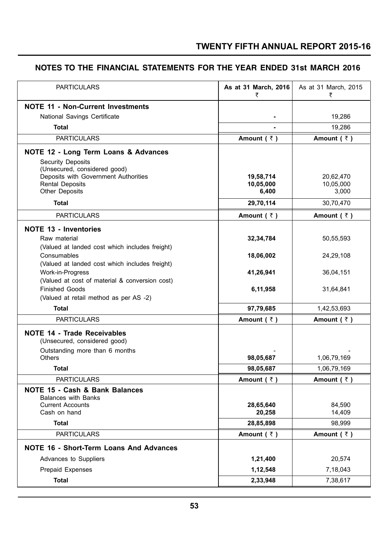| <b>PARTICULARS</b>                                                                                                                                                                   | As at 31 March, 2016<br>₹       | As at 31 March, 2015<br>₹       |
|--------------------------------------------------------------------------------------------------------------------------------------------------------------------------------------|---------------------------------|---------------------------------|
| <b>NOTE 11 - Non-Current Investments</b>                                                                                                                                             |                                 |                                 |
| National Savings Certificate                                                                                                                                                         |                                 | 19,286                          |
| Total                                                                                                                                                                                |                                 | 19.286                          |
| <b>PARTICULARS</b>                                                                                                                                                                   | Amount ( $\bar{\tau}$ )         | Amount $(\bar{\tau})$           |
| NOTE 12 - Long Term Loans & Advances<br><b>Security Deposits</b><br>(Unsecured, considered good)<br>Deposits with Government Authorities<br><b>Rental Deposits</b><br>Other Deposits | 19,58,714<br>10,05,000<br>6,400 | 20,62,470<br>10,05,000<br>3,000 |
| <b>Total</b>                                                                                                                                                                         | 29,70,114                       | 30,70,470                       |
| <b>PARTICULARS</b>                                                                                                                                                                   | Amount ( $\bar{\tau}$ )         | Amount $(3)$                    |
| <b>NOTE 13 - Inventories</b><br>Raw material<br>(Valued at landed cost which includes freight)                                                                                       | 32,34,784                       | 50,55,593                       |
| Consumables<br>(Valued at landed cost which includes freight)<br>Work-in-Progress                                                                                                    | 18,06,002<br>41,26,941          | 24,29,108<br>36,04,151          |
| (Valued at cost of material & conversion cost)<br><b>Finished Goods</b><br>(Valued at retail method as per AS -2)                                                                    | 6,11,958                        | 31,64,841                       |
| <b>Total</b>                                                                                                                                                                         | 97,79,685                       | 1,42,53,693                     |
| <b>PARTICULARS</b>                                                                                                                                                                   | Amount ( $\bar{\tau}$ )         | Amount ( $\bar{\tau}$ )         |
| <b>NOTE 14 - Trade Receivables</b><br>(Unsecured, considered good)<br>Outstanding more than 6 months                                                                                 |                                 |                                 |
| <b>Others</b>                                                                                                                                                                        | 98,05,687                       | 1,06,79,169                     |
| <b>Total</b>                                                                                                                                                                         | 98,05,687                       | 1,06,79,169                     |
| <b>PARTICULARS</b>                                                                                                                                                                   | Amount ( $\bar{\tau}$ )         | Amount ( $\bar{\tau}$ )         |
| NOTE 15 - Cash & Bank Balances<br><b>Balances with Banks</b><br><b>Current Accounts</b><br>Cash on hand                                                                              | 28,65,640<br>20,258             | 84,590<br>14,409                |
| <b>Total</b>                                                                                                                                                                         | 28,85,898                       | 98,999                          |
| <b>PARTICULARS</b>                                                                                                                                                                   | Amount ( $\bar{\tau}$ )         | Amount ( $\bar{\tau}$ )         |
| NOTE 16 - Short-Term Loans And Advances                                                                                                                                              |                                 |                                 |
| Advances to Suppliers                                                                                                                                                                | 1,21,400                        | 20,574                          |
| Prepaid Expenses                                                                                                                                                                     | 1,12,548                        | 7,18,043                        |
| <b>Total</b>                                                                                                                                                                         | 2,33,948                        | 7,38,617                        |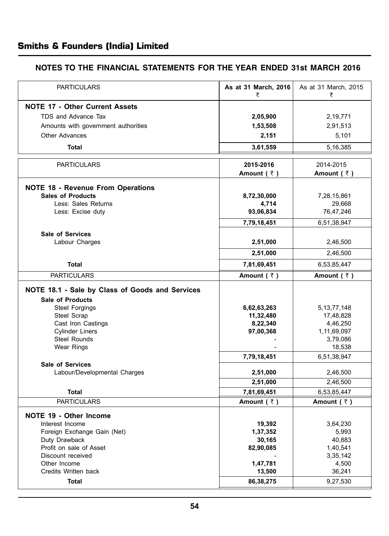| <b>PARTICULARS</b>                               | As at 31 March, 2016<br>₹ | As at 31 March, 2015<br>₹ |
|--------------------------------------------------|---------------------------|---------------------------|
| <b>NOTE 17 - Other Current Assets</b>            |                           |                           |
| TDS and Advance Tax                              | 2,05,900                  | 2,19,771                  |
| Amounts with government authorities              | 1,53,508                  | 2,91,513                  |
| <b>Other Advances</b>                            | 2,151                     | 5,101                     |
|                                                  |                           |                           |
| <b>Total</b>                                     | 3,61,559                  | 5,16,385                  |
| <b>PARTICULARS</b>                               | 2015-2016                 | 2014-2015                 |
|                                                  | Amount ( $\bar{\tau}$ )   | Amount ( $\bar{\tau}$ )   |
| <b>NOTE 18 - Revenue From Operations</b>         |                           |                           |
| <b>Sales of Products</b>                         | 8,72,30,000               | 7,28,15,861               |
| Less: Sales Returns                              | 4,714                     | 29,668                    |
| Less: Excise duty                                | 93,06,834                 | 76,47,246                 |
|                                                  |                           |                           |
|                                                  | 7,79,18,451               | 6,51,38,947               |
| <b>Sale of Services</b><br>Labour Charges        | 2,51,000                  | 2,46,500                  |
|                                                  |                           |                           |
|                                                  | 2,51,000                  | 2,46,500                  |
| <b>Total</b>                                     | 7,81,69,451               | 6,53,85,447               |
| <b>PARTICULARS</b>                               | Amount ( $\bar{\tau}$ )   | Amount ( $\bar{\tau}$ )   |
| NOTE 18.1 - Sale by Class of Goods and Services  |                           |                           |
| <b>Sale of Products</b>                          |                           |                           |
| Steel Forgings                                   | 6,62,63,263               | 5, 13, 77, 148            |
| Steel Scrap                                      | 11,32,480                 | 17,48,828                 |
| Cast Iron Castings                               | 8,22,340                  | 4,46,250                  |
| <b>Cylinder Liners</b>                           | 97,00,368                 | 1,11,69,097               |
| <b>Steel Rounds</b>                              |                           | 3,79,086                  |
| Wear Rings                                       |                           | 18,538                    |
|                                                  | 7,79,18,451               | 6,51,38,947               |
| Sale of Services<br>Labour/Developmental Charges | 2,51,000                  | 2,46,500                  |
|                                                  | 2,51,000                  | 2,46,500                  |
| <b>Total</b>                                     | 7,81,69,451               | 6,53,85,447               |
| <b>PARTICULARS</b>                               | Amount ( $\bar{\tau}$ )   | Amount ( $\bar{\tau}$ )   |
| NOTE 19 - Other Income                           |                           |                           |
| Interest Income                                  | 19,392                    | 3,64,230                  |
| Foreign Exchange Gain (Net)                      | 1,37,352                  | 5,993                     |
| Duty Drawback                                    | 30,165                    | 40,883                    |
| Profit on sale of Asset                          | 82,90,085                 | 1,40,541                  |
| Discount received                                |                           | 3,35,142                  |
| Other Income                                     | 1,47,781                  | 4,500                     |
| Credits Written back                             | 13,500                    | 36,241                    |
| <b>Total</b>                                     | 86,38,275                 | 9,27,530                  |
|                                                  |                           |                           |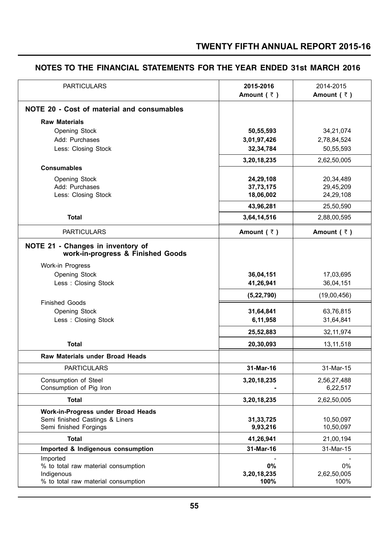| <b>PARTICULARS</b>                                                     | 2015-2016<br>Amount ( $\bar{\tau}$ ) | 2014-2015<br>Amount ( $\bar{\tau}$ ) |
|------------------------------------------------------------------------|--------------------------------------|--------------------------------------|
| NOTE 20 - Cost of material and consumables                             |                                      |                                      |
| <b>Raw Materials</b>                                                   |                                      |                                      |
| <b>Opening Stock</b>                                                   | 50,55,593                            | 34,21,074                            |
| Add: Purchases                                                         | 3,01,97,426                          | 2,78,84,524                          |
| Less: Closing Stock                                                    | 32,34,784                            | 50,55,593                            |
|                                                                        | 3,20,18,235                          | 2,62,50,005                          |
| <b>Consumables</b>                                                     |                                      |                                      |
| <b>Opening Stock</b>                                                   | 24,29,108                            | 20,34,489                            |
| Add: Purchases                                                         | 37,73,175                            | 29,45,209                            |
| Less: Closing Stock                                                    | 18,06,002                            | 24,29,108                            |
|                                                                        | 43,96,281                            | 25,50,590                            |
| <b>Total</b>                                                           | 3,64,14,516                          | 2,88,00,595                          |
| <b>PARTICULARS</b>                                                     | Amount ( $\bar{\tau}$ )              | Amount ( $\bar{\tau}$ )              |
| NOTE 21 - Changes in inventory of<br>work-in-progress & Finished Goods |                                      |                                      |
| Work-in Progress                                                       |                                      |                                      |
| <b>Opening Stock</b>                                                   | 36,04,151                            | 17,03,695                            |
| Less: Closing Stock                                                    | 41,26,941                            | 36,04,151                            |
|                                                                        | (5, 22, 790)                         | (19,00,456)                          |
| <b>Finished Goods</b><br><b>Opening Stock</b>                          | 31,64,841                            | 63,76,815                            |
| Less: Closing Stock                                                    | 6,11,958                             | 31,64,841                            |
|                                                                        | 25,52,883                            | 32,11,974                            |
| <b>Total</b>                                                           | 20,30,093                            | 13, 11, 518                          |
| Raw Materials under Broad Heads                                        |                                      |                                      |
| <b>PARTICULARS</b>                                                     | 31-Mar-16                            | 31-Mar-15                            |
| Consumption of Steel                                                   |                                      |                                      |
| Consumption of Pig Iron                                                | 3,20,18,235                          | 2,56,27,488<br>6,22,517              |
| <b>Total</b>                                                           | 3,20,18,235                          | 2,62,50,005                          |
| Work-in-Progress under Broad Heads                                     |                                      |                                      |
| Semi finished Castings & Liners                                        | 31,33,725                            | 10,50,097                            |
| Semi finished Forgings                                                 | 9,93,216                             | 10,50,097                            |
| <b>Total</b>                                                           | 41,26,941                            | 21,00,194                            |
| Imported & Indigenous consumption                                      | 31-Mar-16                            | 31-Mar-15                            |
| Imported<br>% to total raw material consumption                        | 0%                                   | 0%                                   |
| Indigenous                                                             | 3,20,18,235                          | 2,62,50,005                          |
| % to total raw material consumption                                    | 100%                                 | 100%                                 |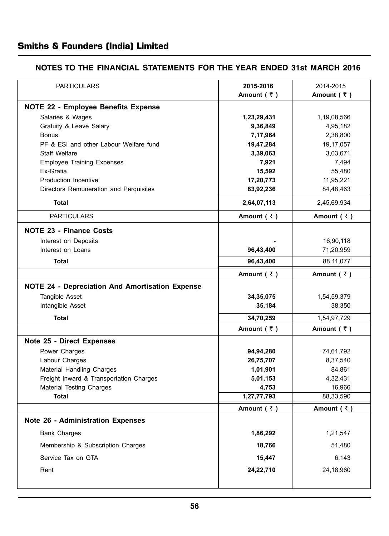| <b>PARTICULARS</b>                                     | 2015-2016               | 2014-2015               |
|--------------------------------------------------------|-------------------------|-------------------------|
|                                                        | Amount ( $\bar{\tau}$ ) | Amount ( $\bar{\tau}$ ) |
| NOTE 22 - Employee Benefits Expense                    |                         |                         |
| Salaries & Wages                                       | 1,23,29,431             | 1,19,08,566             |
| Gratuity & Leave Salary                                | 9,36,849                | 4,95,182                |
| <b>Bonus</b>                                           | 7,17,964                | 2,38,800                |
| PF & ESI and other Labour Welfare fund                 | 19,47,284               | 19,17,057               |
| Staff Welfare                                          | 3,39,063                | 3,03,671                |
| <b>Employee Training Expenses</b><br>Ex-Gratia         | 7,921                   | 7,494                   |
| Production Incentive                                   | 15,592<br>17,20,773     | 55,480<br>11,95,221     |
| Directors Remuneration and Perquisites                 | 83,92,236               | 84,48,463               |
|                                                        |                         |                         |
| <b>Total</b>                                           | 2,64,07,113             | 2,45,69,934             |
| <b>PARTICULARS</b>                                     | Amount ( $\bar{\tau}$ ) | Amount ( $\bar{\tau}$ ) |
| <b>NOTE 23 - Finance Costs</b>                         |                         |                         |
| Interest on Deposits                                   |                         | 16,90,118               |
| Interest on Loans                                      | 96,43,400               | 71,20,959               |
| <b>Total</b>                                           | 96,43,400               | 88,11,077               |
|                                                        | Amount ( $\bar{\tau}$ ) | Amount ( $\bar{\tau}$ ) |
| <b>NOTE 24 - Depreciation And Amortisation Expense</b> |                         |                         |
| Tangible Asset                                         | 34,35,075               | 1,54,59,379             |
| Intangible Asset                                       | 35,184                  | 38,350                  |
| <b>Total</b>                                           | 34,70,259               | 1,54,97,729             |
|                                                        | Amount ( $\bar{\tau}$ ) | Amount ( $\bar{\tau}$ ) |
| <b>Note 25 - Direct Expenses</b>                       |                         |                         |
| Power Charges                                          | 94,94,280               | 74,61,792               |
| Labour Charges                                         | 26,75,707               | 8,37,540                |
| Material Handling Charges                              | 1,01,901                | 84,861                  |
| Freight Inward & Transportation Charges                | 5,01,153                | 4,32,431                |
| Material Testing Charges                               | 4,753                   | 16,966                  |
| <b>Total</b>                                           | 1,27,77,793             | 88,33,590               |
|                                                        | Amount $(3)$            | Amount $(3)$            |
| <b>Note 26 - Administration Expenses</b>               |                         |                         |
| <b>Bank Charges</b>                                    | 1,86,292                | 1,21,547                |
| Membership & Subscription Charges                      | 18,766                  | 51,480                  |
| Service Tax on GTA                                     | 15,447                  | 6,143                   |
| Rent                                                   | 24,22,710               | 24,18,960               |
|                                                        |                         |                         |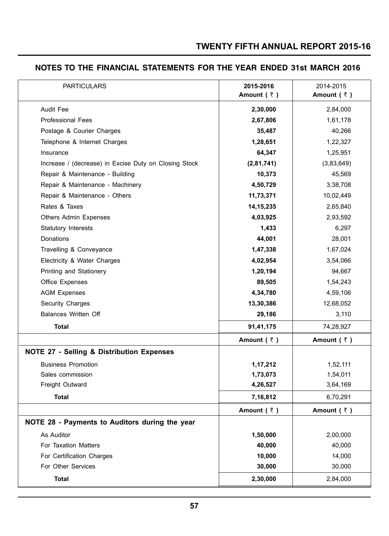| <b>PARTICULARS</b>                                    | 2015-2016<br>Amount ( $\bar{\tau}$ ) | 2014-2015<br>Amount ( $\bar{\tau}$ ) |
|-------------------------------------------------------|--------------------------------------|--------------------------------------|
| Audit Fee                                             | 2,30,000                             | 2,84,000                             |
| <b>Professional Fees</b>                              | 2,67,806                             | 1,61,178                             |
| Postage & Courier Charges                             | 35,487                               | 40,266                               |
| Telephone & Internet Charges                          | 1,28,651                             | 1,22,327                             |
| Insurance                                             | 64,347                               | 1,25,951                             |
| Increase / (decrease) in Excise Duty on Closing Stock | (2,81,741)                           | (3,83,649)                           |
| Repair & Maintenance - Building                       | 10,373                               | 45,569                               |
| Repair & Maintenance - Machinery                      | 4,50,729                             | 3,38,708                             |
| Repair & Maintenance - Others                         | 11,73,371                            | 10,02,449                            |
| Rates & Taxes                                         | 14, 15, 235                          | 2,65,840                             |
| <b>Others Admin Expenses</b>                          | 4,03,925                             | 2,93,592                             |
| <b>Statutory Interests</b>                            | 1,433                                | 6,297                                |
| Donations                                             | 44,001                               | 28,001                               |
| Travelling & Conveyance                               | 1,47,338                             | 1,67,024                             |
| Electricity & Water Charges                           | 4,02,954                             | 3,54,066                             |
| Printing and Stationery                               | 1,20,194                             | 94,667                               |
| Office Expenses                                       | 89,505                               | 1,54,243                             |
| <b>AGM Expenses</b>                                   | 4,34,780                             | 4,59,106                             |
| Security Charges                                      | 13,30,386                            | 12,68,052                            |
| <b>Balances Written Off</b>                           | 29,186                               | 3,110                                |
| <b>Total</b>                                          | 91,41,175                            | 74,28,927                            |
|                                                       | Amount ( $\bar{\tau}$ )              | Amount ( $\bar{\tau}$ )              |
| <b>NOTE 27 - Selling &amp; Distribution Expenses</b>  |                                      |                                      |
| <b>Business Promotion</b>                             | 1,17,212                             | 1,52,111                             |
| Sales commission                                      | 1,73,073                             | 1,54,011                             |
| Freight Outward                                       | 4,26,527                             | 3,64,169                             |
| <b>Total</b>                                          | 7,16,812                             | 6,70,291                             |
|                                                       | Amount ( $\bar{\tau}$ )              | Amount ( $\bar{\tau}$ )              |
| NOTE 28 - Payments to Auditors during the year        |                                      |                                      |
| As Auditor                                            | 1,50,000                             | 2,00,000                             |
| For Taxation Matters                                  | 40,000                               | 40,000                               |
| For Certification Charges                             | 10,000                               | 14,000                               |
| For Other Services                                    | 30,000                               | 30,000                               |
| <b>Total</b>                                          | 2,30,000                             | 2,84,000                             |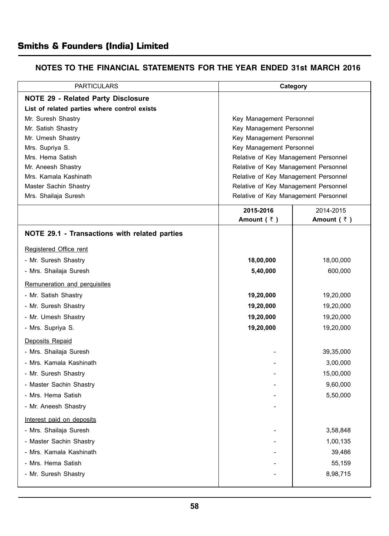| <b>PARTICULARS</b>                            | Category                             |                         |  |
|-----------------------------------------------|--------------------------------------|-------------------------|--|
| NOTE 29 - Related Party Disclosure            |                                      |                         |  |
| List of related parties where control exists  |                                      |                         |  |
| Mr. Suresh Shastry                            | Key Management Personnel             |                         |  |
| Mr. Satish Shastry                            | Key Management Personnel             |                         |  |
| Mr. Umesh Shastry                             | Key Management Personnel             |                         |  |
| Mrs. Supriya S.                               | Key Management Personnel             |                         |  |
| Mrs. Hema Satish                              | Relative of Key Management Personnel |                         |  |
| Mr. Aneesh Shastry                            | Relative of Key Management Personnel |                         |  |
| Mrs. Kamala Kashinath                         | Relative of Key Management Personnel |                         |  |
| Master Sachin Shastry                         | Relative of Key Management Personnel |                         |  |
| Mrs. Shailaja Suresh                          | Relative of Key Management Personnel |                         |  |
|                                               | 2015-2016                            | 2014-2015               |  |
|                                               | Amount ( $\bar{\tau}$ )              | Amount ( $\bar{\tau}$ ) |  |
| NOTE 29.1 - Transactions with related parties |                                      |                         |  |
| Registered Office rent                        |                                      |                         |  |
| - Mr. Suresh Shastry                          | 18,00,000                            | 18,00,000               |  |
| - Mrs. Shailaja Suresh                        | 5,40,000                             | 600,000                 |  |
| Remuneration and perquisites                  |                                      |                         |  |
| - Mr. Satish Shastry                          | 19,20,000                            | 19,20,000               |  |
| - Mr. Suresh Shastry                          | 19,20,000                            | 19,20,000               |  |
| - Mr. Umesh Shastry                           | 19,20,000                            | 19,20,000               |  |
| - Mrs. Supriya S.                             | 19,20,000                            | 19,20,000               |  |
|                                               |                                      |                         |  |
| Deposits Repaid                               |                                      |                         |  |
| - Mrs. Shailaja Suresh                        |                                      | 39,35,000               |  |
| - Mrs. Kamala Kashinath                       |                                      | 3,00,000                |  |
| - Mr. Suresh Shastry                          |                                      | 15,00,000               |  |
| - Master Sachin Shastry                       |                                      | 9,60,000                |  |
| - Mrs. Hema Satish                            |                                      | 5,50,000                |  |
| - Mr. Aneesh Shastry                          |                                      |                         |  |
| Interest paid on deposits                     |                                      |                         |  |
| - Mrs. Shailaja Suresh                        |                                      | 3,58,848                |  |
| - Master Sachin Shastry                       |                                      | 1,00,135                |  |
| - Mrs. Kamala Kashinath                       |                                      | 39,486                  |  |
| - Mrs. Hema Satish                            |                                      |                         |  |
|                                               |                                      | 55,159                  |  |
| - Mr. Suresh Shastry                          |                                      | 8,98,715                |  |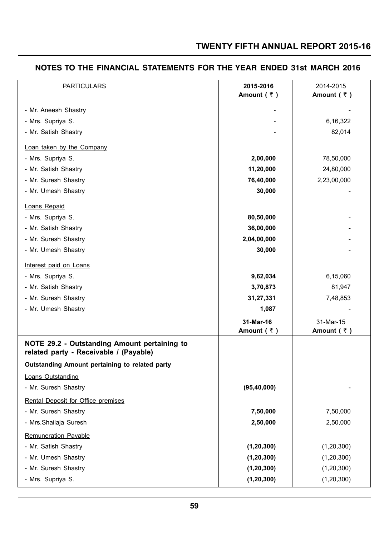| <b>PARTICULARS</b>                                                                     | 2015-2016<br>Amount ( $\bar{\tau}$ ) | 2014-2015<br>Amount ( $\bar{\tau}$ ) |
|----------------------------------------------------------------------------------------|--------------------------------------|--------------------------------------|
| - Mr. Aneesh Shastry                                                                   |                                      |                                      |
| - Mrs. Supriya S.                                                                      |                                      | 6,16,322                             |
| - Mr. Satish Shastry                                                                   |                                      | 82,014                               |
| Loan taken by the Company                                                              |                                      |                                      |
| - Mrs. Supriya S.                                                                      | 2,00,000                             | 78,50,000                            |
| - Mr. Satish Shastry                                                                   | 11,20,000                            | 24,80,000                            |
| - Mr. Suresh Shastry                                                                   | 76,40,000                            | 2,23,00,000                          |
| - Mr. Umesh Shastry                                                                    | 30,000                               |                                      |
| Loans Repaid                                                                           |                                      |                                      |
| - Mrs. Supriya S.                                                                      | 80,50,000                            |                                      |
| - Mr. Satish Shastry                                                                   | 36,00,000                            |                                      |
| - Mr. Suresh Shastry                                                                   | 2,04,00,000                          |                                      |
| - Mr. Umesh Shastry                                                                    | 30,000                               |                                      |
| Interest paid on Loans                                                                 |                                      |                                      |
| - Mrs. Supriya S.                                                                      | 9,62,034                             | 6,15,060                             |
| - Mr. Satish Shastry                                                                   | 3,70,873                             | 81,947                               |
| - Mr. Suresh Shastry                                                                   | 31,27,331                            | 7,48,853                             |
| - Mr. Umesh Shastry                                                                    | 1,087                                |                                      |
|                                                                                        | 31-Mar-16                            | 31-Mar-15                            |
|                                                                                        | Amount ( $\bar{\tau}$ )              | Amount ( $\bar{\tau}$ )              |
| NOTE 29.2 - Outstanding Amount pertaining to<br>related party - Receivable / (Payable) |                                      |                                      |
| Outstanding Amount pertaining to related party                                         |                                      |                                      |
| Loans Outstanding                                                                      |                                      |                                      |
| - Mr. Suresh Shastry                                                                   | (95, 40, 000)                        |                                      |
| Rental Deposit for Office premises                                                     |                                      |                                      |
| - Mr. Suresh Shastry                                                                   | 7,50,000                             | 7,50,000                             |
| - Mrs. Shailaja Suresh                                                                 | 2,50,000                             | 2,50,000                             |
| <b>Remuneration Payable</b>                                                            |                                      |                                      |
| - Mr. Satish Shastry                                                                   | (1, 20, 300)                         | (1, 20, 300)                         |
| - Mr. Umesh Shastry                                                                    | (1, 20, 300)                         | (1, 20, 300)                         |
| - Mr. Suresh Shastry                                                                   | (1, 20, 300)                         | (1, 20, 300)                         |
| - Mrs. Supriya S.                                                                      | (1, 20, 300)                         | (1, 20, 300)                         |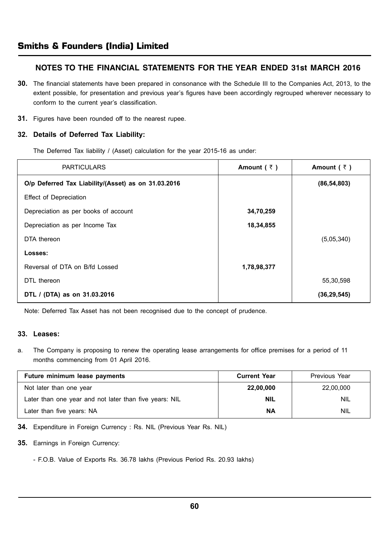- **30.** The financial statements have been prepared in consonance with the Schedule III to the Companies Act, 2013, to the extent possible, for presentation and previous year's figures have been accordingly regrouped wherever necessary to conform to the current year's classification.
- **31.** Figures have been rounded off to the nearest rupee.

#### **32. Details of Deferred Tax Liability:**

The Deferred Tax liability / (Asset) calculation for the year 2015-16 as under:

| <b>PARTICULARS</b>                                  | Amount ( $\bar{\tau}$ ) | Amount ( $\bar{\tau}$ ) |
|-----------------------------------------------------|-------------------------|-------------------------|
| O/p Deferred Tax Liability/(Asset) as on 31.03.2016 |                         | (86, 54, 803)           |
| Effect of Depreciation                              |                         |                         |
| Depreciation as per books of account                | 34,70,259               |                         |
| Depreciation as per Income Tax                      | 18,34,855               |                         |
| DTA thereon                                         |                         | (5,05,340)              |
| Losses:                                             |                         |                         |
| Reversal of DTA on B/fd Lossed                      | 1,78,98,377             |                         |
| DTL thereon                                         |                         | 55,30,598               |
| DTL / (DTA) as on 31.03.2016                        |                         | (36, 29, 545)           |

Note: Deferred Tax Asset has not been recognised due to the concept of prudence.

#### **33. Leases:**

a. The Company is proposing to renew the operating lease arrangements for office premises for a period of 11 months commencing from 01 April 2016.

| Future minimum lease payments                          | <b>Current Year</b> | <b>Previous Year</b> |
|--------------------------------------------------------|---------------------|----------------------|
| Not later than one year                                | 22,00,000           | 22,00,000            |
| Later than one year and not later than five years: NIL | <b>NIL</b>          | NIL                  |
| Later than five years: NA                              | ΝA                  | <b>NIL</b>           |

- **34.** Expenditure in Foreign Currency : Rs. NIL (Previous Year Rs. NIL)
- **35.** Earnings in Foreign Currency:
	- F.O.B. Value of Exports Rs. 36.78 lakhs (Previous Period Rs. 20.93 lakhs)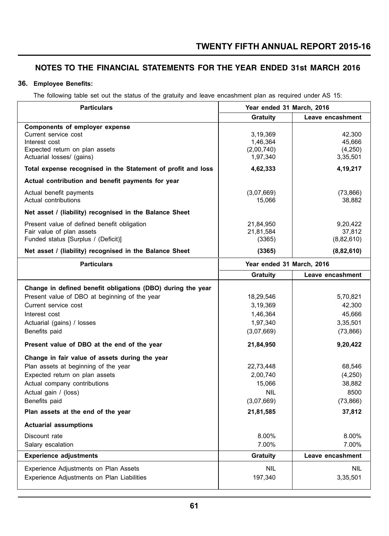#### **36. Employee Benefits:**

The following table set out the status of the gratuity and leave encashment plan as required under AS 15:

| <b>Particulars</b>                                                                                                                                                                                                                      | Year ended 31 March, 2016                                                |                                                            |
|-----------------------------------------------------------------------------------------------------------------------------------------------------------------------------------------------------------------------------------------|--------------------------------------------------------------------------|------------------------------------------------------------|
|                                                                                                                                                                                                                                         | Gratuity                                                                 | Leave encashment                                           |
| <b>Components of employer expense</b><br>Current service cost<br>Interest cost<br>Expected return on plan assets<br>Actuarial losses/ (gains)                                                                                           | 3,19,369<br>1,46,364<br>(2,00,740)<br>1,97,340                           | 42.300<br>45,666<br>(4,250)<br>3,35,501                    |
| Total expense recognised in the Statement of profit and loss                                                                                                                                                                            | 4,62,333                                                                 | 4,19,217                                                   |
| Actual contribution and benefit payments for year                                                                                                                                                                                       |                                                                          |                                                            |
| Actual benefit payments<br>Actual contributions                                                                                                                                                                                         | (3,07,669)<br>15,066                                                     | (73, 866)<br>38,882                                        |
| Net asset / (liability) recognised in the Balance Sheet                                                                                                                                                                                 |                                                                          |                                                            |
| Present value of defined benefit obligation<br>Fair value of plan assets<br>Funded status [Surplus / (Deficit)]                                                                                                                         | 21,84,950<br>21,81,584<br>(3365)                                         | 9,20,422<br>37,812<br>(8,82,610)                           |
| Net asset / (liability) recognised in the Balance Sheet                                                                                                                                                                                 | (3365)                                                                   | (8,82,610)                                                 |
| <b>Particulars</b>                                                                                                                                                                                                                      | Year ended 31 March, 2016                                                |                                                            |
|                                                                                                                                                                                                                                         | Gratuity                                                                 | Leave encashment                                           |
| Change in defined benefit obligations (DBO) during the year<br>Present value of DBO at beginning of the year<br>Current service cost<br>Interest cost<br>Actuarial (gains) / losses<br>Benefits paid                                    | 18,29,546<br>3,19,369<br>1,46,364<br>1,97,340<br>(3,07,669)              | 5,70,821<br>42,300<br>45,666<br>3,35,501<br>(73, 866)      |
| Present value of DBO at the end of the year                                                                                                                                                                                             | 21,84,950                                                                | 9,20,422                                                   |
| Change in fair value of assets during the year<br>Plan assets at beginning of the year<br>Expected return on plan assets<br>Actual company contributions<br>Actual gain / (loss)<br>Benefits paid<br>Plan assets at the end of the year | 22,73,448<br>2,00,740<br>15,066<br><b>NIL</b><br>(3,07,669)<br>21,81,585 | 68.546<br>(4,250)<br>38,882<br>8500<br>(73, 866)<br>37,812 |
| <b>Actuarial assumptions</b>                                                                                                                                                                                                            |                                                                          |                                                            |
| Discount rate<br>Salary escalation                                                                                                                                                                                                      | 8.00%<br>7.00%                                                           | 8.00%<br>7.00%                                             |
| <b>Experience adjustments</b>                                                                                                                                                                                                           | Gratuity                                                                 | Leave encashment                                           |
| Experience Adjustments on Plan Assets<br>Experience Adjustments on Plan Liabilities                                                                                                                                                     | <b>NIL</b><br>197,340                                                    | NIL<br>3,35,501                                            |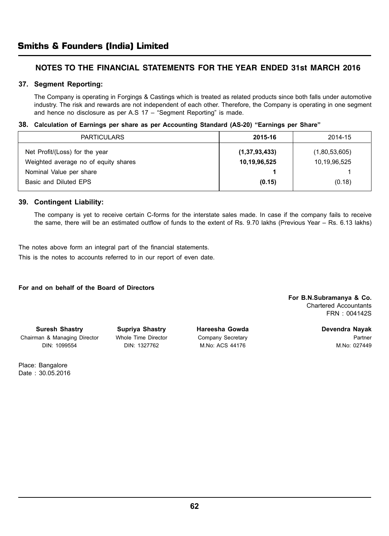#### **37. Segment Reporting:**

The Company is operating in Forgings & Castings which is treated as related products since both falls under automotive industry. The risk and rewards are not independent of each other. Therefore, the Company is operating in one segment and hence no disclosure as per A.S 17 – "Segment Reporting" is made.

#### **38. Calculation of Earnings per share as per Accounting Standard (AS-20) "Earnings per Share"**

| <b>PARTICULARS</b>                   | 2015-16          | 2014-15       |
|--------------------------------------|------------------|---------------|
| Net Profit/(Loss) for the year       | (1, 37, 93, 433) | (1,80,53,605) |
| Weighted average no of equity shares | 10,19,96,525     | 10,19,96,525  |
| Nominal Value per share              |                  |               |
| Basic and Diluted EPS                | (0.15)           | (0.18)        |

#### **39. Contingent Liability:**

The company is yet to receive certain C-forms for the interstate sales made. In case if the company fails to receive the same, there will be an estimated outflow of funds to the extent of Rs. 9.70 lakhs (Previous Year – Rs. 6.13 lakhs)

The notes above form an integral part of the financial statements. This is the notes to accounts referred to in our report of even date.

**For and on behalf of the Board of Directors**

 **For B.N.Subramanya & Co.** Chartered Accountants<br>FRN : 004142S FRN : 004142S

**Suresh Shastry Supriya Shastry Hareesha Gowda Devendra Nayak** Chairman & Managing Director Whole Time Director Company Secretary Partner DIN: 1099554 DIN: 1327762 M.No: ACS 44176 M.No: 027449

Place: Bangalore Date : 30.05.2016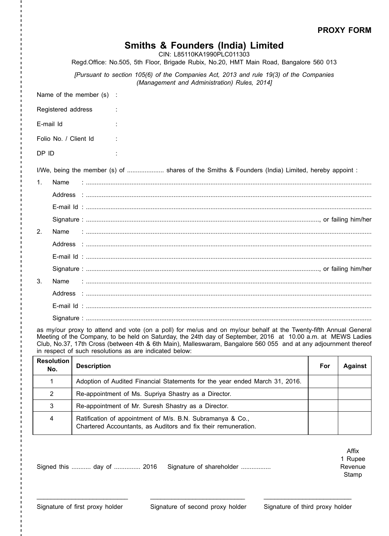#### **PROXY FORM**

|  | <b>Smiths &amp; Founders (India) Limited</b> |  |  |
|--|----------------------------------------------|--|--|
|  |                                              |  |  |

CIN: L85110KA1990PLC011303

Regd.Office: No.505, 5th Floor, Brigade Rubix, No.20, HMT Main Road, Bangalore 560 013

*[Pursuant to section 105(6) of the Companies Act, 2013 and rule 19(3) of the Companies (Management and Administration) Rules, 2014]*

Name of the member (s) :

Registered address :

E-mail Id :

Folio No. / Client Id :

DP ID :

I/We, being the member (s) of ...................... shares of the Smiths & Founders (India) Limited, hereby appoint :

| $\overline{2}$ |  |
|----------------|--|
|                |  |
|                |  |
|                |  |
| 3 <sub>l</sub> |  |
|                |  |
|                |  |
|                |  |

as my/our proxy to attend and vote (on a poll) for me/us and on my/our behalf at the Twenty-fifth Annual General Meeting of the Company, to be held on Saturday, the 24th day of September, 2016 at 10.00 a.m. at MEWS Ladies Club, No.37, 17th Cross (between 4th & 6th Main), Malleswaram, Bangalore 560 055 and at any adjournment thereof in respect of such resolutions as are indicated below:

| <b>Resolution</b><br>No. | <b>Description</b>                                                                                                           | For | Against |
|--------------------------|------------------------------------------------------------------------------------------------------------------------------|-----|---------|
|                          | Adoption of Audited Financial Statements for the year ended March 31, 2016.                                                  |     |         |
| 2                        | Re-appointment of Ms. Supriya Shastry as a Director.                                                                         |     |         |
| 3                        | Re-appointment of Mr. Suresh Shastry as a Director.                                                                          |     |         |
| 4                        | Ratification of appointment of M/s. B.N. Subramanya & Co.,<br>Chartered Accountants, as Auditors and fix their remuneration. |     |         |

|                                                    | Affix<br>1 Rupee |
|----------------------------------------------------|------------------|
| Signed this  day of  2016 Signature of shareholder | Revenue          |
|                                                    | Stamp            |

\_\_\_\_\_\_\_\_\_\_\_\_\_\_\_\_\_\_\_\_\_\_\_\_\_\_ \_\_\_\_\_\_\_\_\_\_\_\_\_\_\_\_\_\_\_\_\_\_\_\_\_\_\_ \_\_\_\_\_\_\_\_\_\_\_\_\_\_\_\_\_\_\_\_\_\_\_\_\_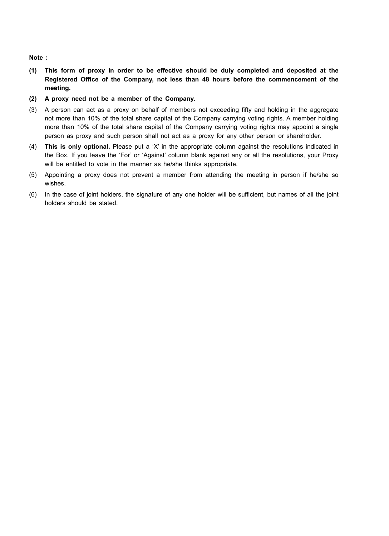#### **Note :**

- **(1) This form of proxy in order to be effective should be duly completed and deposited at the Registered Office of the Company, not less than 48 hours before the commencement of the meeting.**
- **(2) A proxy need not be a member of the Company.**
- (3) A person can act as a proxy on behalf of members not exceeding fifty and holding in the aggregate not more than 10% of the total share capital of the Company carrying voting rights. A member holding more than 10% of the total share capital of the Company carrying voting rights may appoint a single person as proxy and such person shall not act as a proxy for any other person or shareholder.
- (4) **This is only optional.** Please put a 'X' in the appropriate column against the resolutions indicated in the Box. If you leave the 'For' or 'Against' column blank against any or all the resolutions, your Proxy will be entitled to vote in the manner as he/she thinks appropriate.
- (5) Appointing a proxy does not prevent a member from attending the meeting in person if he/she so wishes.
- (6) In the case of joint holders, the signature of any one holder will be sufficient, but names of all the joint holders should be stated.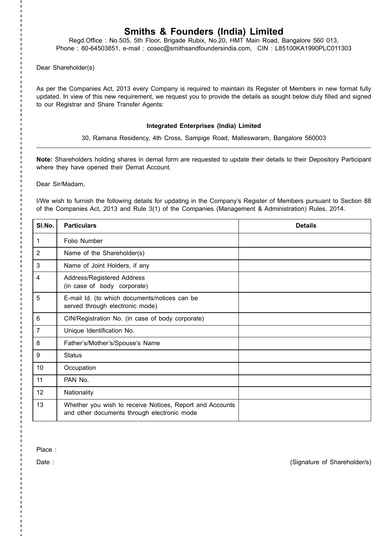### **Smiths & Founders (India) Limited**

Regd.Office : No.505, 5th Floor, Brigade Rubix, No.20, HMT Main Road, Bangalore 560 013, Phone : 80-64503851, e-mail : cosec@smithsandfoundersindia.com, CIN : L85100KA1990PLC011303

Dear Shareholder(s)

As per the Companies Act, 2013 every Company is required to maintain its Register of Members in new format fully updated. In view of this new requirement, we request you to provide the details as sought below duly filled and signed to our Registrar and Share Transfer Agents:

#### **Integrated Enterprises (India) Limited**

30, Ramana Residency, 4th Cross, Sampige Road, Malleswaram, Bangalore 560003

**Note:** Shareholders holding shares in demat form are requested to update their details to their Depository Participant where they have opened their Demat Account.

Dear Sir/Madam,

I/We wish to furnish the following details for updating in the Company's Register of Members pursuant to Section 88 of the Companies Act, 2013 and Rule 3(1) of the Companies (Management & Administration) Rules, 2014.

| SI.No.         | <b>Particulars</b>                                                                                      | <b>Details</b> |
|----------------|---------------------------------------------------------------------------------------------------------|----------------|
| 1              | Folio Number                                                                                            |                |
| $\overline{2}$ | Name of the Shareholder(s)                                                                              |                |
| 3              | Name of Joint Holders, if any                                                                           |                |
| 4              | Address/Registered Address<br>(in case of body corporate)                                               |                |
| 5              | E-mail Id. (to which documents/notices can be<br>served through electronic mode)                        |                |
| 6              | CIN/Registration No. (in case of body corporate)                                                        |                |
| $\overline{7}$ | Unique Identification No.                                                                               |                |
| 8              | Father's/Mother's/Spouse's Name                                                                         |                |
| 9              | <b>Status</b>                                                                                           |                |
| 10             | Occupation                                                                                              |                |
| 11             | PAN No.                                                                                                 |                |
| 12             | Nationality                                                                                             |                |
| 13             | Whether you wish to receive Notices, Report and Accounts<br>and other documents through electronic mode |                |

Place :

Date : (Signature of Shareholder/s)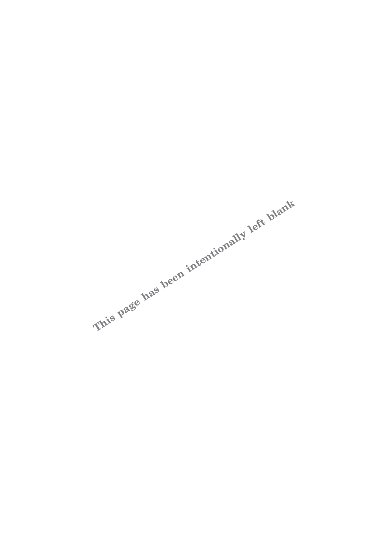**This page has been intentionally left blank**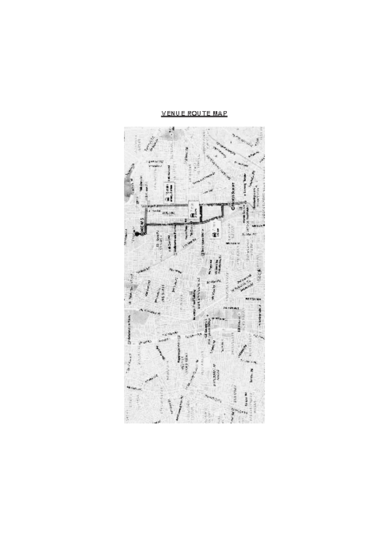# af é as de œ G 医性质 D-Mode curriculus  $\Delta \ll \Delta_{\rm Edd}$ is and ĵ ł Ł

#### **VENUE ROUTE MAP**